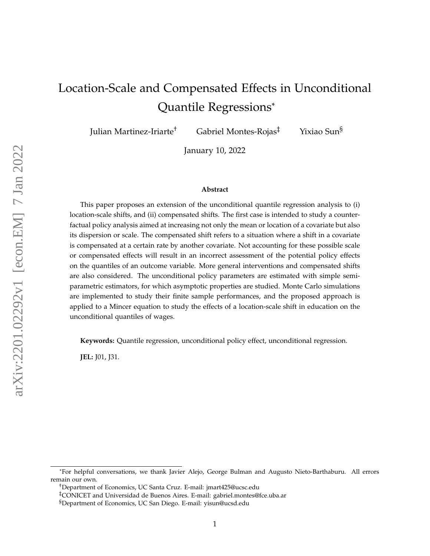# Location-Scale and Compensated Effects in Unconditional Quantile Regressions\*

Julian Martinez-Iriarte† Gabriel Montes-Rojas‡ Yixiao Sun§

January 10, 2022

#### **Abstract**

This paper proposes an extension of the unconditional quantile regression analysis to (i) location-scale shifts, and (ii) compensated shifts. The first case is intended to study a counterfactual policy analysis aimed at increasing not only the mean or location of a covariate but also its dispersion or scale. The compensated shift refers to a situation where a shift in a covariate is compensated at a certain rate by another covariate. Not accounting for these possible scale or compensated effects will result in an incorrect assessment of the potential policy effects on the quantiles of an outcome variable. More general interventions and compensated shifts are also considered. The unconditional policy parameters are estimated with simple semiparametric estimators, for which asymptotic properties are studied. Monte Carlo simulations are implemented to study their finite sample performances, and the proposed approach is applied to a Mincer equation to study the effects of a location-scale shift in education on the unconditional quantiles of wages.

**Keywords:** Quantile regression, unconditional policy effect, unconditional regression.

**JEL:** J01, J31.

<sup>\*</sup>For helpful conversations, we thank Javier Alejo, George Bulman and Augusto Nieto-Barthaburu. All errors remain our own.

<sup>†</sup>Department of Economics, UC Santa Cruz. E-mail: jmart425@ucsc.edu

<sup>‡</sup>CONICET and Universidad de Buenos Aires. E-mail: gabriel.montes@fce.uba.ar

<sup>§</sup>Department of Economics, UC San Diego. E-mail: yisun@ucsd.edu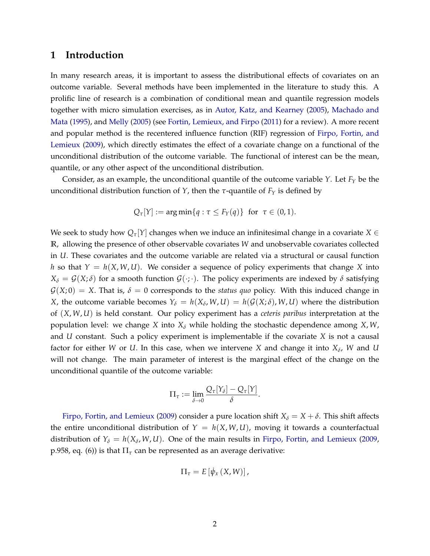### **1 Introduction**

In many research areas, it is important to assess the distributional effects of covariates on an outcome variable. Several methods have been implemented in the literature to study this. A prolific line of research is a combination of conditional mean and quantile regression models together with micro simulation exercises, as in [Autor, Katz, and Kearney](#page-32-0) [\(2005\)](#page-32-0), [Machado and](#page-33-0) [Mata](#page-33-0) [\(1995\)](#page-33-0), and [Melly](#page-33-1) [\(2005\)](#page-33-1) (see [Fortin, Lemieux, and Firpo](#page-33-2) [\(2011\)](#page-33-2) for a review). A more recent and popular method is the recentered influence function (RIF) regression of [Firpo, Fortin, and](#page-33-3) [Lemieux](#page-33-3) [\(2009\)](#page-33-3), which directly estimates the effect of a covariate change on a functional of the unconditional distribution of the outcome variable. The functional of interest can be the mean, quantile, or any other aspect of the unconditional distribution.

Consider, as an example, the unconditional quantile of the outcome variable *Y*. Let *F<sup>Y</sup>* be the unconditional distribution function of *Y*, then the *τ*-quantile of  $F_Y$  is defined by

$$
Q_{\tau}[Y] := \arg\min\{q : \tau \leq F_Y(q)\} \text{ for } \tau \in (0,1).
$$

We seek to study how  $Q_{\tau}[Y]$  changes when we induce an infinitesimal change in a covariate  $X \in$ **R**, allowing the presence of other observable covariates *W* and unobservable covariates collected in *U*. These covariates and the outcome variable are related via a structural or causal function *h* so that  $Y = h(X, W, U)$ . We consider a sequence of policy experiments that change *X* into  $X_{\delta} = \mathcal{G}(X; \delta)$  for a smooth function  $\mathcal{G}(\cdot; \cdot)$ . The policy experiments are indexed by  $\delta$  satisfying  $G(X;0) = X$ . That is,  $\delta = 0$  corresponds to the *status quo* policy. With this induced change in *X*, the outcome variable becomes  $Y_{\delta} = h(X_{\delta}, W, U) = h(\mathcal{G}(X; \delta), W, U)$  where the distribution of (*X*, *W*, *U*) is held constant. Our policy experiment has a *ceteris paribus* interpretation at the population level: we change *X* into *X<sup>δ</sup>* while holding the stochastic dependence among *X*, *W*, and *U* constant. Such a policy experiment is implementable if the covariate *X* is not a causal factor for either *W* or *U*. In this case, when we intervene *X* and change it into *X<sup>δ</sup>* , *W* and *U* will not change. The main parameter of interest is the marginal effect of the change on the unconditional quantile of the outcome variable:

$$
\Pi_{\tau} := \lim_{\delta \to 0} \frac{Q_{\tau}[Y_{\delta}] - Q_{\tau}[Y]}{\delta}.
$$

[Firpo, Fortin, and Lemieux](#page-33-3) [\(2009\)](#page-33-3) consider a pure location shift  $X_{\delta} = X + \delta$ . This shift affects the entire unconditional distribution of  $Y = h(X, W, U)$ , moving it towards a counterfactual distribution of  $Y_{\delta} = h(X_{\delta}, W, U)$ . One of the main results in [Firpo, Fortin, and Lemieux](#page-33-3) [\(2009,](#page-33-3) p.958, eq. (6)) is that  $\Pi_{\tau}$  can be represented as an average derivative:

$$
\Pi_{\tau}=E\left[\dot{\psi}_{x}\left(X,W\right)\right],
$$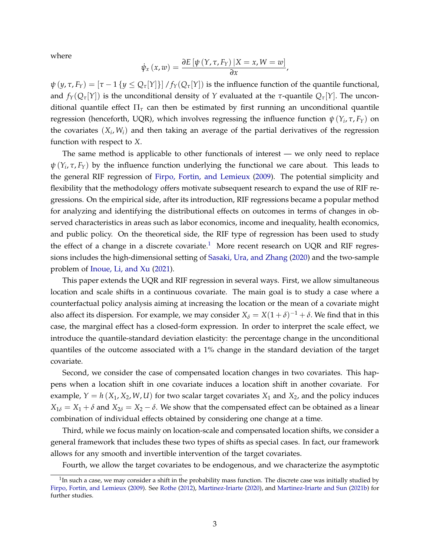where

$$
\dot{\psi}_x(x,w) = \frac{\partial E[\psi(Y,\tau,F_Y)|X=x,W=w]}{\partial x},
$$

 $\psi(y, \tau, F_Y) = [\tau - 1\{y \leq Q_\tau[Y]\}]/f_Y(Q_\tau[Y])$  is the influence function of the quantile functional, and  $f_Y(Q_\tau[Y])$  is the unconditional density of *Y* evaluated at the *τ*-quantile  $Q_\tau[Y]$ . The unconditional quantile effect Π*<sup>τ</sup>* can then be estimated by first running an unconditional quantile regression (henceforth, UQR), which involves regressing the influence function  $\psi(Y_i, \tau, F_Y)$  on the covariates  $(X_i, W_i)$  and then taking an average of the partial derivatives of the regression function with respect to *X*.

The same method is applicable to other functionals of interest — we only need to replace *ψ* (*Y<sup>i</sup>* , *τ*, *FY*) by the influence function underlying the functional we care about. This leads to the general RIF regression of [Firpo, Fortin, and Lemieux](#page-33-3) [\(2009\)](#page-33-3). The potential simplicity and flexibility that the methodology offers motivate subsequent research to expand the use of RIF regressions. On the empirical side, after its introduction, RIF regressions became a popular method for analyzing and identifying the distributional effects on outcomes in terms of changes in observed characteristics in areas such as labor economics, income and inequality, health economics, and public policy. On the theoretical side, the RIF type of regression has been used to study the effect of a change in a discrete covariate.<sup>[1](#page-2-0)</sup> More recent research on UQR and RIF regressions includes the high-dimensional setting of [Sasaki, Ura, and Zhang](#page-33-4) [\(2020\)](#page-33-4) and the two-sample problem of [Inoue, Li, and Xu](#page-33-5) [\(2021\)](#page-33-5).

This paper extends the UQR and RIF regression in several ways. First, we allow simultaneous location and scale shifts in a continuous covariate. The main goal is to study a case where a counterfactual policy analysis aiming at increasing the location or the mean of a covariate might also affect its dispersion. For example, we may consider  $X_{\delta} = X(1+\delta)^{-1} + \delta$ . We find that in this case, the marginal effect has a closed-form expression. In order to interpret the scale effect, we introduce the quantile-standard deviation elasticity: the percentage change in the unconditional quantiles of the outcome associated with a 1% change in the standard deviation of the target covariate.

Second, we consider the case of compensated location changes in two covariates. This happens when a location shift in one covariate induces a location shift in another covariate. For example,  $Y = h(X_1, X_2, W, U)$  for two scalar target covariates  $X_1$  and  $X_2$ , and the policy induces  $X_{1\delta} = X_1 + \delta$  and  $X_{2\delta} = X_2 - \delta$ . We show that the compensated effect can be obtained as a linear combination of individual effects obtained by considering one change at a time.

Third, while we focus mainly on location-scale and compensated location shifts, we consider a general framework that includes these two types of shifts as special cases. In fact, our framework allows for any smooth and invertible intervention of the target covariates.

Fourth, we allow the target covariates to be endogenous, and we characterize the asymptotic

<span id="page-2-0"></span> $^1$ In such a case, we may consider a shift in the probability mass function. The discrete case was initially studied by [Firpo, Fortin, and Lemieux](#page-33-3) [\(2009\)](#page-33-3). See [Rothe](#page-33-6) [\(2012\)](#page-33-6), [Martinez-Iriarte](#page-33-7) [\(2020\)](#page-33-7), and [Martinez-Iriarte and Sun](#page-33-8) [\(2021b\)](#page-33-8) for further studies.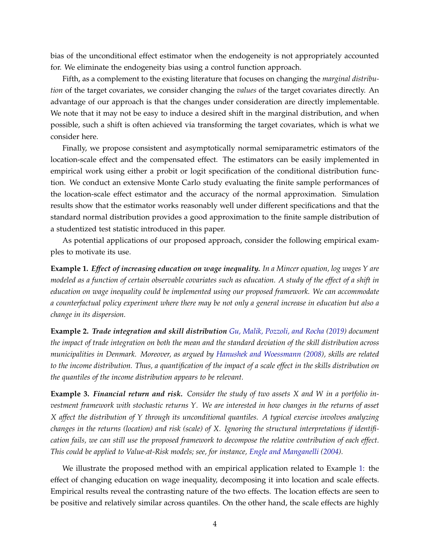bias of the unconditional effect estimator when the endogeneity is not appropriately accounted for. We eliminate the endogeneity bias using a control function approach.

Fifth, as a complement to the existing literature that focuses on changing the *marginal distribution* of the target covariates, we consider changing the *values* of the target covariates directly. An advantage of our approach is that the changes under consideration are directly implementable. We note that it may not be easy to induce a desired shift in the marginal distribution, and when possible, such a shift is often achieved via transforming the target covariates, which is what we consider here.

Finally, we propose consistent and asymptotically normal semiparametric estimators of the location-scale effect and the compensated effect. The estimators can be easily implemented in empirical work using either a probit or logit specification of the conditional distribution function. We conduct an extensive Monte Carlo study evaluating the finite sample performances of the location-scale effect estimator and the accuracy of the normal approximation. Simulation results show that the estimator works reasonably well under different specifications and that the standard normal distribution provides a good approximation to the finite sample distribution of a studentized test statistic introduced in this paper.

As potential applications of our proposed approach, consider the following empirical examples to motivate its use.

<span id="page-3-0"></span>**Example 1.** *Effect of increasing education on wage inequality. In a Mincer equation, log wages Y are modeled as a function of certain observable covariates such as education. A study of the effect of a shift in education on wage inequality could be implemented using our proposed framework. We can accommodate a counterfactual policy experiment where there may be not only a general increase in education but also a change in its dispersion.*

**Example 2.** *Trade integration and skill distribution [Gu, Malik, Pozzoli, and Rocha](#page-33-9) [\(2019\)](#page-33-9) document the impact of trade integration on both the mean and the standard deviation of the skill distribution across municipalities in Denmark. Moreover, as argued by [Hanushek and Woessmann](#page-33-10) [\(2008\)](#page-33-10), skills are related to the income distribution. Thus, a quantification of the impact of a scale effect in the skills distribution on the quantiles of the income distribution appears to be relevant.*

**Example 3.** *Financial return and risk. Consider the study of two assets X and W in a portfolio investment framework with stochastic returns Y. We are interested in how changes in the returns of asset X affect the distribution of Y through its unconditional quantiles. A typical exercise involves analyzing changes in the returns (location) and risk (scale) of X. Ignoring the structural interpretations if identification fails, we can still use the proposed framework to decompose the relative contribution of each effect. This could be applied to Value-at-Risk models; see, for instance, [Engle and Manganelli](#page-32-1) [\(2004\)](#page-32-1).*

We illustrate the proposed method with an empirical application related to Example [1:](#page-3-0) the effect of changing education on wage inequality, decomposing it into location and scale effects. Empirical results reveal the contrasting nature of the two effects. The location effects are seen to be positive and relatively similar across quantiles. On the other hand, the scale effects are highly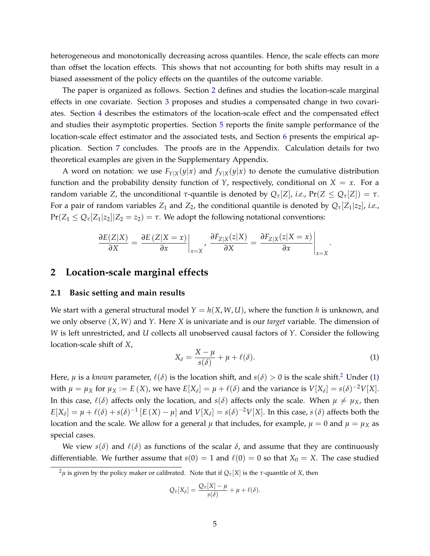heterogeneous and monotonically decreasing across quantiles. Hence, the scale effects can more than offset the location effects. This shows that not accounting for both shifts may result in a biased assessment of the policy effects on the quantiles of the outcome variable.

The paper is organized as follows. Section [2](#page-4-0) defines and studies the location-scale marginal effects in one covariate. Section [3](#page-16-0) proposes and studies a compensated change in two covariates. Section [4](#page-18-0) describes the estimators of the location-scale effect and the compensated effect and studies their asymptotic properties. Section [5](#page-24-0) reports the finite sample performance of the location-scale effect estimator and the associated tests, and Section [6](#page-30-0) presents the empirical application. Section [7](#page-32-2) concludes. The proofs are in the Appendix. Calculation details for two theoretical examples are given in the Supplementary Appendix.

A word on notation: we use  $F_{Y|X}(y|x)$  and  $f_{Y|X}(y|x)$  to denote the cumulative distribution function and the probability density function of *Y*, respectively, conditional on  $X = x$ . For a random variable *Z*, the unconditional *τ*-quantile is denoted by *Qτ*[*Z*], *i.e.*, Pr(*Z* ≤ *Qτ*[*Z*]) = *τ*. For a pair of random variables  $Z_1$  and  $Z_2$ , the conditional quantile is denoted by  $Q_7[Z_1|z_2]$ , *i.e.*,  $Pr(Z_1 \leq Q_{\tau}[Z_1|z_2]|Z_2 = z_2) = \tau$ . We adopt the following notational conventions:

$$
\frac{\partial E(Z|X)}{\partial X} = \frac{\partial E(Z|X=x)}{\partial x}\bigg|_{x=X}, \frac{\partial F_{Z|X}(z|X)}{\partial X} = \frac{\partial F_{Z|X}(z|X=x)}{\partial x}\bigg|_{x=X}
$$

### <span id="page-4-0"></span>**2 Location-scale marginal effects**

#### **2.1 Basic setting and main results**

We start with a general structural model  $Y = h(X, W, U)$ , where the function h is unknown, and we only observe (*X*, *W*) and *Y*. Here *X* is univariate and is our *target* variable. The dimension of *W* is left unrestricted, and *U* collects all unobserved causal factors of *Y*. Consider the following location-scale shift of *X*,

<span id="page-4-2"></span>
$$
X_{\delta} = \frac{X - \mu}{s(\delta)} + \mu + \ell(\delta). \tag{1}
$$

.

Here,  $\mu$  is a *known* parameter,  $\ell(\delta)$  is the location shift, and  $s(\delta) > 0$  is the scale shift.<sup>[2](#page-4-1)</sup> Under [\(1\)](#page-4-2) with  $\mu = \mu_X$  for  $\mu_X := E(X)$ , we have  $E[X_\delta] = \mu + \ell(\delta)$  and the variance is  $V[X_\delta] = s(\delta)^{-2}V[X]$ . In this case,  $\ell(\delta)$  affects only the location, and *s*( $\delta$ ) affects only the scale. When  $\mu \neq \mu_X$ , then  $E[X_\delta] = \mu + \ell(\delta) + s(\delta)^{-1} [E(X) - \mu]$  and  $V[X_\delta] = s(\delta)^{-2} V[X]$ . In this case,  $s(\delta)$  affects both the location and the scale. We allow for a general  $\mu$  that includes, for example,  $\mu = 0$  and  $\mu = \mu_X$  as special cases.

We view  $s(\delta)$  and  $\ell(\delta)$  as functions of the scalar  $\delta$ , and assume that they are continuously differentiable. We further assume that  $s(0) = 1$  and  $\ell(0) = 0$  so that  $X_0 = X$ . The case studied

$$
Q_{\tau}[X_{\delta}] = \frac{Q_{\tau}[X] - \mu}{s(\delta)} + \mu + \ell(\delta).
$$

<span id="page-4-1"></span><sup>&</sup>lt;sup>2</sup>μ is given by the policy maker or calibrated. Note that if  $Q_τ[X]$  is the *τ*-quantile of *X*, then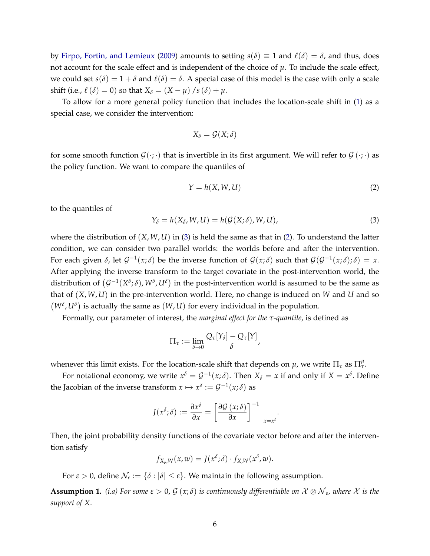by [Firpo, Fortin, and Lemieux](#page-33-3) [\(2009\)](#page-33-3) amounts to setting  $s(\delta) \equiv 1$  and  $\ell(\delta) = \delta$ , and thus, does not account for the scale effect and is independent of the choice of  $\mu$ . To include the scale effect, we could set  $s(\delta) = 1 + \delta$  and  $\ell(\delta) = \delta$ . A special case of this model is the case with only a scale shift (i.e.,  $\ell(\delta) = 0$ ) so that  $X_{\delta} = (X - \mu) / s(\delta) + \mu$ .

To allow for a more general policy function that includes the location-scale shift in [\(1\)](#page-4-2) as a special case, we consider the intervention:

$$
X_{\delta} = \mathcal{G}(X; \delta)
$$

for some smooth function  $\mathcal{G}(\cdot;\cdot)$  that is invertible in its first argument. We will refer to  $\mathcal{G}(\cdot;\cdot)$  as the policy function. We want to compare the quantiles of

<span id="page-5-1"></span>
$$
Y = h(X, W, U) \tag{2}
$$

.

to the quantiles of

<span id="page-5-0"></span>
$$
Y_{\delta} = h(X_{\delta}, W, U) = h(\mathcal{G}(X; \delta), W, U), \tag{3}
$$

where the distribution of  $(X, W, U)$  in [\(3\)](#page-5-0) is held the same as that in [\(2\)](#page-5-1). To understand the latter condition, we can consider two parallel worlds: the worlds before and after the intervention. For each given  $\delta$ , let  $\mathcal{G}^{-1}(x;\delta)$  be the inverse function of  $\mathcal{G}(x;\delta)$  such that  $\mathcal{G}(\mathcal{G}^{-1}(x;\delta);\delta) = x$ . After applying the inverse transform to the target covariate in the post-intervention world, the distribution of  $(\mathcal{G}^{-1}(X^\delta;\delta), W^\delta, U^\delta)$  in the post-intervention world is assumed to be the same as that of (*X*, *W*, *U*) in the pre-intervention world. Here, no change is induced on *W* and *U* and so  $(W^{\delta}, U^{\delta})$  is actually the same as  $(W, U)$  for every individual in the population.

Formally, our parameter of interest, the *marginal effect for the τ-quantile*, is defined as

$$
\Pi_{\tau} := \lim_{\delta \to 0} \frac{Q_{\tau}[Y_{\delta}] - Q_{\tau}[Y]}{\delta},
$$

whenever this limit exists. For the location-scale shift that depends on  $\mu$ , we write  $\Pi_{\tau}$  as  $\Pi_{\tau}^{\mu}$ .

For notational economy, we write  $x^{\delta} = \mathcal{G}^{-1}(x;\delta)$ . Then  $X_{\delta} = x$  if and only if  $X = x^{\delta}$ . Define the Jacobian of the inverse transform  $x \mapsto x^{\delta} := \mathcal{G}^{-1}(x; \delta)$  as

$$
J(x^{\delta}; \delta) := \frac{\partial x^{\delta}}{\partial x} = \left[ \frac{\partial \mathcal{G} (x; \delta)}{\partial x} \right]^{-1} \Big|_{x = x^{\delta}}
$$

Then, the joint probability density functions of the covariate vector before and after the intervention satisfy

$$
f_{X_\delta,W}(x,w)=J(x^\delta;\delta)\cdot f_{X,W}(x^\delta,w).
$$

For  $\varepsilon > 0$ , define  $\mathcal{N}_{\varepsilon} := \{\delta : |\delta| \leq \varepsilon\}$ . We maintain the following assumption.

<span id="page-5-2"></span>**Assumption 1.** (i.a) For some  $\varepsilon > 0$ ,  $\mathcal{G}(x;\delta)$  is continuously differentiable on  $\mathcal{X} \otimes \mathcal{N}_{\varepsilon}$ , where  $\mathcal{X}$  is the *support of X*.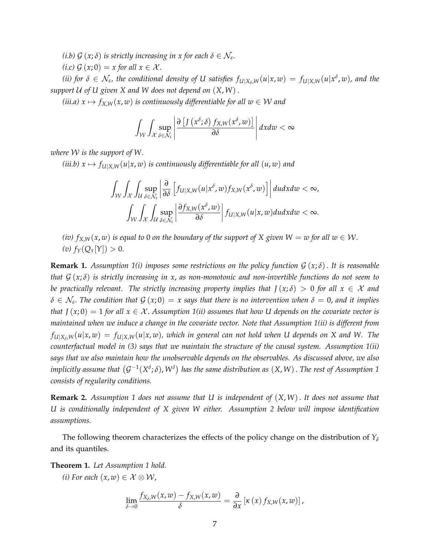*(i.b)*  $G(x;\delta)$  *is strictly increasing in x for each*  $\delta \in \mathcal{N}_{\varepsilon}$ .

*(i.c)*  $\mathcal{G}(x;0) = x$  *for all*  $x \in \mathcal{X}$ *.* 

(ii) for  $\delta\in\mathcal{N}_\varepsilon$ , the conditional density of U satisfies  $f_{U|X_\delta,W}(u|x,w)=f_{U|X,W}(u|x^\delta,w)$ , and the *support* U *of U given X and W does not depend on* (*X*, *W*).

*(iii.a)*  $x \mapsto f_{X,W}(x, w)$  *is continuously differentiable for all*  $w \in W$  *and* 

$$
\int_{\mathcal{W}}\int_{\mathcal{X}}\sup_{\delta\in\mathcal{N}_{\varepsilon}}\left|\frac{\partial\left[J\left(x^{\delta};\delta\right)f_{X,W}(x^{\delta},w)\right]}{\partial\delta}\right|dxdw<\infty
$$

*where* W *is the support of W*.

*(iii.b)*  $x \mapsto f_{U|X,W}(u|x,w)$  *is continuously differentiable for all*  $(u,w)$  *and* 

$$
\int_{\mathcal{W}} \int_{\mathcal{X}} \int_{\mathcal{U}} \sup_{\delta \in \mathcal{N}_{\varepsilon}} \left| \frac{\partial}{\partial \delta} \left[ f_{U|X,W}(u|x^{\delta},w) f_{X,W}(x^{\delta},w) \right] \right| du dx dw < \infty, \int_{\mathcal{W}} \int_{\mathcal{X}} \int_{\mathcal{U}} \sup_{\delta \in \mathcal{N}_{\varepsilon}} \left| \frac{\partial f_{X,W}(x^{\delta},w)}{\partial \delta} \right| f_{U|X,W}(u|x,w) du dx dw < \infty.
$$

*(iv)*  $f_{X,W}(x, w)$  *is equal to* 0 *on the boundary of the support of* X given  $W = w$  *for all*  $w \in W$ . *(v)*  $f_Y(Q_τ[Y]) > 0$ .

**Remark 1.** Assumption [1\(](#page-5-2)*i*) imposes some restrictions on the policy function  $G(x; \delta)$ . It is reasonable *that* G (*x*; *δ*) *is strictly increasing in x*, *as non-monotonic and non-invertible functions do not seem to be practically relevant. The strictly increasing property implies that*  $J(x; \delta) > 0$  *for all*  $x \in \mathcal{X}$  *and*  $\delta \in \mathcal{N}_{\epsilon}.$  The condition that  $\mathcal{G}\left(x;0\right)=x$  says that there is no intervention when  $\delta=0$ , and it implies *that*  $J(x;0) = 1$  *for all*  $x \in \mathcal{X}$ . Assumption [1\(](#page-5-2)*ii*) assumes that how U depends on the covariate vector is *maintained when we induce a change in the covariate vector. Note that Assumption [1\(](#page-5-2)ii) is different from fU*|*X<sup>δ</sup>* ,*W*(*u*|*x*, *w*) = *fU*|*X*,*W*(*u*|*x*, *w*)*, which in general can not hold when U depends on X and W. The counterfactual model in [\(3\)](#page-5-0) says that we maintain the structure of the causal system. Assumption [1\(](#page-5-2)ii) says that we also maintain how the unobservable depends on the observables. As discussed above, we also* implicitly assume that  $(\mathcal{G}^{-1}(X^\delta;\delta), W^\delta)$  $(\mathcal{G}^{-1}(X^\delta;\delta), W^\delta)$  $(\mathcal{G}^{-1}(X^\delta;\delta), W^\delta)$  has the same distribution as  $(X,W)$  . The rest of Assumption 1 *consists of regularity conditions.*

**Remark 2.** *Assumption [1](#page-5-2) does not assume that U is independent of* (*X*, *W*). *It does not assume that U is conditionally independent of X given W either. Assumption [2](#page-8-0) below will impose identification assumptions.*

The following theorem characterizes the effects of the policy change on the distribution of  $Y_\delta$ and its quantiles.

<span id="page-6-0"></span>**Theorem 1.** *Let Assumption [1](#page-5-2) hold.*

*(i)* For each  $(x, w) \in \mathcal{X} \otimes \mathcal{W}$ ,

$$
\lim_{\delta \to 0} \frac{f_{X_{\delta},W}(x,w) - f_{X,W}(x,w)}{\delta} = \frac{\partial}{\partial x} [\kappa(x) f_{X,W}(x,w)],
$$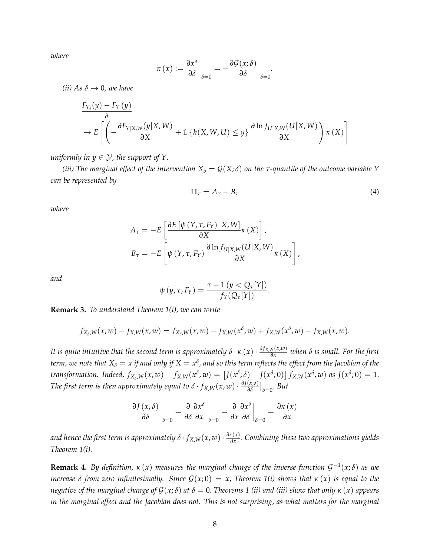*where*

$$
\kappa(x) := \frac{\partial x^{\delta}}{\partial \delta}\bigg|_{\delta=0} = -\frac{\partial \mathcal{G}(x;\delta)}{\partial \delta}\bigg|_{\delta=0}.
$$

*(ii)* As  $\delta \rightarrow 0$ *, we have* 

$$
\frac{F_{Y_{\delta}}(y) - F_{Y}(y)}{\delta} \to E\left[ \left( -\frac{\partial F_{Y|X,W}(y|X,W)}{\partial X} + \mathbb{1}\left\{h(X,W,U) \le y\right\} \frac{\partial \ln f_{U|X,W}(U|X,W)}{\partial X} \right) \kappa(X) \right]
$$

*uniformly in*  $y \in \mathcal{Y}$ *, the support of Y.* 

*(iii)* The marginal effect of the intervention  $X<sub>δ</sub> = G(X; δ)$  on the τ-quantile of the outcome variable Y *can be represented by*

<span id="page-7-0"></span>
$$
\Pi_{\tau} = A_{\tau} - B_{\tau} \tag{4}
$$

*where*

$$
A_{\tau} = -E \left[ \frac{\partial E \left[ \psi \left( Y, \tau, F_Y \right) | X, W \right]}{\partial X} \kappa \left( X \right) \right],
$$
  

$$
B_{\tau} = -E \left[ \psi \left( Y, \tau, F_Y \right) \frac{\partial \ln f_{U \mid X, W} \left( U \mid X, W \right)}{\partial X} \kappa \left( X \right) \right],
$$

*and*

$$
\psi(y,\tau,F_Y)=\frac{\tau-1\,(y
$$

**Remark 3.** *To understand Theorem [1\(](#page-6-0)i), we can write*

$$
f_{X_{\delta},W}(x,w) - f_{X,W}(x,w) = f_{X_{\delta},W}(x,w) - f_{X,W}(x^{\delta},w) + f_{X,W}(x^{\delta},w) - f_{X,W}(x,w).
$$

*It is quite intuitive that the second term is approximately*  $\delta \cdot \kappa(x) \cdot \frac{\partial f_{X,W}(x,w)}{\partial x}$  *when*  $\delta$  *is small. For the first*  $t$ erm, we note that  $X_\delta=x$  if and only if  $X=x^\delta$ , and so this term reflects the effect from the Jacobian of the transformation. Indeed,  $f_{X_\delta,W}(x,w)-f_{X,W}(x^\delta,w)=\left[J(x^\delta;\delta)-J(x^\delta;0)\right]f_{X,W}(x^\delta,w)$  as  $J(x^\delta;0)=1$ . *The first term is then approximately equal to*  $\delta \cdot f_{X,W}(x,w) \cdot \frac{\partial J(x,\delta)}{\partial \delta}$  $\frac{(x,δ)}{δδ}$ <sup>*|*</sup><sub>δ=0</sub>. *But* 

$$
\left. \frac{\partial J(x,\delta)}{\partial \delta} \right|_{\delta=0} = \left. \frac{\partial}{\partial \delta} \frac{\partial x^{\delta}}{\partial x} \right|_{\delta=0} = \left. \frac{\partial}{\partial x} \frac{\partial x^{\delta}}{\partial \delta} \right|_{\delta=0} = \frac{\partial \kappa(x)}{\partial x}
$$

*and hence the first term is approximately δ* ·  $f_{X,W}(x,w)\cdot \frac{\partial \kappa(x)}{\partial x}$ *∂x* . *Combining these two approximations yields Theorem [1\(](#page-6-0)i).*

**Remark 4.** *By definition, κ* (*x*) *measures the marginal change of the inverse function* G −1 (*x*; *δ*) *as we increase*  $\delta$  *from zero infinitesimally. Since*  $G(x;0) = x$ , *Theorem* [1\(](#page-6-0)*i*) *shows that*  $\kappa(x)$  *is equal to the negative of the marginal change of*  $G(x;\delta)$  *at*  $\delta = 0$ . *Theorems* [1](#page-6-0) *(ii) and (iii) show that only*  $\kappa(x)$  *appears in the marginal effect and the Jacobian does not. This is not surprising, as what matters for the marginal*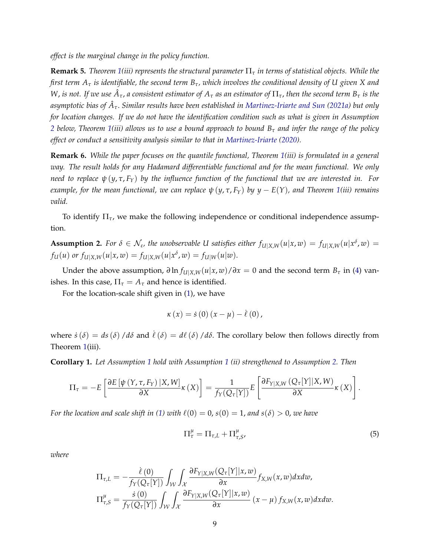*effect is the marginal change in the policy function.*

**Remark 5.** *Theorem [1\(](#page-6-0)iii) represents the structural parameter* Π*<sup>τ</sup> in terms of statistical objects. While the first term A<sup>τ</sup> is identifiable, the second term Bτ, which involves the conditional density of U given X and*  $W$ , *is not. If we use*  $\hat{A}_\tau$ *, a consistent estimator of*  $A_\tau$  *as an estimator of*  $\Pi_\tau$ *, then the second term*  $B_\tau$  *<i>is the asymptotic bias of A*ˆ *<sup>τ</sup>*. *Similar results have been established in [Martinez-Iriarte and Sun](#page-33-11) [\(2021a\)](#page-33-11) but only for location changes. If we do not have the identification condition such as what is given in Assumption [2](#page-8-0) below, Theorem [1\(](#page-6-0)iii) allows us to use a bound approach to bound B<sup>τ</sup> and infer the range of the policy effect or conduct a sensitivity analysis similar to that in [Martinez-Iriarte](#page-33-7) [\(2020\)](#page-33-7).*

**Remark 6.** *While the paper focuses on the quantile functional, Theorem [1\(](#page-6-0)iii) is formulated in a general way. The result holds for any Hadamard differentiable functional and for the mean functional. We only need to replace ψ* (*y*, *τ*, *FY*) *by the influence function of the functional that we are interested in. For example, for the mean functional, we can replace*  $\psi(y, \tau, F_Y)$  *by*  $y - E(Y)$ *, and Theorem [1\(](#page-6-0)iii) remains valid.*

To identify Π*τ*, we make the following independence or conditional independence assumption.

<span id="page-8-0"></span>**Assumption 2.** For  $\delta \in \mathcal{N}_{\varepsilon}$ , the unobservable U satisfies either  $f_{U|X,W}(u|x,w) = f_{U|X,W}(u|x^{\delta},w) =$ *f*<sub>U</sub>(*u*) *or*  $f_{U|X,W}(u|x,w) = f_{U|X,W}(u|x^{\delta}, w) = f_{U|W}(u|w).$ 

Under the above assumption,  $∂$  ln  $f_{U|X,W}(u|x,w)/∂x = 0$  and the second term  $B_τ$  in [\(4\)](#page-7-0) vanishes. In this case,  $\Pi_{\tau} = A_{\tau}$  and hence is identified.

For the location-scale shift given in [\(1\)](#page-4-2), we have

$$
\kappa(x) = \dot{s}(0)(x - \mu) - \dot{\ell}(0),
$$

where  $\dot{s}(\delta) = ds(\delta) / d\delta$  and  $\dot{\ell}(\delta) = d\ell(\delta) / d\delta$ . The corollary below then follows directly from Theorem [1\(](#page-6-0)iii).

<span id="page-8-1"></span>**Corollary 1.** *Let Assumption [1](#page-5-2) hold with Assumption [1](#page-5-2) (ii) strengthened to Assumption [2.](#page-8-0) Then*

$$
\Pi_{\tau} = -E \left[ \frac{\partial E \left[ \psi \left( Y, \tau, F_Y \right) \mid X, W \right]}{\partial X} \kappa \left( X \right) \right] = \frac{1}{f_Y(Q_{\tau}[Y])} E \left[ \frac{\partial F_{Y|X,W} \left( Q_{\tau}[Y] \mid X, W \right)}{\partial X} \kappa \left( X \right) \right].
$$

*For the location and scale shift in [\(1\)](#page-4-2) with*  $\ell(0) = 0$ ,  $s(0) = 1$ , *and*  $s(\delta) > 0$ , *we have* 

<span id="page-8-2"></span>
$$
\Pi_{\tau}^{\mu} = \Pi_{\tau,L} + \Pi_{\tau,S}^{\mu},\tag{5}
$$

*where*

$$
\Pi_{\tau,L} = -\frac{\dot{\ell}(0)}{f_Y(Q_{\tau}[Y])} \int_{\mathcal{W}} \int_{\mathcal{X}} \frac{\partial F_{Y|X,W}(Q_{\tau}[Y]|x,w)}{\partial x} f_{X,W}(x,w) dx dw, \n\Pi_{\tau,S}^{\mu} = \frac{\dot{s}(0)}{f_Y(Q_{\tau}[Y])} \int_{\mathcal{W}} \int_{\mathcal{X}} \frac{\partial F_{Y|X,W}(Q_{\tau}[Y]|x,w)}{\partial x} (x-\mu) f_{X,W}(x,w) dx dw.
$$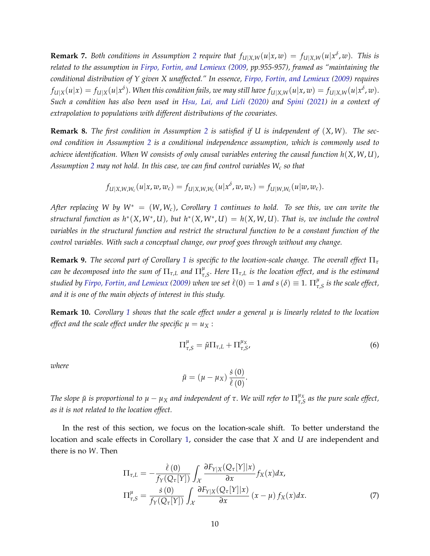**Remark 7.** Both conditions in Assumption [2](#page-8-0) require that  $f_{U|X,W}(u|x,w) = f_{U|X,W}(u|x^{\delta},w)$ . This is *related to the assumption in [Firpo, Fortin, and Lemieux](#page-33-3) [\(2009,](#page-33-3) pp.955-957), framed as "maintaining the conditional distribution of Y given X unaffected." In essence, [Firpo, Fortin, and Lemieux](#page-33-3) [\(2009\)](#page-33-3) requires*  $f_{U|X}(u|x)=f_{U|X}(u|x^\delta).$  When this condition fails, we may still have  $f_{U|X,W}(u|x,w)=f_{U|X,W}(u|x^\delta,w).$ *Such a condition has also been used in [Hsu, Lai, and Lieli](#page-33-12) [\(2020\)](#page-33-12) and [Spini](#page-33-13) [\(2021\)](#page-33-13) in a context of extrapolation to populations with different distributions of the covariates.*

**Remark 8.** *The first condition in Assumption [2](#page-8-0) is satisfied if U is independent of* (*X*, *W*)*. The second condition in Assumption [2](#page-8-0) is a conditional independence assumption, which is commonly used to achieve identification. When W consists of only causal variables entering the causal function h*(*X*, *W*, *U*), *Assumption [2](#page-8-0) may not hold. In this case, we can find control variables W<sup>c</sup> so that*

$$
f_{\mathcal{U}|X,W,W_c}(u|x,w,w_c)=f_{\mathcal{U}|X,W,W_c}(u|x^{\delta},w,w_c)=f_{\mathcal{U}|W,W_c}(u|w,w_c).
$$

*After replacing W by W*<sup>∗</sup> = (*W*, *Wc*), *Corollary [1](#page-8-1) continues to hold. To see this, we can write the*  $\mathcal{L}$  *structural function as*  $h^*(X, W^*, U)$ , but  $h^*(X, W^*, U) = h(X, W, U)$ . That is, we include the control *variables in the structural function and restrict the structural function to be a constant function of the control variables. With such a conceptual change, our proof goes through without any change.*

**Remark 9.** *The second part of Corollary [1](#page-8-1) is specific to the location-scale change. The overall effect* Π*<sup>τ</sup>*  $\epsilon$  *can be decomposed into the sum of*  $\Pi_{\tau,L}$  *and*  $\Pi_{\tau}^{\mu}$ *τ*,*S* . *Here* Π*τ*,*<sup>L</sup> is the location effect, and is the estimand*  $s$ *tudied by [Firpo, Fortin, and Lemieux](#page-33-3) [\(2009\)](#page-33-3) when we set*  $\dot{\ell}(0) = 1$  *and s*  $(\delta) \equiv 1$ *.*  $\Pi_\tau^\mu$ *τ*,*S is the scale effect, and it is one of the main objects of interest in this study.*

**Remark 10.** *Corollary [1](#page-8-1) shows that the scale effect under a general µ is linearly related to the location effect and the scale effect under the specific*  $\mu = u_X$ :

$$
\Pi_{\tau,S}^{\mu} = \tilde{\mu}\Pi_{\tau,L} + \Pi_{\tau,S}^{\mu_X},\tag{6}
$$

*where*

$$
\tilde{\mu} = (\mu - \mu_X) \frac{\dot{s}(0)}{\dot{\ell}(0)}.
$$

*The slope*  $\tilde{\mu}$  *is proportional to*  $\mu - \mu_X$  *and independent of*  $\tau$ . We will refer to  $\Pi^{\mu_X}_{\tau, \xi}$ *τ*,*S as the pure scale effect, as it is not related to the location effect.*

In the rest of this section, we focus on the location-scale shift. To better understand the location and scale effects in Corollary [1,](#page-8-1) consider the case that *X* and *U* are independent and there is no *W*. Then

$$
\Pi_{\tau,L} = -\frac{\dot{\ell}(0)}{f_Y(Q_\tau[Y])} \int_{\mathcal{X}} \frac{\partial F_{Y|X}(Q_\tau[Y]|x)}{\partial x} f_X(x) dx,
$$
\n
$$
\Pi_{\tau,S}^{\mu} = \frac{\dot{s}(0)}{f_Y(Q_\tau[Y])} \int_{\mathcal{X}} \frac{\partial F_{Y|X}(Q_\tau[Y]|x)}{\partial x} (x - \mu) f_X(x) dx.
$$
\n(7)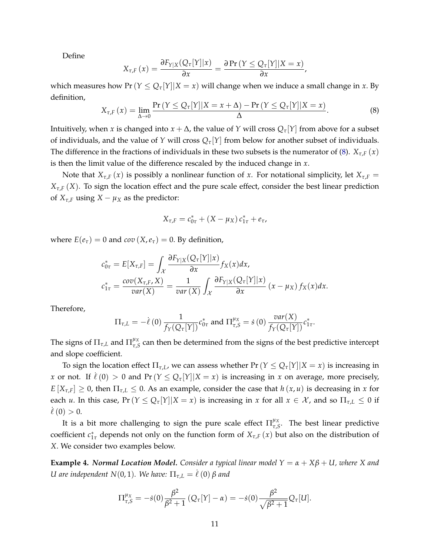Define

$$
X_{\tau,F}(x) = \frac{\partial F_{Y|X}(Q_{\tau}[Y]|x)}{\partial x} = \frac{\partial \Pr(Y \leq Q_{\tau}[Y]|X=x)}{\partial x},
$$

which measures how  $Pr(Y \leq Q_{\tau}[Y]|X=x)$  will change when we induce a small change in *x*. By definition,

<span id="page-10-0"></span>
$$
X_{\tau,F}(x) = \lim_{\Delta \to 0} \frac{\Pr(Y \le Q_{\tau}[Y]|X = x + \Delta) - \Pr(Y \le Q_{\tau}[Y]|X = x)}{\Delta}.
$$
 (8)

Intuitively, when *x* is changed into  $x + \Delta$ , the value of *Y* will cross  $Q_{\tau}[Y]$  from above for a subset of individuals, and the value of *Y* will cross  $Q_{\tau}[Y]$  from below for another subset of individuals. The difference in the fractions of individuals in these two subsets is the numerator of [\(8\)](#page-10-0).  $X_{\tau,F}(x)$ is then the limit value of the difference rescaled by the induced change in *x*.

Note that  $X_{\tau,F}(x)$  is possibly a nonlinear function of *x*. For notational simplicity, let  $X_{\tau,F}$  = *Xτ*,*<sup>F</sup>* (*X*). To sign the location effect and the pure scale effect, consider the best linear prediction of  $X_{\tau,F}$  using  $X - \mu_X$  as the predictor:

$$
X_{\tau,F} = c_{0\tau}^* + (X - \mu_X) c_{1\tau}^* + e_{\tau},
$$

where  $E(e_{\tau}) = 0$  and  $cov(X, e_{\tau}) = 0$ . By definition,

$$
c_{0\tau}^* = E[X_{\tau,F}] = \int_{\mathcal{X}} \frac{\partial F_{Y|X}(Q_{\tau}[Y]|x)}{\partial x} f_X(x) dx,
$$
  

$$
c_{1\tau}^* = \frac{cov(X_{\tau,F}, X)}{var(X)} = \frac{1}{var(X)} \int_{\mathcal{X}} \frac{\partial F_{Y|X}(Q_{\tau}[Y]|x)}{\partial x} (x - \mu_X) f_X(x) dx.
$$

Therefore,

$$
\Pi_{\tau,L} = -\dot{\ell}(0) \frac{1}{f_Y(Q_\tau[Y])} c_{0\tau}^* \text{ and } \Pi_{\tau,S}^{\mu_X} = \dot{s}(0) \frac{\text{var}(X)}{f_Y(Q_\tau[Y])} c_{1\tau}^*.
$$

The signs of  $\Pi_{\tau,L}$  and  $\Pi_{\tau,c}^{\mu_X}$  $\frac{\mu_X}{\tau_S}$  can then be determined from the signs of the best predictive intercept and slope coefficient.

To sign the location effect  $\Pi_{\tau,L}$ , we can assess whether  $Pr(Y \leq Q_{\tau}[Y]|X=x)$  is increasing in *x* or not. If  $\ell(0) > 0$  and  $Pr(Y \leq Q_{\tau}[Y]|X = x)$  is increasing in *x* on average, more precisely,  $E[X_{\tau,F}] \geq 0$ , then  $\Pi_{\tau,L} \leq 0$ . As an example, consider the case that  $h(x,u)$  is decreasing in *x* for each *u*. In this case,  $Pr(Y \le Q_{\tau}[Y]|X=x)$  is increasing in *x* for all  $x \in \mathcal{X}$ , and so  $\Pi_{\tau,L} \le 0$  if  $\ell(0) > 0.$ 

It is a bit more challenging to sign the pure scale effect  $\Pi_{\tau,s}^{\mu\chi}$  $\tau$ <sub>*τ*</sub> $S$ . The best linear predictive coefficient *c* ∗ 1*τ* depends not only on the function form of *Xτ*,*<sup>F</sup>* (*x*) but also on the distribution of *X*. We consider two examples below.

<span id="page-10-1"></span>**Example 4.** *Normal Location Model.* Consider a typical linear model  $Y = \alpha + X\beta + U$ , where X and *U* are independent  $N(0, 1)$ *. We have:*  $\Pi_{\tau, L} = \ell(0) \beta$  and

$$
\Pi_{\tau,S}^{\mu_X} = -\dot{s}(0)\frac{\beta^2}{\beta^2 + 1} (Q_{\tau}[Y] - \alpha) = -\dot{s}(0)\frac{\beta^2}{\sqrt{\beta^2 + 1}} Q_{\tau}[U].
$$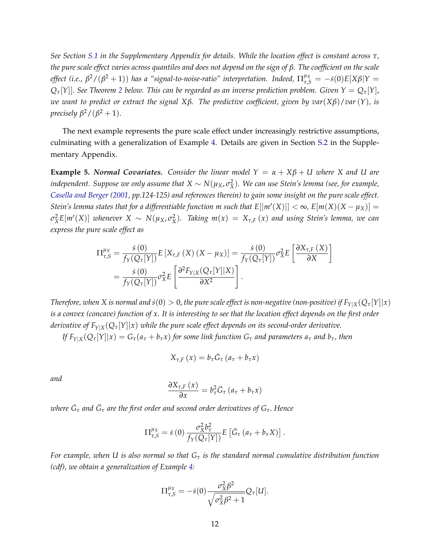*See Section [S.1](#page-49-0) in the Supplementary Appendix for details. While the location effect is constant across τ, the pure scale effect varies across quantiles and does not depend on the sign of β. The coefficient on the scale effect* (i.e.,  $\beta^2/(\beta^2+1)$ ) has a "signal-to-noise-ratio" interpretation. Indeed,  $\Pi_{\tau,S}^{\mu_X} = -\dot{s}(0)E[X\beta|Y=0]$  $Q_{\tau}[Y]$ . *See Theorem* [2](#page-14-0) *below. This can be regarded as an inverse prediction problem. Given*  $Y = Q_{\tau}[Y]$ *, we want to predict or extract the signal Xβ. The predictive coefficient, given by var*(*Xβ*)/*var* (*Y*)*, is precisely*  $\beta^2/(\beta^2+1)$ .

The next example represents the pure scale effect under increasingly restrictive assumptions, culminating with a generalization of Example [4.](#page-10-1) Details are given in Section [S.2](#page-49-1) in the Supplementary Appendix.

<span id="page-11-0"></span>**Example 5.** *Normal Covariates.* Consider the linear model  $Y = \alpha + X\beta + U$  where X and U are  $i$ ndependent. Suppose we only assume that  $X \sim N(\mu_X, \sigma_X^2)$ . We can use Stein's lemma (see, for example, *[Casella and Berger](#page-32-3) [\(2001,](#page-32-3) pp.124-125) and references therein) to gain some insight on the pure scale effect. Stein's lemma states that for a differentiable function m such that*  $E[|m'(X)|] < \infty$ *,*  $E[m(X)(X - \mu_X)] =$  $\sigma_X^2 E[m'(X)]$  whenever  $X \sim N(\mu_X, \sigma_X^2)$ . Taking  $m(x) = X_{\tau,F}(x)$  and using Stein's lemma, we can *express the pure scale effect as*

$$
\Pi_{\tau,S}^{\mu_X} = \frac{\dot{s}(0)}{f_Y(Q_\tau[Y])} E\left[X_{\tau,F}(X)(X-\mu_X)\right] = \frac{\dot{s}(0)}{f_Y(Q_\tau[Y])} \sigma_X^2 E\left[\frac{\partial X_{\tau,F}(X)}{\partial X}\right]
$$

$$
= \frac{\dot{s}(0)}{f_Y(Q_\tau[Y])} \sigma_X^2 E\left[\frac{\partial^2 F_{Y|X}(Q_\tau[Y]|X)}{\partial X^2}\right].
$$

*Therefore, when X* is normal and  $\dot{s}(0) > 0$ , the pure scale effect is non-negative (non-positive) if  $F_{Y|X}(Q_{\tau}[Y||x))$ *is a convex (concave) function of x. It is interesting to see that the location effect depends on the first order derivative of*  $F_{Y|X}(Q_{\tau}[Y]|x)$  *while the pure scale effect depends on its second-order derivative.* 

If  $F_{Y|X}(Q_{\tau}[Y]|x) = G_{\tau}(a_{\tau} + b_{\tau}x)$  for some link function  $G_{\tau}$  and parameters  $a_{\tau}$  and  $b_{\tau}$ , then

$$
X_{\tau,F}(x) = b_{\tau}\dot{G}_{\tau}\left(a_{\tau} + b_{\tau}x\right)
$$

*and*

$$
\frac{\partial X_{\tau,F}\left(x\right)}{\partial x}=b_{\tau}^{2}\ddot{G}_{\tau}\left(a_{\tau}+b_{\tau}x\right)
$$

*where G*˙ *<sup>τ</sup> and G*¨ *<sup>τ</sup> are the first order and second order derivatives of Gτ*. *Hence*

$$
\Pi_{\tau,S}^{\mu_X} = \dot{s}(0) \frac{\sigma_X^2 b_{\tau}^2}{f_Y(Q_{\tau}[Y])} E\left[\ddot{G}_{\tau} \left(a_{\tau} + b_{\tau} X\right)\right].
$$

*For example, when U is also normal so that G<sup>τ</sup> is the standard normal cumulative distribution function (cdf), we obtain a generalization of Example [4:](#page-10-1)*

$$
\Pi_{\tau,S}^{\mu_X} = -\dot{s}(0) \frac{\sigma_X^2 \beta^2}{\sqrt{\sigma_X^2 \beta^2 + 1}} Q_\tau[U].
$$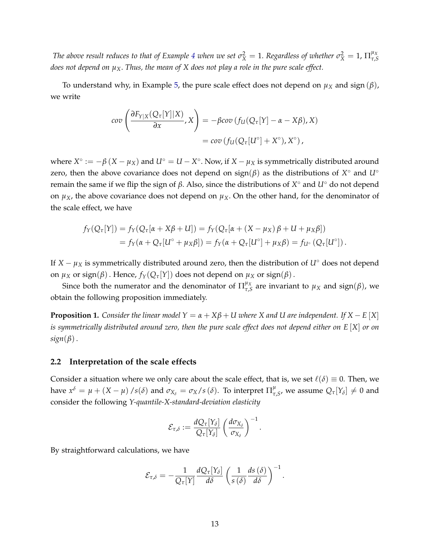*The above result reduces to that of Example [4](#page-10-1) when we set*  $\sigma^2_X = 1$ *. Regardless of whether*  $\sigma^2_X = 1$ *,*  $\Pi^{\mu_X}_{\tau, \xi}$ *τ*,*S does not depend on*  $\mu_X$ . *Thus, the mean of* X *does not play a role in the pure scale effect.* 

To understand why, in Example [5,](#page-11-0) the pure scale effect does not depend on  $\mu_X$  and sign  $(\beta)$ , we write

$$
cov\left(\frac{\partial F_{Y|X}(Q_{\tau}[Y]|X)}{\partial x},X\right) = -\beta cov(f_{U}(Q_{\tau}[Y]) - \alpha - X\beta),X)
$$
  
=  $cov(f_{U}(Q_{\tau}[U^{\circ}]+X^{\circ}),X^{\circ}),$ 

where  $X^{\circ} := -\beta (X - \mu_X)$  and  $U^{\circ} = U - X^{\circ}$ . Now, if  $X - \mu_X$  is symmetrically distributed around zero, then the above covariance does not depend on  $sign(\beta)$  as the distributions of  $X^{\circ}$  and  $U^{\circ}$ remain the same if we flip the sign of *β*. Also, since the distributions of *X* ◦ and *U*◦ do not depend on  $\mu_X$ , the above covariance does not depend on  $\mu_X$ . On the other hand, for the denominator of the scale effect, we have

$$
f_Y(Q_\tau[Y]) = f_Y(Q_\tau[\alpha + X\beta + U]) = f_Y(Q_\tau[\alpha + (X - \mu_X)\beta + U + \mu_X\beta])
$$
  
= 
$$
f_Y(\alpha + Q_\tau[U^{\circ} + \mu_X\beta]) = f_Y(\alpha + Q_\tau[U^{\circ}] + \mu_X\beta) = f_{U^{\circ}}(Q_\tau[U^{\circ}]).
$$

If  $X - \mu_X$  is symmetrically distributed around zero, then the distribution of  $U^{\circ}$  does not depend on *µ<sup>X</sup>* or sign(*β*). Hence, *fY*(*Qτ*[*Y*]) does not depend on *µ<sup>X</sup>* or sign(*β*).

Since both the numerator and the denominator of  $\Pi_{\tau,s}^{\mu}$ *τ*,*S* are invariant to *µ<sup>X</sup>* and sign(*β*), we obtain the following proposition immediately.

**Proposition 1.** *Consider the linear model*  $Y = \alpha + X\beta + U$  where X and U are independent. If  $X - E[X]$ *is symmetrically distributed around zero, then the pure scale effect does not depend either on E* [*X*] *or on sign*(*β*).

#### <span id="page-12-0"></span>**2.2 Interpretation of the scale effects**

Consider a situation where we only care about the scale effect, that is, we set  $\ell(\delta) \equiv 0$ . Then, we have  $x^{\delta} = \mu + (X - \mu) / s(\delta)$  and  $\sigma_{X_{\delta}} = \sigma_X / s(\delta)$ . To interpret  $\Pi_{\tau}^{\mu}$  $_{\tau,s}^{\mu}$ , we assume  $Q_{\tau}[Y_{\delta}] \neq 0$  and consider the following *Y-quantile-X-standard-deviation elasticity*

$$
\mathcal{E}_{\tau,\delta} := \frac{d Q_{\tau}[Y_{\delta}]}{Q_{\tau}[Y_{\delta}]} \left(\frac{d \sigma_{X_{\delta}}}{\sigma_{X_{\delta}}}\right)^{-1}.
$$

By straightforward calculations, we have

$$
\mathcal{E}_{\tau,\delta} = -\frac{1}{Q_{\tau}[Y]} \frac{dQ_{\tau}[Y_{\delta}]}{d\delta} \left(\frac{1}{s(\delta)} \frac{ds(\delta)}{d\delta}\right)^{-1}.
$$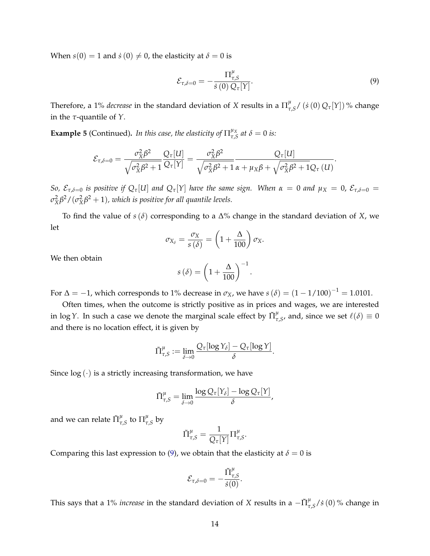When  $s(0) = 1$  and  $\dot{s}(0) \neq 0$ , the elasticity at  $\delta = 0$  is

<span id="page-13-0"></span>
$$
\mathcal{E}_{\tau,\delta=0} = -\frac{\Pi_{\tau,S}^{\mu}}{\dot{s}(0) Q_{\tau}[Y]}.
$$
\n(9)

Therefore, a 1% *decrease* in the standard deviation of X results in a  $\Pi_{\tau}^{\mu}$ *τ*,*S* / (*s*˙ (0) *Qτ*[*Y*]) % change in the *τ*-quantile of *Y*.

**Example 5** (Continued). In this case, the elasticity of  $\prod_{\tau,s}^{\mu_X}$  $\int_{\tau,S}^{\mu_X}$  *at*  $\delta = 0$  *is:* 

$$
\mathcal{E}_{\tau,\delta=0} = \frac{\sigma_X^2 \beta^2}{\sqrt{\sigma_X^2 \beta^2 + 1}} \frac{Q_\tau[U]}{Q_\tau[Y]} = \frac{\sigma_X^2 \beta^2}{\sqrt{\sigma_X^2 \beta^2 + 1}} \frac{Q_\tau[U]}{\alpha + \mu_X \beta + \sqrt{\sigma_X^2 \beta^2 + 1} Q_\tau(U)}.
$$

*So,*  $\mathcal{E}_{\tau,\delta=0}$  *is positive if*  $Q_{\tau}[U]$  *and*  $Q_{\tau}[Y]$  *have the same sign.* When  $\alpha = 0$  *and*  $\mu_X = 0$ ,  $\mathcal{E}_{\tau,\delta=0}$  =  $\sigma_X^2$ β<sup>2</sup> / ( $\sigma_X^2$ β<sup>2</sup> + 1), which is positive for all quantile levels.

To find the value of *s*(*δ*) corresponding to a ∆% change in the standard deviation of *X*, we let

$$
\sigma_{X_{\delta}} = \frac{\sigma_X}{s(\delta)} = \left(1 + \frac{\Delta}{100}\right)\sigma_X.
$$

We then obtain

$$
s(\delta) = \left(1 + \frac{\Delta}{100}\right)^{-1}.
$$

For  $\Delta = -1$ , which corresponds to 1% decrease in  $\sigma_X$ , we have  $s(\delta) = (1 - 1/100)^{-1} = 1.0101$ .

Often times, when the outcome is strictly positive as in prices and wages, we are interested in log *Y*. In such a case we denote the marginal scale effect by  $\tilde{\Pi}^{\mu}_{\tau}$  $_{\tau,s}^{\mu}$ , and, since we set  $\ell(\delta) \equiv 0$ and there is no location effect, it is given by

$$
\tilde{\Pi}^{\mu}_{\tau,S} := \lim_{\delta \to 0} \frac{Q_{\tau}[\log Y_{\delta}] - Q_{\tau}[\log Y]}{\delta}.
$$

Since  $log(\cdot)$  is a strictly increasing transformation, we have

$$
\tilde{\Pi}^{\mu}_{\tau,S} = \lim_{\delta \to 0} \frac{\log Q_{\tau}[Y_{\delta}] - \log Q_{\tau}[Y]}{\delta},
$$

and we can relate  $\tilde{\Pi}^{\mu}_{\tau}$  $^{\mu}_{\tau,S}$  to  $\Pi^{\mu}_{\tau}$ *τ*,*S* by

$$
\tilde{\Pi}^{\mu}_{\tau,S} = \frac{1}{Q_{\tau}[Y]} \Pi^{\mu}_{\tau,S}.
$$

Comparing this last expression to [\(9\)](#page-13-0), we obtain that the elasticity at  $\delta = 0$  is

$$
{\cal E}_{\tau,\delta=0}=-\frac{\tilde{\Pi}^{\mu}_{\tau,S}}{\dot{s}(0)}.
$$

This says that a 1% *increase* in the standard deviation of *X* results in a  $-\tilde{\Pi}^{\mu}_{\tau}$ *τ*,*S* /*s*˙ (0) % change in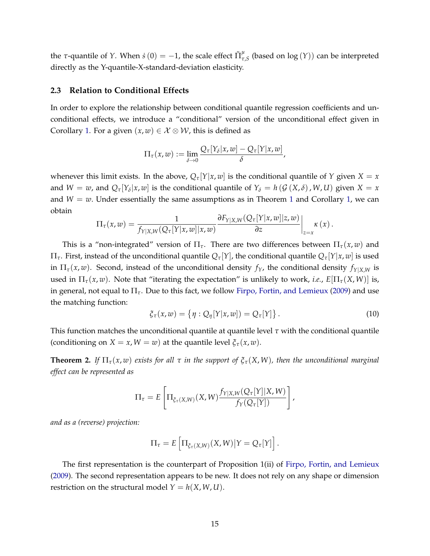the *τ*-quantile of *Y*. When  $\dot{s}(0) = -1$ , the scale effect  $\tilde{\Pi}^{\mu}_{\tau}$ *τ*,*S* (based on log (*Y*)) can be interpreted directly as the Y-quantile-X-standard-deviation elasticity.

#### **2.3 Relation to Conditional Effects**

In order to explore the relationship between conditional quantile regression coefficients and unconditional effects, we introduce a "conditional" version of the unconditional effect given in Corollary [1.](#page-8-1) For a given  $(x, w) \in \mathcal{X} \otimes \mathcal{W}$ , this is defined as

$$
\Pi_{\tau}(x,w):=\lim_{\delta\to 0}\frac{Q_{\tau}[Y_{\delta}|x,w]-Q_{\tau}[Y|x,w]}{\delta},
$$

whenever this limit exists. In the above,  $Q_{\tau}[Y|x,w]$  is the conditional quantile of *Y* given *X* = *x* and  $W = w$ , and  $Q_{\tau}[Y_{\delta}|x,w]$  is the conditional quantile of  $Y_{\delta} = h(G(X,\delta), W, U)$  given  $X = x$ and  $W = w$ . Under essentially the same assumptions as in Theorem [1](#page-6-0) and Corollary [1,](#page-8-1) we can obtain

$$
\Pi_{\tau}(x,w)=\frac{1}{f_{Y|X,W}(Q_{\tau}[Y|x,w]|x,w)}\frac{\partial F_{Y|X,W}(Q_{\tau}[Y|x,w]|z,w)}{\partial z}\bigg|_{z=x}\kappa(x).
$$

This is a "non-integrated" version of  $\Pi_{\tau}$ . There are two differences between  $\Pi_{\tau}(x, w)$  and Π*τ*. First, instead of the unconditional quantile *Qτ*[*Y*], the conditional quantile *Qτ*[*Y*|*x*, *w*] is used in  $\Pi_{\tau}(x, w)$ . Second, instead of the unconditional density  $f_Y$ , the conditional density  $f_{Y|X,W}$  is used in  $\Pi_{\tau}(x, w)$ . Note that "iterating the expectation" is unlikely to work, *i.e.*,  $E[\Pi_{\tau}(X, W)]$  is, in general, not equal to  $\Pi_{\tau}$ . Due to this fact, we follow [Firpo, Fortin, and Lemieux](#page-33-3) [\(2009\)](#page-33-3) and use the matching function:

<span id="page-14-1"></span>
$$
\xi_{\tau}(x,w) = \{ \eta : Q_{\eta}[Y|x,w]) = Q_{\tau}[Y] \}.
$$
\n(10)

This function matches the unconditional quantile at quantile level *τ* with the conditional quantile (conditioning on *X* = *x*, *W* = *w*) at the quantile level  $\xi_\tau(x, w)$ .

<span id="page-14-0"></span>**Theorem 2.** *If*  $\Pi_{\tau}(x, w)$  *exists for all*  $\tau$  *in the support of*  $\xi_{\tau}(X, W)$ *, then the unconditional marginal effect can be represented as*

$$
\Pi_{\tau} = E\left[\Pi_{\xi_{\tau}(X,W)}(X,W) \frac{f_{Y|X,W}(Q_{\tau}[Y]|X,W)}{f_{Y}(Q_{\tau}[Y])}\right],
$$

*and as a (reverse) projection:*

$$
\Pi_{\tau} = E\left[\Pi_{\xi_{\tau}(X,W)}(X,W)|Y = Q_{\tau}[Y]\right].
$$

The first representation is the counterpart of Proposition 1(ii) of [Firpo, Fortin, and Lemieux](#page-33-3) [\(2009\)](#page-33-3). The second representation appears to be new. It does not rely on any shape or dimension restriction on the structural model  $Y = h(X, W, U)$ .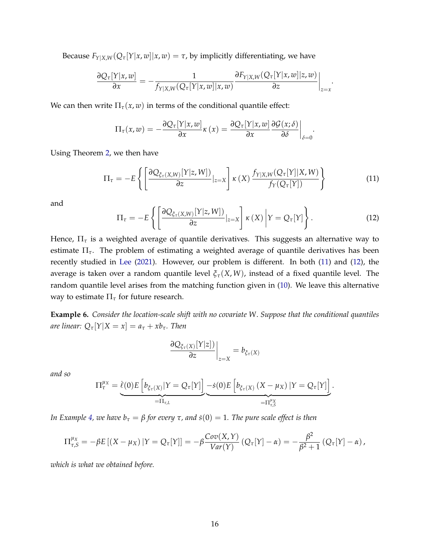Because  $F_{Y|X,W}(Q_{\tau}[Y|x,w]|x,w) = \tau$ , by implicitly differentiating, we have

$$
\frac{\partial Q_{\tau}[Y|x,w]}{\partial x} = -\frac{1}{f_{Y|X,W}(Q_{\tau}[Y|x,w]|x,w)} \frac{\partial F_{Y|X,W}(Q_{\tau}[Y|x,w]|z,w)}{\partial z}\bigg|_{z=x}.
$$

We can then write  $\Pi_{\tau}(x,w)$  in terms of the conditional quantile effect:

$$
\Pi_{\tau}(x,w) = -\frac{\partial Q_{\tau}[Y|x,w]}{\partial x}\kappa(x) = \frac{\partial Q_{\tau}[Y|x,w]}{\partial x}\frac{\partial G(x;\delta)}{\partial \delta}\bigg|_{\delta=0}.
$$

Using Theorem [2,](#page-14-0) we then have

<span id="page-15-0"></span>
$$
\Pi_{\tau} = -E\left\{ \left[ \frac{\partial Q_{\xi_{\tau}(X,W)}[Y|z,W])}{\partial z}|_{z=X} \right] \kappa(X) \frac{f_{Y|X,W}(Q_{\tau}[Y]|X,W)}{f_{Y}(Q_{\tau}[Y])} \right\} \tag{11}
$$

and

<span id="page-15-1"></span>
$$
\Pi_{\tau} = -E\left\{ \left[ \frac{\partial Q_{\xi_{\tau}(X,W)}[Y|z,W]}{\partial z}|_{z=X} \right] \kappa(X) \left| Y = Q_{\tau}[Y] \right. \right\}.
$$
 (12)

Hence, Π*<sup>τ</sup>* is a weighted average of quantile derivatives. This suggests an alternative way to estimate Π*τ*. The problem of estimating a weighted average of quantile derivatives has been recently studied in [Lee](#page-33-14) [\(2021\)](#page-33-14). However, our problem is different. In both [\(11\)](#page-15-0) and [\(12\)](#page-15-1), the average is taken over a random quantile level *ξτ*(*X*, *W*), instead of a fixed quantile level. The random quantile level arises from the matching function given in [\(10\)](#page-14-1). We leave this alternative way to estimate  $\Pi_{\tau}$  for future research.

**Example 6.** *Consider the location-scale shift with no covariate W*. *Suppose that the conditional quantiles are linear:*  $Q_{\tau}[Y|X=x] = a_{\tau} + xb_{\tau}$ *. Then* 

$$
\left. \frac{\partial Q_{\xi_{\tau}(X)}[Y|z])}{\partial z} \right|_{z=X} = b_{\xi_{\tau}(X)}
$$

*and so*

$$
\Pi_{\tau}^{\mu_X} = \underbrace{\dot{\ell}(0)E\left[b_{\xi_{\tau}(X)}|Y = Q_{\tau}[Y]\right]}_{= \Pi_{\tau,L}} - \underbrace{\dot{s}(0)E\left[b_{\xi_{\tau}(X)}\left(X - \mu_X\right)|Y = Q_{\tau}[Y]\right]}_{= \Pi_{\tau,S}^{\mu_X}}.
$$

*In Example [4,](#page-10-1) we have*  $b<sub>τ</sub> = β$  *for every*  $τ$ *, and*  $\dot{s}(0) = 1$ *. The pure scale effect is then* 

$$
\Pi_{\tau,S}^{\mu_X} = -\beta E\left[ (X - \mu_X) | Y = Q_\tau[Y] \right] = -\beta \frac{Cov(X,Y)}{Var(Y)} \left( Q_\tau[Y] - \alpha \right) = -\frac{\beta^2}{\beta^2 + 1} \left( Q_\tau[Y] - \alpha \right),
$$

*which is what we obtained before.*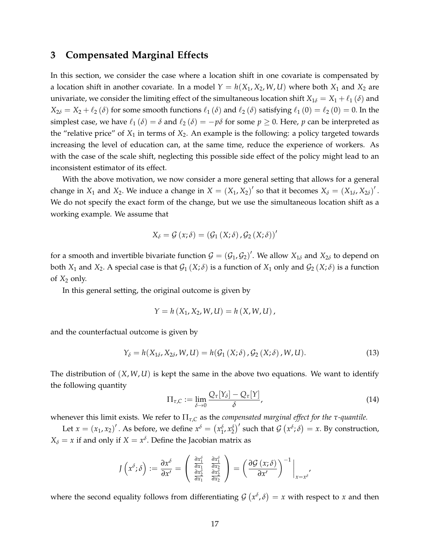### <span id="page-16-0"></span>**3 Compensated Marginal Effects**

In this section, we consider the case where a location shift in one covariate is compensated by a location shift in another covariate. In a model  $Y = h(X_1, X_2, W, U)$  where both  $X_1$  and  $X_2$  are univariate, we consider the limiting effect of the simultaneous location shift  $X_{1\delta} = X_1 + \ell_1(\delta)$  and  $X_{2\delta} = X_2 + \ell_2 (\delta)$  for some smooth functions  $\ell_1 (\delta)$  and  $\ell_2 (\delta)$  satisfying  $\ell_1 (0) = \ell_2 (0) = 0$ . In the simplest case, we have  $\ell_1 (\delta) = \delta$  and  $\ell_2 (\delta) = -p\delta$  for some  $p \ge 0$ . Here,  $p$  can be interpreted as the "relative price" of  $X_1$  in terms of  $X_2$ . An example is the following: a policy targeted towards increasing the level of education can, at the same time, reduce the experience of workers. As with the case of the scale shift, neglecting this possible side effect of the policy might lead to an inconsistent estimator of its effect.

With the above motivation, we now consider a more general setting that allows for a general change in  $X_1$  and  $X_2$ . We induce a change in  $X = (X_1, X_2)'$  so that it becomes  $X_{\delta} = (X_{1\delta}, X_{2\delta})'$ . We do not specify the exact form of the change, but we use the simultaneous location shift as a working example. We assume that

$$
X_{\delta} = \mathcal{G}(x; \delta) = (\mathcal{G}_1(X; \delta), \mathcal{G}_2(X; \delta))'
$$

for a smooth and invertible bivariate function  $\mathcal{G} = (\mathcal{G}_1, \mathcal{G}_2)'$ . We allow  $X_{1\delta}$  and  $X_{2\delta}$  to depend on both  $X_1$  and  $X_2$ . A special case is that  $\mathcal{G}_1(X;\delta)$  is a function of  $X_1$  only and  $\mathcal{G}_2(X;\delta)$  is a function of  $X_2$  only.

In this general setting, the original outcome is given by

$$
Y = h(X_1, X_2, W, U) = h(X, W, U),
$$

and the counterfactual outcome is given by

$$
Y_{\delta} = h(X_{1\delta}, X_{2\delta}, W, U) = h(\mathcal{G}_1(X; \delta), \mathcal{G}_2(X; \delta), W, U). \tag{13}
$$

The distribution of (*X*, *W*, *U*) is kept the same in the above two equations. We want to identify the following quantity

$$
\Pi_{\tau,C} := \lim_{\delta \to 0} \frac{Q_{\tau}[Y_{\delta}] - Q_{\tau}[Y]}{\delta},\tag{14}
$$

whenever this limit exists. We refer to Π*τ*,*<sup>C</sup>* as the *compensated marginal effect for the τ-quantile.*

Let  $x = (x_1, x_2)'$ . As before, we define  $x^\delta = (x_1^\delta, x_2^\delta)'$  such that  $\mathcal{G}(x^\delta; \delta) = x$ . By construction,  $X_{\delta} = x$  if and only if  $X = x^{\delta}$ . Define the Jacobian matrix as

$$
J\left(x^{\delta};\delta\right):=\frac{\partial x^{\delta}}{\partial x'}=\left(\begin{array}{cc} \frac{\partial x_1^{\delta}}{\partial x_1} & \frac{\partial x_1^{\delta}}{\partial x_2} \\ \frac{\partial x_2^{\delta}}{\partial x_1} & \frac{\partial x_2^{\delta}}{\partial x_2} \end{array}\right)=\left(\frac{\partial G\left(x;\delta\right)}{\partial x'}\right)^{-1}\bigg|_{x=x^{\delta}}.
$$

where the second equality follows from differentiating  $\mathcal{G}\left(x^{\delta},\delta\right)=x$  with respect to  $x$  and then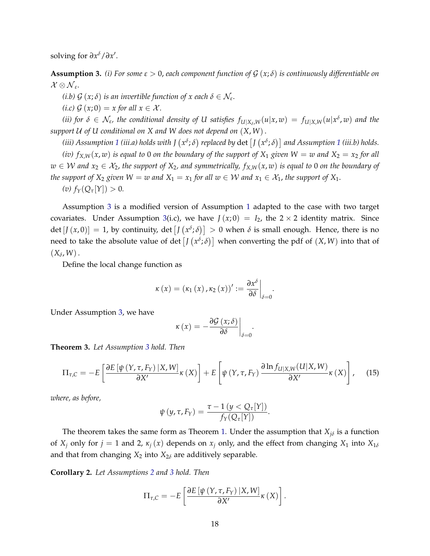solving for  $\partial x^{\delta}/\partial x'$ .

<span id="page-17-0"></span>**Assumption 3.** (i) For some  $\varepsilon > 0$ , each component function of  $\mathcal{G}(x;\delta)$  is continuously differentiable on  $\mathcal{X}\otimes \mathcal{N}_{\varepsilon}.$ 

*(i.b)*  $G(x;\delta)$  *is an invertible function of x each*  $\delta \in \mathcal{N}_{\varepsilon}$ .

*(i.c)*  $\mathcal{G}(x;0) = x$  *for all*  $x \in \mathcal{X}$ *.* 

(ii) for  $\delta\in\mathcal{N}_\varepsilon$ , the conditional density of U satisfies  $f_{U|X_\delta,W}(u|x,w)=f_{U|X,W}(u|x^\delta,w)$  and the *support* U *of U conditional on X and W does not depend on* (*X*, *W*).

(*iii) Assumption [1](#page-5-2) (iii.a) holds with J*  $(x^{\delta};\delta)$  *replaced by*  $\det\left[ J\left( x^{\delta};\delta\right) \right]$  *and Assumption 1 (<i>iii.b) holds. (iv)*  $f_{X,W}(x, w)$  *is equal to* 0 *on the boundary of the support of*  $X_1$  *given*  $W = w$  *and*  $X_2 = x_2$  *for all w* ∈ *W* and  $x_2$  ∈  $\mathcal{X}_2$ , the support of  $X_2$ , and symmetrically,  $f_{X,W}(x,w)$  is equal to 0 on the boundary of *the support of*  $X_2$  *given*  $W = w$  *and*  $X_1 = x_1$  *for all*  $w \in W$  *and*  $x_1 \in X_1$ *, the support of*  $X_1$ *.*  $f_Y(Q_\tau[Y]) > 0.$ 

Assumption [3](#page-17-0) is a modified version of Assumption [1](#page-5-2) adapted to the case with two target covariates. Under Assumption [3\(](#page-17-0)i.c), we have  $J(x; 0) = I_2$ , the  $2 \times 2$  identity matrix. Since  $\det [J(x,0)] = 1$ , by continuity,  $\det [J(x^{\delta};\delta)] > 0$  when  $\delta$  is small enough. Hence, there is no need to take the absolute value of  $\det\left[ J\left( x^{\delta} ; \delta \right) \right]$  when converting the pdf of  $(X,W)$  into that of  $(X_\delta, W)$ .

Define the local change function as

$$
\kappa(x)=(\kappa_1(x),\kappa_2(x))':=\frac{\partial x^{\delta}}{\partial \delta}\bigg|_{\delta=0}.
$$

Under Assumption [3,](#page-17-0) we have

$$
\kappa(x) = -\frac{\partial \mathcal{G}(x;\delta)}{\partial \delta}\bigg|_{\delta=0}.
$$

<span id="page-17-2"></span>**Theorem 3.** *Let Assumption [3](#page-17-0) hold. Then*

$$
\Pi_{\tau,C} = -E \left[ \frac{\partial E \left[ \psi \left( Y, \tau, F_Y \right) \mid X, W \right]}{\partial X'} \kappa \left( X \right) \right] + E \left[ \psi \left( Y, \tau, F_Y \right) \frac{\partial \ln f_{U \mid X, W} \left( U \mid X, W \right)}{\partial X'} \kappa \left( X \right) \right], \quad (15)
$$

*where, as before,*

$$
\psi(y,\tau,F_Y)=\frac{\tau-1\,(y
$$

The theorem takes the same form as Theorem [1.](#page-5-2) Under the assumption that  $X_{j\delta}$  is a function of  $X_i$  only for  $j = 1$  and 2,  $\kappa_j(x)$  depends on  $x_j$  only, and the effect from changing  $X_1$  into  $X_{1\delta}$ and that from changing  $X_2$  into  $X_{2\delta}$  are additively separable.

<span id="page-17-1"></span>**Corollary 2.** *Let Assumptions [2](#page-8-0) and [3](#page-17-0) hold. Then*

$$
\Pi_{\tau,C} = -E \left[ \frac{\partial E \left[ \psi \left( Y, \tau, F_Y \right) \left| X, W \right|}{\partial X'} \kappa \left( X \right) \right] .
$$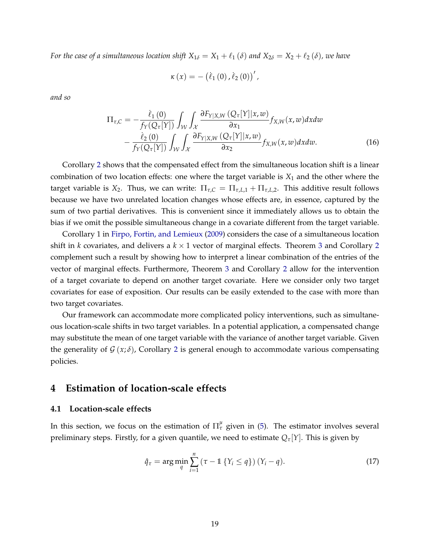*For the case of a simultaneous location shift*  $X_{1\delta} = X_1 + \ell_1(\delta)$  *and*  $X_{2\delta} = X_2 + \ell_2(\delta)$ *, we have* 

<span id="page-18-2"></span>
$$
\kappa(x) = -(\dot{\ell}_1(0), \dot{\ell}_2(0))'
$$

*and so*

$$
\Pi_{\tau,C} = -\frac{\dot{\ell}_1(0)}{f_Y(Q_\tau[Y])} \int_{\mathcal{W}} \int_{\mathcal{X}} \frac{\partial F_{Y|X,W}(Q_\tau[Y]|x,w)}{\partial x_1} f_{X,W}(x,w) dxdw -\frac{\dot{\ell}_2(0)}{f_Y(Q_\tau[Y])} \int_{\mathcal{W}} \int_{\mathcal{X}} \frac{\partial F_{Y|X,W}(Q_\tau[Y]|x,w)}{\partial x_2} f_{X,W}(x,w) dxdw.
$$
 (16)

Corollary [2](#page-17-1) shows that the compensated effect from the simultaneous location shift is a linear combination of two location effects: one where the target variable is *X*<sup>1</sup> and the other where the target variable is *X*<sub>2</sub>. Thus, we can write:  $\Pi_{\tau,C} = \Pi_{\tau,L,1} + \Pi_{\tau,L,2}$ . This additive result follows because we have two unrelated location changes whose effects are, in essence, captured by the sum of two partial derivatives. This is convenient since it immediately allows us to obtain the bias if we omit the possible simultaneous change in a covariate different from the target variable.

Corollary 1 in [Firpo, Fortin, and Lemieux](#page-33-3) [\(2009\)](#page-33-3) considers the case of a simultaneous location shift in *k* covariates, and delivers a *k* × 1 vector of marginal effects. Theorem [3](#page-17-2) and Corollary [2](#page-17-1) complement such a result by showing how to interpret a linear combination of the entries of the vector of marginal effects. Furthermore, Theorem [3](#page-17-2) and Corollary [2](#page-17-1) allow for the intervention of a target covariate to depend on another target covariate. Here we consider only two target covariates for ease of exposition. Our results can be easily extended to the case with more than two target covariates.

Our framework can accommodate more complicated policy interventions, such as simultaneous location-scale shifts in two target variables. In a potential application, a compensated change may substitute the mean of one target variable with the variance of another target variable. Given the generality of  $\mathcal{G}(x;\delta)$ , Corollary [2](#page-17-1) is general enough to accommodate various compensating policies.

### <span id="page-18-0"></span>**4 Estimation of location-scale effects**

#### **4.1 Location-scale effects**

In this section, we focus on the estimation of  $\Pi_\tau^\mu$  given in [\(5\)](#page-8-2). The estimator involves several preliminary steps. Firstly, for a given quantile, we need to estimate *Qτ*[*Y*]. This is given by

<span id="page-18-1"></span>
$$
\hat{q}_{\tau} = \arg\min_{q} \sum_{i=1}^{n} \left(\tau - \mathbb{1}\left\{Y_i \leq q\right\}\right) \left(Y_i - q\right). \tag{17}
$$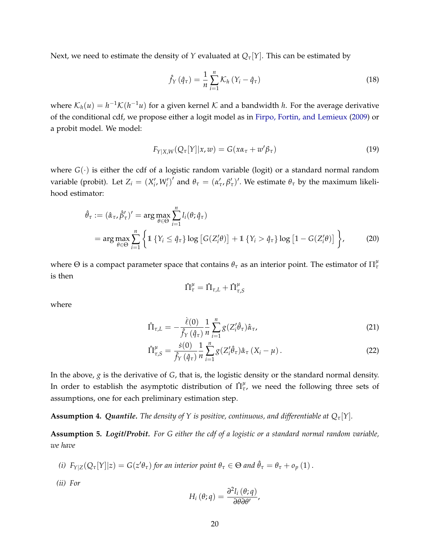Next, we need to estimate the density of *Y* evaluated at  $Q_{\tau}[Y]$ . This can be estimated by

<span id="page-19-5"></span>
$$
\hat{f}_Y(\hat{q}_\tau) = \frac{1}{n} \sum_{i=1}^n \mathcal{K}_h \left( Y_i - \hat{q}_\tau \right) \tag{18}
$$

where  $\mathcal{K}_h(u) = h^{-1} \mathcal{K}(h^{-1}u)$  for a given kernel  $\mathcal K$  and a bandwidth *h*. For the average derivative of the conditional cdf, we propose either a logit model as in [Firpo, Fortin, and Lemieux](#page-33-3) [\(2009\)](#page-33-3) or a probit model. We model:

$$
F_{Y|X,W}(Q_{\tau}[Y]|x,w) = G(x\alpha_{\tau} + w'\beta_{\tau})
$$
\n(19)

where  $G(\cdot)$  is either the cdf of a logistic random variable (logit) or a standard normal random variable (probit). Let  $Z_i = (X'_i, W'_i)'$  and  $\theta_\tau = (\alpha'_\tau, \beta'_\tau)'$ . We estimate  $\theta_\tau$  by the maximum likelihood estimator:

$$
\hat{\theta}_{\tau} := (\hat{\alpha}_{\tau}, \hat{\beta}_{\tau}')' = \arg \max_{\theta \in \Theta} \sum_{i=1}^{n} l_i(\theta; \hat{q}_{\tau})
$$
\n
$$
= \arg \max_{\theta \in \Theta} \sum_{i=1}^{n} \left\{ \mathbb{1} \left\{ Y_i \leq \hat{q}_{\tau} \right\} \log \left[ G(Z_i' \theta) \right] + \mathbb{1} \left\{ Y_i > \hat{q}_{\tau} \right\} \log \left[ 1 - G(Z_i' \theta) \right] \right\},\tag{20}
$$

where  $\Theta$  is a compact parameter space that contains  $\theta_\tau$  as an interior point. The estimator of  $\Pi_\tau^\mu$ is then

<span id="page-19-4"></span><span id="page-19-3"></span><span id="page-19-2"></span>
$$
\hat{\Pi}^{\mu}_{\tau} = \hat{\Pi}_{\tau,L} + \hat{\Pi}^{\mu}_{\tau,S}
$$

where

$$
\hat{\Pi}_{\tau,L} = -\frac{\dot{\ell}(0)}{\hat{f}_Y(\hat{q}_\tau)} \frac{1}{n} \sum_{i=1}^n g(Z_i'\hat{\theta}_\tau) \hat{\alpha}_\tau,\tag{21}
$$

$$
\hat{\Pi}^{\mu}_{\tau,S} = \frac{\dot{s}(0)}{\hat{f}_Y(\hat{q}_\tau)} \frac{1}{n} \sum_{i=1}^n g(Z_i'\hat{\theta}_\tau) \hat{\alpha}_\tau (X_i - \mu).
$$
\n(22)

In the above, *g* is the derivative of *G*, that is, the logistic density or the standard normal density. In order to establish the asymptotic distribution of  $\hat{\Pi}^\mu_{\tau}$ , we need the following three sets of assumptions, one for each preliminary estimation step.

<span id="page-19-0"></span>**Assumption 4.** *Quantile. The density of Y is positive, continuous, and differentiable at*  $Q_\tau[Y]$ *.* 

<span id="page-19-1"></span>**Assumption 5.** *Logit/Probit. For G either the cdf of a logistic or a standard normal random variable, we have*

(i) 
$$
F_{Y|Z}(Q_{\tau}[Y]|z) = G(z'\theta_{\tau})
$$
 for an interior point  $\theta_{\tau} \in \Theta$  and  $\hat{\theta}_{\tau} = \theta_{\tau} + o_p(1)$ .

*(ii) For*

$$
H_i(\theta; q) = \frac{\partial^2 l_i(\theta; q)}{\partial \theta \partial \theta'},
$$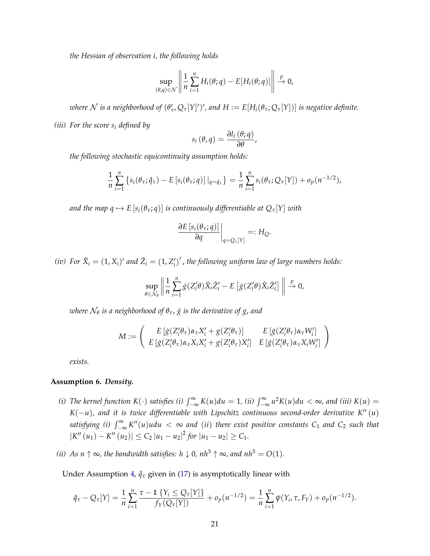*the Hessian of observation i, the following holds*

$$
\sup_{(\theta,q)\in\mathcal{N}}\left\|\frac{1}{n}\sum_{i=1}^n H_i(\theta;q)-E[H_i(\theta;q)]\right\| \stackrel{p}{\to} 0,
$$

*where*  $N$  *is a neighborhood of*  $(\theta'_\tau, Q_\tau[Y]')'$ *, and*  $H := E[H_i(\theta_\tau; Q_\tau[Y])]$  *is negative definite.* 

*(iii) For the score s<sup>i</sup> defined by*

$$
s_i(\theta, q) = \frac{\partial l_i(\theta; q)}{\partial \theta},
$$

*the following stochastic equicontinuity assumption holds:*

$$
\frac{1}{n}\sum_{i=1}^n \left\{ s_i(\theta_\tau; \hat{q}_\tau) - E\left[ s_i(\theta_\tau; q) \right] \big|_{q = \hat{q}_\tau} \right\} = \frac{1}{n}\sum_{i=1}^n s_i(\theta_\tau; Q_\tau[Y]) + o_p(n^{-1/2}),
$$

*and the map q*  $\mapsto$  *E* [ $s_i(\theta_\tau; q)$ ] *is continuously differentiable at*  $Q_\tau[Y]$  *with* 

$$
\left. \frac{\partial E\left[s_i(\theta_\tau; q)\right]}{\partial q} \right|_{q = Q_\tau[Y]} =: H_Q.
$$

*(iv)* For  $\tilde{X}_i = (1, X_i)'$  and  $\tilde{Z}_i = (1, Z'_i)'$ , the following uniform law of large numbers holds:

$$
\sup_{\theta \in \mathcal{N}_{\theta}} \left\| \frac{1}{n} \sum_{i=1}^{n} \dot{g}(Z'_{i} \theta) \tilde{X}_{i} \tilde{Z}'_{i} - E \left[ \dot{g}(Z'_{i} \theta) \tilde{X}_{i} \tilde{Z}'_{i} \right] \right\| \xrightarrow{p} 0,
$$

 $\nu$ here  $\mathcal{N}_{\theta}$  is a neighborhood of  $\theta_\tau$ ,  $\dot{g}$  is the derivative of g, and

$$
M := \begin{pmatrix} E\left[\dot{g}(Z_i'\theta_\tau)\alpha_\tau X_i' + g(Z_i'\theta_\tau)\right] & E\left[\dot{g}(Z_i'\theta_\tau)\alpha_\tau W_i'\right] \\ E\left[\dot{g}(Z_i'\theta_\tau)\alpha_\tau X_i X_i' + g(Z_i'\theta_\tau)X_i'\right] & E\left[\dot{g}(Z_i'\theta_\tau)\alpha_\tau X_i W_i'\right] \end{pmatrix}
$$

*exists.*

#### <span id="page-20-0"></span>**Assumption 6.** *Density.*

- *(i) The kernel function*  $K(\cdot)$  *satisfies (i)*  $\int_{-\infty}^{\infty} K(u) du = 1$ *, (ii)*  $\int_{-\infty}^{\infty} u^2 K(u) du < \infty$ *, and (iii)*  $K(u) =$  $K(-u)$ , and it is twice differentiable with Lipschitz continuous second-order derivative K<sup>n</sup>(u) satisfying (i)  $\int_{-\infty}^{\infty} K''(u)udu < \infty$  and (ii) there exist positive constants  $C_1$  and  $C_2$  such that  $|K''(u_1) - K''(u_2)| \le C_2 |u_1 - u_2|^2$  for  $|u_1 - u_2| \ge C_1$ .
- *(ii) As*  $n \uparrow \infty$ *, the bandwidth satisfies:*  $h \downarrow 0$ *,*  $nh^3 \uparrow \infty$ *, and*  $nh^5 = O(1)$ *.*

Under Assumption [4,](#page-19-0)  $\hat{q}_\tau$  given in [\(17\)](#page-18-1) is asymptotically linear with

$$
\hat{q}_{\tau} - Q_{\tau}[Y] = \frac{1}{n} \sum_{i=1}^{n} \frac{\tau - 1 \{ Y_i \le Q_{\tau}[Y] \}}{f_Y(Q_{\tau}[Y])} + o_p(n^{-1/2}) = \frac{1}{n} \sum_{i=1}^{n} \psi(Y_i, \tau, F_Y) + o_p(n^{-1/2}).
$$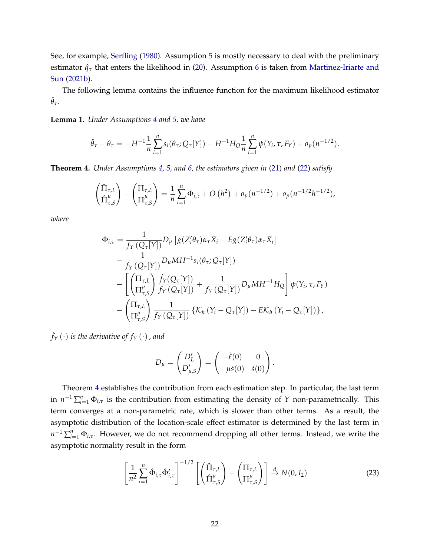See, for example, [Serfling](#page-33-15) [\(1980\)](#page-33-15). Assumption [5](#page-19-1) is mostly necessary to deal with the preliminary estimator  $\hat{q}_{\tau}$  that enters the likelihood in [\(20\)](#page-19-2). Assumption [6](#page-20-0) is taken from [Martinez-Iriarte and](#page-33-8) [Sun](#page-33-8) [\(2021b\)](#page-33-8).

The following lemma contains the influence function for the maximum likelihood estimator  $\hat{\theta}_{\tau}$ .

<span id="page-21-2"></span>**Lemma 1.** *Under Assumptions [4](#page-19-0) and [5,](#page-19-1) we have*

$$
\hat{\theta}_{\tau} - \theta_{\tau} = -H^{-1} \frac{1}{n} \sum_{i=1}^{n} s_i(\theta_{\tau}; Q_{\tau}[Y]) - H^{-1} H_Q \frac{1}{n} \sum_{i=1}^{n} \psi(Y_i, \tau, F_Y) + o_p(n^{-1/2}).
$$

<span id="page-21-0"></span>**Theorem 4.** *Under Assumptions [4,](#page-19-0) [5,](#page-19-1) and [6,](#page-20-0) the estimators given in* [\(21\)](#page-19-3) *and* [\(22\)](#page-19-4) *satisfy*

$$
\begin{pmatrix} \hat{\Pi}_{\tau,L} \\ \hat{\Pi}_{\tau,S}^{\mu} \end{pmatrix} - \begin{pmatrix} \Pi_{\tau,L} \\ \Pi_{\tau,S}^{\mu} \end{pmatrix} = \frac{1}{n} \sum_{i=1}^{n} \Phi_{i,\tau} + O\left(h^{2}\right) + o_{p}(n^{-1/2}) + o_{p}(n^{-1/2}h^{-1/2}),
$$

*where*

$$
\Phi_{i,\tau} = \frac{1}{f_Y(Q_\tau[Y])} D_\mu \left[ g(Z_i'\theta_\tau) \alpha_\tau \tilde{X}_i - E g(Z_i'\theta_\tau) \alpha_\tau \tilde{X}_i \right] \n- \frac{1}{f_Y(Q_\tau[Y])} D_\mu M H^{-1} s_i(\theta_\tau; Q_\tau[Y]) \n- \left[ \left( \prod_{\tau,\iota}^{\tau,\iota} \right) \frac{\dot{f}_Y(Q_\tau[Y])}{f_Y(Q_\tau[Y])} + \frac{1}{f_Y(Q_\tau[Y])} D_\mu M H^{-1} H_Q \right] \psi(Y_i, \tau, F_Y) \n- \left( \prod_{\tau,\iota}^{\tau,\iota} \right) \frac{1}{f_Y(Q_\tau[Y])} \left\{ K_h(Y_i - Q_\tau[Y]) - E K_h(Y_i - Q_\tau[Y]) \right\},
$$

 $\dot{f}_Y \left( \cdot \right)$  is the derivative of  $f_Y \left( \cdot \right)$  , and

$$
D_{\mu} = \begin{pmatrix} D'_{L} \\ D'_{\mu,S} \end{pmatrix} = \begin{pmatrix} -\dot{\ell}(0) & 0 \\ -\mu \dot{s}(0) & \dot{s}(0) \end{pmatrix}.
$$

Theorem [4](#page-21-0) establishes the contribution from each estimation step. In particular, the last term in  $n^{-1} \sum_{i=1}^{n} \Phi_{i,\tau}$  is the contribution from estimating the density of *Y* non-parametrically. This term converges at a non-parametric rate, which is slower than other terms. As a result, the asymptotic distribution of the location-scale effect estimator is determined by the last term in *n*<sup>-1</sup> ∑<sup>*n*</sup><sub>*i*</sub>-*τ*. However, we do not recommend dropping all other terms. Instead, we write the asymptotic normality result in the form

<span id="page-21-1"></span>
$$
\left[\frac{1}{n^2} \sum_{i=1}^n \hat{\Phi}_{i,\tau} \hat{\Phi}'_{i,\tau}\right]^{-1/2} \left[\left(\hat{\Pi}_{\tau,L} \atop \hat{\Pi}_{\tau,S}^{\mu}\right) - \left(\Pi_{\tau,L} \atop \Pi_{\tau,S}^{\mu}\right)\right] \stackrel{d}{\to} N(0,I_2)
$$
(23)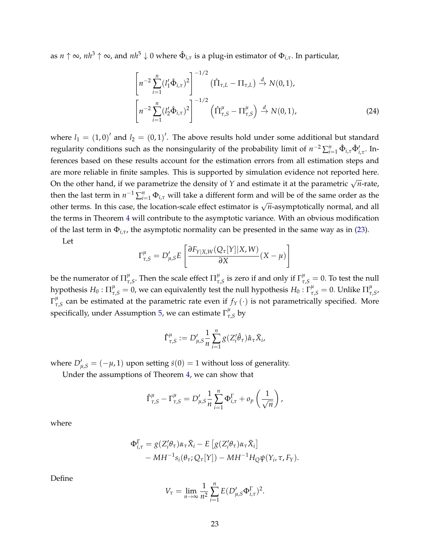as *n* ↑ ∞, *nh*<sup>3</sup> ↑ ∞, and *nh*<sup>5</sup> ↓ 0 where Φˆ *<sup>i</sup>*,*<sup>τ</sup>* is a plug-in estimator of Φ*i*,*τ*. In particular,

<span id="page-22-0"></span>
$$
\left[n^{-2}\sum_{i=1}^{n}(l'_{1}\hat{\Phi}_{i,\tau})^{2}\right]^{-1/2}(\hat{\Pi}_{\tau,L}-\Pi_{\tau,L}) \stackrel{d}{\to} N(0,1),
$$

$$
\left[n^{-2}\sum_{i=1}^{n}(l'_{2}\hat{\Phi}_{i,\tau})^{2}\right]^{-1/2}(\hat{\Pi}^{\mu}_{\tau,S}-\Pi^{\mu}_{\tau,S}) \stackrel{d}{\to} N(0,1),
$$
(24)

where  $l_1 = (1,0)^{\prime}$  and  $l_2 = (0,1)^{\prime}$ . The above results hold under some additional but standard regularity conditions such as the nonsingularity of the probability limit of  $n^{-2} \sum_{i=1}^{n} \hat{\Phi}_{i,\tau} \hat{\Phi}'_{i,\tau}$ . Inferences based on these results account for the estimation errors from all estimation steps and are more reliable in finite samples. This is supported by simulation evidence not reported here. On the other hand, if we parametrize the density of *<sup>Y</sup>* and estimate it at the parametric <sup>√</sup> *n*-rate, then the last term in  $n^{-1} \sum_{i=1}^{n} \Phi_{i,\tau}$  will take a different form and will be of the same order as the other terms. In this case, the location-scale effect estimator is  $\sqrt{n}$ -asymptotically normal, and all the terms in Theorem [4](#page-21-0) will contribute to the asymptotic variance. With an obvious modification of the last term in Φ*i*,*τ*, the asymptotic normality can be presented in the same way as in [\(23\)](#page-21-1).

Let

$$
\Gamma_{\tau,S}^{\mu} = D'_{\mu,S} E \left[ \frac{\partial F_{Y|X,W}(Q_{\tau}[Y]|X,W)}{\partial X}(X-\mu) \right]
$$

be the numerator of  $\Pi_\tau^\mu$  $^{\mu}_{\tau, S}$ . Then the scale effect  $\Pi^{\mu}_{\tau}$ *μ*<sub>*τ*,*S*</sub> is zero if and only if  $\Gamma^{\mu}_{\tau, S} = 0$ . To test the null hypothesis  $H_0$  :  $\prod_{\tau,S}^\mu=0$ , we can equivalently test the null hypothesis  $H_0$  :  $\Gamma_{\tau,S}^\mu=0.$  Unlike  $\prod_{\tau}^\mu$ *τ*,*S* ,  $\Gamma^\mu_\tau$  $\frac{\mu}{\tau,s}$  can be estimated at the parametric rate even if  $f_Y(\cdot)$  is not parametrically specified. More specifically, under Assumption [5,](#page-19-1) we can estimate  $\Gamma^{\mu}_{\tau}$ *τ*,*S* by

$$
\hat{\Gamma}^{\mu}_{\tau,S} := D'_{\mu,S} \frac{1}{n} \sum_{i=1}^{n} g(Z'_{i} \hat{\theta}_{\tau}) \hat{\alpha}_{\tau} \tilde{X}_{i},
$$

where  $D'_{\mu,S} = (-\mu, 1)$  upon setting  $\dot{s}(0) = 1$  without loss of generality.

Under the assumptions of Theorem [4,](#page-21-0) we can show that

$$
\hat{\Gamma}^{\mu}_{\tau,S} - \Gamma^{\mu}_{\tau,S} = D'_{\mu,S} \frac{1}{n} \sum_{i=1}^{n} \Phi^{\Gamma}_{i,\tau} + o_p\left(\frac{1}{\sqrt{n}}\right),
$$

where

$$
\Phi_{i,\tau}^{\Gamma} = g(Z_i'\theta_{\tau})\alpha_{\tau}\tilde{X}_i - E[g(Z_i'\theta_{\tau})\alpha_{\tau}\tilde{X}_i] - MH^{-1}s_i(\theta_{\tau}; Q_{\tau}[Y]) - MH^{-1}H_Q\psi(Y_i, \tau, F_Y).
$$

Define

$$
V_{\tau} = \lim_{n \to \infty} \frac{1}{n^2} \sum_{i=1}^n E(D'_{\mu,S} \Phi_{i,\tau}^{\Gamma})^2.
$$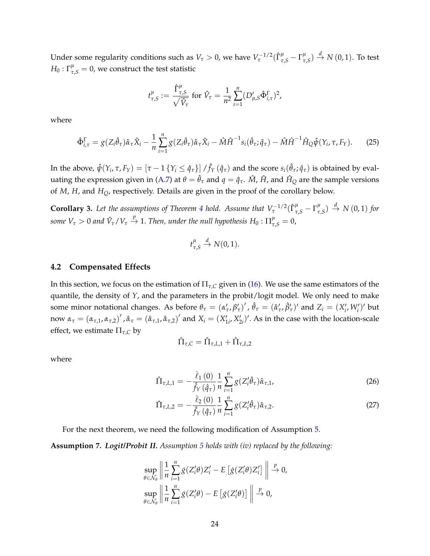Under some regularity conditions such as  $V_\tau > 0$ , we have  $V_\tau^{-1/2} (\hat{\Gamma}^\mu_{\tau, S} - \Gamma^\mu_\tau)$  $\frac{\mu}{\tau, S}$ )  $\stackrel{d}{\rightarrow} N(0, 1)$ . To test  $H_0: \Gamma_{\tau, S}^\mu = 0$ , we construct the test statistic

$$
t^{\mu}_{\tau,S} := \frac{\hat{\Gamma}^{\mu}_{\tau,S}}{\sqrt{\hat{V}_{\tau}}} \text{ for } \hat{V}_{\tau} = \frac{1}{n^2} \sum_{i=1}^{n} (D'_{\mu,S} \hat{\Phi}^{\Gamma}_{i,\tau})^2,
$$

where

$$
\hat{\Phi}_{i,\tau}^{\Gamma} = g(Z_i \hat{\theta}_{\tau}) \hat{\alpha}_{\tau} \tilde{X}_i - \frac{1}{n} \sum_{i=1}^n g(Z_i \hat{\theta}_{\tau}) \hat{\alpha}_{\tau} \tilde{X}_i - \hat{M} \hat{H}^{-1} s_i(\hat{\theta}_{\tau}; \hat{q}_{\tau}) - \hat{M} \hat{H}^{-1} \hat{H}_{Q} \hat{\psi}(Y_i, \tau, F_Y). \tag{25}
$$

In the above,  $\hat{\psi}(Y_i,\tau,F_Y)=[\tau-1\{Y_i\leq\hat{q}_\tau\}]\,/\hat{f}_Y\,(\hat{q}_\tau)$  and the score  $s_i(\hat{\theta}_\tau;\hat{q}_\tau)$  is obtained by eval-uating the expression given in [\(A.7\)](#page-43-0) at  $\theta = \hat{\theta}_{\tau}$  and  $q = \hat{q}_{\tau}$ .  $\hat{M}$ ,  $\hat{H}$ , and  $\hat{H}_Q$  are the sample versions of *M*, *H*, and *HQ*, respectively. Details are given in the proof of the corollary below.

<span id="page-23-3"></span>**Corollary 3.** Let the assumptions of Theorem [4](#page-21-0) hold. Assume that  $V_{\tau}^{-1/2}(\hat{\Gamma}_{\tau,S}^{\mu}-\Gamma_{\tau}^{\mu})$  $\frac{d}{d\tau, S}$ )  $\stackrel{d}{\rightarrow} N(0, 1)$  for *some*  $V_\tau > 0$  *and*  $\hat{V}_\tau / V_\tau \stackrel{p}{\to} 1$ *. Then, under the null hypothesis*  $H_0$  *:*  $\Pi^\mu_{\tau,S} = 0$ *,* 

$$
t^{\mu}_{\tau,S}\stackrel{d}{\to}N(0,1).
$$

#### **4.2 Compensated Effects**

In this section, we focus on the estimation of  $\Pi_{\tau,C}$  given in [\(16\)](#page-18-2). We use the same estimators of the quantile, the density of *Y*, and the parameters in the probit/logit model. We only need to make some minor notational changes. As before  $\theta_{\tau} = (\alpha'_{\tau}, \beta'_{\tau})'$ ,  $\hat{\theta}_{\tau} = (\hat{\alpha}'_{\tau}, \hat{\beta}'_{\tau})'$  and  $Z_i = (X'_i, W'_i)'$  but now  $\alpha_{\tau}=(\alpha_{\tau,1},\alpha_{\tau,2})'$  ,  $\hat{\alpha}_{\tau}=(\hat{\alpha}_{\tau,1},\hat{\alpha}_{\tau,2})'$  and  $X_i=(X'_{1i},X'_{2i})'$ . As in the case with the location-scale effect, we estimate  $\Pi_{\tau,C}$  by

<span id="page-23-2"></span><span id="page-23-1"></span>
$$
\hat{\Pi}_{\tau,C} = \hat{\Pi}_{\tau,L,1} + \hat{\Pi}_{\tau,L,2}
$$

where

$$
\hat{\Pi}_{\tau,L,1} = -\frac{\dot{\ell}_1(0)}{\hat{f}_Y(\hat{q}_\tau)} \frac{1}{n} \sum_{i=1}^n g(Z_i'\hat{\theta}_\tau) \hat{\alpha}_{\tau,1},\tag{26}
$$

$$
\hat{\Pi}_{\tau,L,2} = -\frac{\dot{\ell}_2(0)}{\hat{f}_Y(\hat{q}_\tau)} \frac{1}{n} \sum_{i=1}^n g(Z_i'\hat{\theta}_\tau) \hat{\alpha}_{\tau,2}.
$$
\n(27)

For the next theorem, we need the following modification of Assumption [5.](#page-19-1)

<span id="page-23-0"></span>**Assumption 7.** *Logit/Probit II. Assumption [5](#page-19-1) holds with (iv) replaced by the following:*

$$
\sup_{\theta \in \mathcal{N}_{\theta}} \left\| \frac{1}{n} \sum_{i=1}^{n} \dot{g}(Z_{i}^{\prime} \theta) Z_{i}^{\prime} - E \left[ \dot{g}(Z_{i}^{\prime} \theta) Z_{i}^{\prime} \right] \right\| \xrightarrow{p} 0,
$$
  
\n
$$
\sup_{\theta \in \mathcal{N}_{\theta}} \left\| \frac{1}{n} \sum_{i=1}^{n} \dot{g}(Z_{i}^{\prime} \theta) - E \left[ \dot{g}(Z_{i}^{\prime} \theta) \right] \right\| \xrightarrow{p} 0,
$$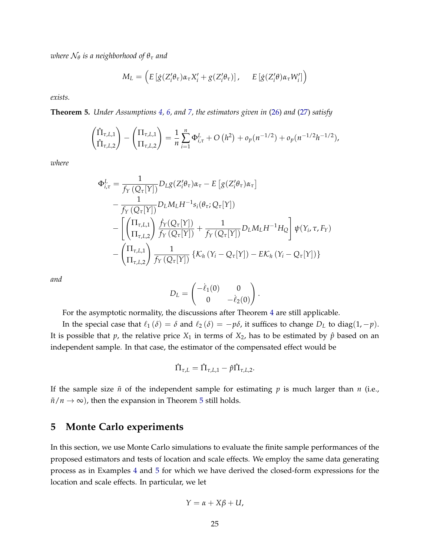*where* N*<sup>θ</sup> is a neighborhood of θ<sup>τ</sup> and*

$$
M_L = \left( E \left[ \dot{g}(Z_i' \theta_\tau) \alpha_\tau X_i' + g(Z_i' \theta_\tau) \right], \quad E \left[ \dot{g}(Z_i' \theta) \alpha_\tau W_i' \right] \right)
$$

*exists.*

<span id="page-24-1"></span>**Theorem 5.** *Under Assumptions [4,](#page-19-0) [6,](#page-20-0) and [7,](#page-23-0) the estimators given in* [\(26\)](#page-23-1) *and* [\(27\)](#page-23-2) *satisfy*

$$
\begin{pmatrix} \hat{\Pi}_{\tau,L,1} \\ \hat{\Pi}_{\tau,L,2} \end{pmatrix} - \begin{pmatrix} \Pi_{\tau,L,1} \\ \Pi_{\tau,L,2} \end{pmatrix} = \frac{1}{n} \sum_{i=1}^{n} \Phi_{i,\tau}^{L} + O\left(h^{2}\right) + o_{p}(n^{-1/2}) + o_{p}(n^{-1/2}h^{-1/2}),
$$

*where*

$$
\Phi_{i,\tau}^{L} = \frac{1}{f_{Y}(Q_{\tau}[Y])} D_{L}g(Z_{i}'\theta_{\tau})\alpha_{\tau} - E[g(Z_{i}'\theta_{\tau})\alpha_{\tau}]
$$
\n
$$
- \frac{1}{f_{Y}(Q_{\tau}[Y])} D_{L}M_{L}H^{-1}s_{i}(\theta_{\tau};Q_{\tau}[Y])
$$
\n
$$
- \left[ \left( \frac{\Pi_{\tau,L,1}}{\Pi_{\tau,L,2}} \right) \frac{\dot{f}_{Y}(Q_{\tau}[Y])}{f_{Y}(Q_{\tau}[Y])} + \frac{1}{f_{Y}(Q_{\tau}[Y])} D_{L}M_{L}H^{-1}H_{Q} \right] \psi(Y_{i},\tau,F_{Y})
$$
\n
$$
- \left( \frac{\Pi_{\tau,L,1}}{\Pi_{\tau,L,2}} \right) \frac{1}{f_{Y}(Q_{\tau}[Y])} \left\{ K_{h}(Y_{i}-Q_{\tau}[Y]) - E K_{h}(Y_{i}-Q_{\tau}[Y]) \right\}
$$

*and*

$$
D_L = \begin{pmatrix} -\dot{\ell}_1(0) & 0 \\ 0 & -\dot{\ell}_2(0) \end{pmatrix}.
$$

For the asymptotic normality, the discussions after Theorem [4](#page-21-0) are still applicable.

In the special case that  $\ell_1 (\delta) = \delta$  and  $\ell_2 (\delta) = -p\delta$ , it suffices to change  $D_L$  to diag(1, −*p*). It is possible that  $p$ , the relative price  $X_1$  in terms of  $X_2$ , has to be estimated by  $\hat{p}$  based on an independent sample. In that case, the estimator of the compensated effect would be

$$
\hat{\Pi}_{\tau,L} = \hat{\Pi}_{\tau,L,1} - \hat{p}\hat{\Pi}_{\tau,L,2}.
$$

If the sample size  $\tilde{n}$  of the independent sample for estimating  $p$  is much larger than  $n$  (i.e.,  $\tilde{n}/n \rightarrow \infty$ , then the expansion in Theorem [5](#page-24-1) still holds.

### <span id="page-24-0"></span>**5 Monte Carlo experiments**

In this section, we use Monte Carlo simulations to evaluate the finite sample performances of the proposed estimators and tests of location and scale effects. We employ the same data generating process as in Examples [4](#page-10-1) and [5](#page-11-0) for which we have derived the closed-form expressions for the location and scale effects. In particular, we let

$$
Y = \alpha + X\beta + U,
$$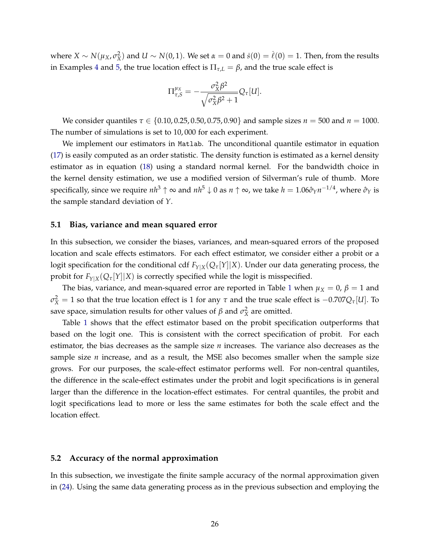where  $X \sim N(\mu_X, \sigma_X^2)$  and  $U \sim N(0, 1)$ . We set  $\alpha = 0$  and  $\dot{s}(0) = \dot{\ell}(0) = 1$ . Then, from the results in Examples [4](#page-10-1) and [5,](#page-11-0) the true location effect is  $\Pi_{\tau,L} = \beta$ , and the true scale effect is

$$
\Pi_{\tau,S}^{\mu_X} = -\frac{\sigma_X^2 \beta^2}{\sqrt{\sigma_X^2 \beta^2 + 1}} Q_{\tau}[U].
$$

We consider quantiles *τ* ∈ {0.10, 0.25, 0.50, 0.75, 0.90} and sample sizes *n* = 500 and *n* = 1000. The number of simulations is set to 10, 000 for each experiment.

We implement our estimators in Matlab. The unconditional quantile estimator in equation [\(17\)](#page-18-1) is easily computed as an order statistic. The density function is estimated as a kernel density estimator as in equation [\(18\)](#page-19-5) using a standard normal kernel. For the bandwidth choice in the kernel density estimation, we use a modified version of Silverman's rule of thumb. More specifically, since we require *nh*<sup>3</sup> ↑ ∞ and *nh*<sup>5</sup> ↓ 0 as *n* ↑ ∞, we take *h* = 1.06*σ*ˆ*Yn* <sup>−</sup>1/4, where *σ*ˆ*<sup>Y</sup>* is the sample standard deviation of *Y*.

#### **5.1 Bias, variance and mean squared error**

In this subsection, we consider the biases, variances, and mean-squared errors of the proposed location and scale effects estimators. For each effect estimator, we consider either a probit or a logit specification for the conditional cdf  $F_{Y|X}(Q_{\tau}[Y]|X)$ . Under our data generating process, the probit for  $F_{Y|X}(Q_{\tau}[Y]|X)$  is correctly specified while the logit is misspecified.

The bias, variance, and mean-squared error are reported in Table [1](#page-26-0) when  $\mu_X = 0$ ,  $\beta = 1$  and  $σ$ <sup>2</sup> $\chi$ </sup> = 1 so that the true location effect is 1 for any *τ* and the true scale effect is −0.707 $Q$ *τ*[*U*]. To save space, simulation results for other values of  $\beta$  and  $\sigma_X^2$  are omitted.

Table [1](#page-26-0) shows that the effect estimator based on the probit specification outperforms that based on the logit one. This is consistent with the correct specification of probit. For each estimator, the bias decreases as the sample size *n* increases. The variance also decreases as the sample size *n* increase, and as a result, the MSE also becomes smaller when the sample size grows. For our purposes, the scale-effect estimator performs well. For non-central quantiles, the difference in the scale-effect estimates under the probit and logit specifications is in general larger than the difference in the location-effect estimates. For central quantiles, the probit and logit specifications lead to more or less the same estimates for both the scale effect and the location effect.

#### **5.2 Accuracy of the normal approximation**

In this subsection, we investigate the finite sample accuracy of the normal approximation given in [\(24\)](#page-22-0). Using the same data generating process as in the previous subsection and employing the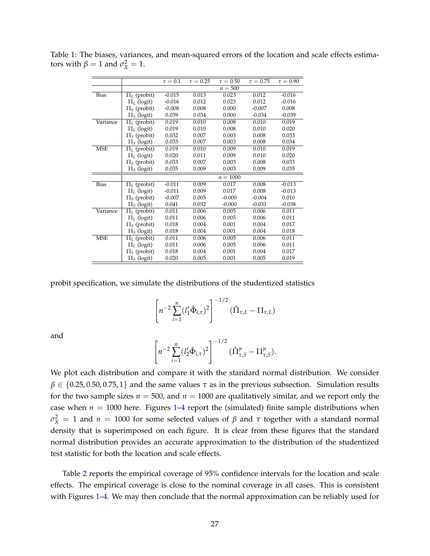|             |                    | $\tau = 0.1$ | $\tau = 0.25$ | $\tau = 0.50$ | $\tau = 0.75$ | $\tau = 0.90$ |
|-------------|--------------------|--------------|---------------|---------------|---------------|---------------|
|             |                    |              |               | $n = 500$     |               |               |
| <b>Bias</b> | $\Pi_L$ (probit)   | $-0.015$     | 0.013         | 0.023         | 0.012         | $-0.016$      |
|             | $\Pi_L$ (logit)    | $-0.016$     | 0.012         | 0.023         | 0.012         | $-0.016$      |
|             | $\Pi_{S}$ (probit) | $-0.008$     | 0.008         | 0.000         | $-0.007$      | 0.008         |
|             | $\Pi_S$ (logit)    | 0.039        | 0.034         | 0.000         | $-0.034$      | $-0.039$      |
| Variance    | $\Pi_L$ (probit)   | 0.019        | 0.010         | 0.008         | 0.010         | 0.019         |
|             | $\Pi_L$ (logit)    | 0.019        | 0.010         | 0.008         | 0.010         | 0.020         |
|             | $\Pi_{S}$ (probit) | 0.032        | 0.007         | 0.003         | 0.008         | 0.033         |
|             | $\Pi_S$ (logit)    | 0.033        | 0.007         | 0.003         | 0.008         | 0.034         |
| <b>MSE</b>  | $\Pi_L$ (probit)   | 0.019        | 0.010         | 0.009         | 0.010         | 0.019         |
|             | $\Pi_L$ (logit)    | 0.020        | 0.011         | 0.009         | 0.010         | 0.020         |
|             | $\Pi_{S}$ (probit) | 0.033        | 0.007         | 0.003         | 0.008         | 0.033         |
|             | $\Pi_S$ (logit)    | 0.035        | 0.009         | 0.003         | 0.009         | 0.035         |
|             |                    |              |               | $n = 1000$    |               |               |
| <b>Bias</b> | $\Pi_L$ (probit)   | $-0.011$     | 0.009         | 0.017         | 0.008         | $-0.013$      |
|             | $\Pi_L$ (logit)    | $-0.011$     | 0.009         | 0.017         | 0.008         | $-0.013$      |
|             | $\Pi_{S}$ (probit) | $-0.007$     | 0.005         | $-0.000$      | $-0.004$      | 0.010         |
|             | $\Pi_S$ (logit)    | 0.041        | 0.032         | $-0.000$      | $-0.031$      | $-0.038$      |
| Variance    | $\Pi_L$ (probit)   | 0.011        | 0.006         | 0.005         | 0.006         | 0.011         |
|             | $\Pi_l$ (logit)    | 0.011        | 0.006         | 0.005         | 0.006         | 0.011         |
|             | $\Pi_{S}$ (probit) | 0.018        | 0.004         | 0.001         | 0.004         | 0.017         |
|             | $\Pi_S$ (logit)    | 0.018        | 0.004         | 0.001         | 0.004         | 0.018         |
| <b>MSE</b>  | $\Pi_L$ (probit)   | 0.011        | 0.006         | 0.005         | 0.006         | 0.011         |
|             | $\Pi_L$ (logit)    | 0.011        | 0.006         | 0.005         | 0.006         | 0.011         |
|             | $\Pi_S$ (probit)   | 0.018        | 0.004         | 0.001         | 0.004         | 0.017         |
|             | $\Pi_S$ (logit)    | 0.020        | 0.005         | 0.001         | 0.005         | 0.019         |
|             |                    |              |               |               |               |               |

<span id="page-26-0"></span>Table 1: The biases, variances, and mean-squared errors of the location and scale effects estimators with  $\beta = 1$  and  $\sigma_X^2 = 1$ .

probit specification, we simulate the distributions of the studentized statistics

$$
\left[n^{-2}\sum_{i=1}^{n}(l'_{1}\hat{\Phi}_{i,\tau})^{2}\right]^{-1/2}(\hat{\Pi}_{\tau,L}-\Pi_{\tau,L})
$$

and

$$
\left[n^{-2}\sum_{i=1}^n (l'_2 \hat{\Phi}_{i,\tau})^2\right]^{-1/2} (\hat{\Pi}^{\mu}_{\tau,S} - \Pi^{\mu}_{\tau,S}).
$$

We plot each distribution and compare it with the standard normal distribution. We consider *β* ∈ {0.25, 0.50, 0.75, 1} and the same values *τ* as in the previous subsection. Simulation results for the two sample sizes  $n = 500$ , and  $n = 1000$  are qualitatively similar, and we report only the case when  $n = 1000$  here. Figures [1–](#page-27-0)[4](#page-28-0) report the (simulated) finite sample distributions when  $σ$ <sub>X</sub><sup>2</sup> = 1 and *n* = 1000 for some selected values of *β* and *τ* together with a standard normal density that is superimposed on each figure. It is clear from these figures that the standard normal distribution provides an accurate approximation to the distribution of the studentized test statistic for both the location and scale effects.

Table [2](#page-29-0) reports the empirical coverage of 95% confidence intervals for the location and scale effects. The empirical coverage is close to the nominal coverage in all cases. This is consistent with Figures [1](#page-27-0)[–4.](#page-28-0) We may then conclude that the normal approximation can be reliably used for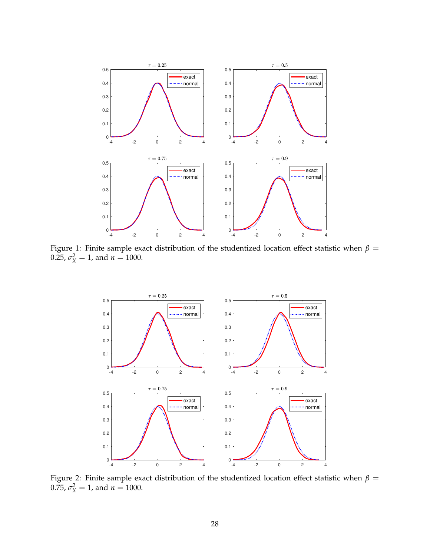<span id="page-27-0"></span>

Figure 1: Finite sample exact distribution of the studentized location effect statistic when  $\beta$  = 0.25,  $\sigma_X^2 = 1$ , and  $n = 1000$ .



Figure 2: Finite sample exact distribution of the studentized location effect statistic when  $\beta=$ 0.75,  $\sigma_X^2 = 1$ , and  $n = 1000$ .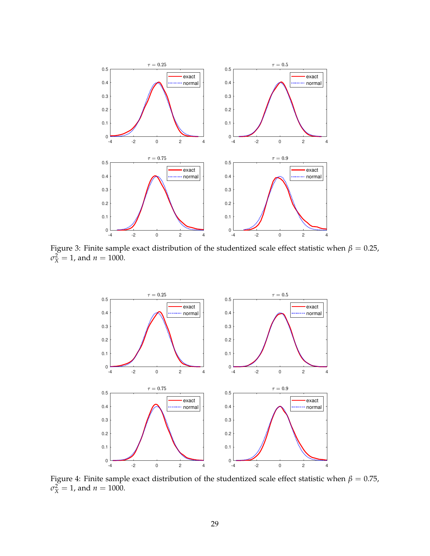

Figure 3: Finite sample exact distribution of the studentized scale effect statistic when  $\beta = 0.25$ ,  $\sigma_X^2 = 1$ , and  $n = 1000$ .

<span id="page-28-0"></span>

Figure 4: Finite sample exact distribution of the studentized scale effect statistic when  $\beta=0.75$ ,  $\sigma_X^2 = 1$ , and  $n = 1000$ .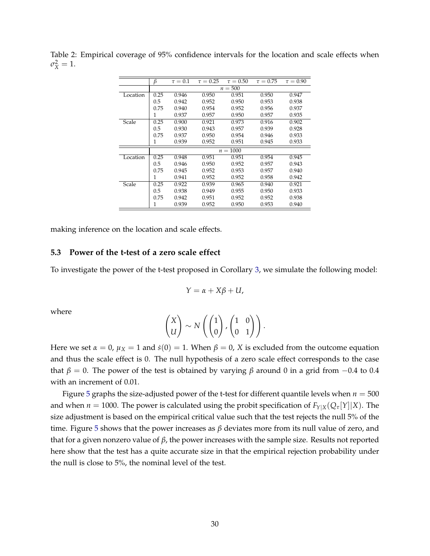|          | β          | $\tau = 0.1$ | $\tau = 0.25$ | $\tau = 0.50$ | $\tau = 0.75$ | $\tau = 0.90$ |  |  |
|----------|------------|--------------|---------------|---------------|---------------|---------------|--|--|
|          | $n = 500$  |              |               |               |               |               |  |  |
| Location | 0.25       | 0.946        | 0.950         | 0.951         | 0.950         | 0.947         |  |  |
|          | 0.5        | 0.942        | 0.952         | 0.950         | 0.953         | 0.938         |  |  |
|          | 0.75       | 0.940        | 0.954         | 0.952         | 0.956         | 0.937         |  |  |
|          | 1          | 0.937        | 0.957         | 0.950         | 0.957         | 0.935         |  |  |
| Scale    | 0.25       | 0.900        | 0.921         | 0.973         | 0.916         | 0.902         |  |  |
|          | 0.5        | 0.930        | 0.943         | 0.957         | 0.939         | 0.928         |  |  |
|          | 0.75       | 0.937        | 0.950         | 0.954         | 0.946         | 0.933         |  |  |
|          | 1          | 0.939        | 0.952         | 0.951         | 0.945         | 0.933         |  |  |
|          | $n = 1000$ |              |               |               |               |               |  |  |
| Location | 0.25       | 0.948        | 0.951         | 0.951         | 0.954         | 0.945         |  |  |
|          | 0.5        | 0.946        | 0.950         | 0.952         | 0.957         | 0.943         |  |  |
|          | 0.75       | 0.945        | 0.952         | 0.953         | 0.957         | 0.940         |  |  |
|          | 1          | 0.941        | 0.952         | 0.952         | 0.958         | 0.942         |  |  |
| Scale    | 0.25       | 0.922        | 0.939         | 0.965         | 0.940         | 0.921         |  |  |
|          | 0.5        | 0.938        | 0.949         | 0.955         | 0.950         | 0.933         |  |  |
|          | 0.75       | 0.942        | 0.951         | 0.952         | 0.952         | 0.938         |  |  |
|          | 1          | 0.939        | 0.952         | 0.950         | 0.953         | 0.940         |  |  |

<span id="page-29-0"></span>Table 2: Empirical coverage of 95% confidence intervals for the location and scale effects when  $\sigma_X^2 = 1.$ 

making inference on the location and scale effects.

#### **5.3 Power of the t-test of a zero scale effect**

To investigate the power of the t-test proposed in Corollary [3,](#page-23-3) we simulate the following model:

$$
Y=\alpha+X\beta+U,
$$

where

$$
\begin{pmatrix} X \\ U \end{pmatrix} \sim N\left( \begin{pmatrix} 1 \\ 0 \end{pmatrix}, \begin{pmatrix} 1 & 0 \\ 0 & 1 \end{pmatrix} \right).
$$

Here we set  $\alpha = 0$ ,  $\mu_X = 1$  and  $\dot{s}(0) = 1$ . When  $\beta = 0$ , *X* is excluded from the outcome equation and thus the scale effect is 0. The null hypothesis of a zero scale effect corresponds to the case that  $\beta = 0$ . The power of the test is obtained by varying  $\beta$  around 0 in a grid from  $-0.4$  to 0.4 with an increment of 0.01.

Figure [5](#page-30-1) graphs the size-adjusted power of the t-test for different quantile levels when  $n = 500$ and when  $n = 1000$ . The power is calculated using the probit specification of  $F_{Y|X}(Q_{\tau}[Y]|X)$ . The size adjustment is based on the empirical critical value such that the test rejects the null 5% of the time. Figure [5](#page-30-1) shows that the power increases as *β* deviates more from its null value of zero, and that for a given nonzero value of *β*, the power increases with the sample size. Results not reported here show that the test has a quite accurate size in that the empirical rejection probability under the null is close to 5%, the nominal level of the test.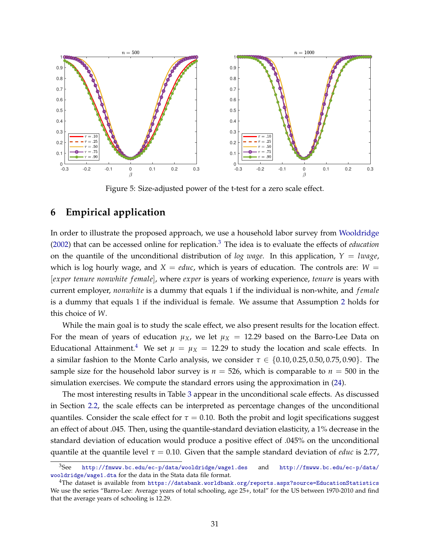<span id="page-30-1"></span>

Figure 5: Size-adjusted power of the t-test for a zero scale effect.

### <span id="page-30-0"></span>**6 Empirical application**

In order to illustrate the proposed approach, we use a household labor survey from [Wooldridge](#page-34-0) [\(2002\)](#page-34-0) that can be accessed online for replication.[3](#page-30-2) The idea is to evaluate the effects of *education* on the quantile of the unconditional distribution of *log wage*. In this application,  $Y = \text{image}$ , which is log hourly wage, and  $X = educ$ , which is years of education. The controls are:  $W =$ [*exper tenure nonwhite f emale*], where *exper* is years of working experience, *tenure* is years with current employer, *nonwhite* is a dummy that equals 1 if the individual is non-white, and *f emale* is a dummy that equals 1 if the individual is female. We assume that Assumption [2](#page-8-0) holds for this choice of *W*.

While the main goal is to study the scale effect, we also present results for the location effect. For the mean of years of education  $\mu_X$ , we let  $\mu_X = 12.29$  based on the Barro-Lee Data on Educational Attainment.<sup>[4](#page-30-3)</sup> We set  $\mu = \mu_X = 12.29$  to study the location and scale effects. In a similar fashion to the Monte Carlo analysis, we consider *τ* ∈ {0.10, 0.25, 0.50, 0.75, 0.90}. The sample size for the household labor survey is  $n = 526$ , which is comparable to  $n = 500$  in the simulation exercises. We compute the standard errors using the approximation in [\(24\)](#page-22-0).

The most interesting results in Table [3](#page-31-0) appear in the unconditional scale effects. As discussed in Section [2.2,](#page-12-0) the scale effects can be interpreted as percentage changes of the unconditional quantiles. Consider the scale effect for  $\tau = 0.10$ . Both the probit and logit specifications suggest an effect of about .045. Then, using the quantile-standard deviation elasticity, a 1% decrease in the standard deviation of education would produce a positive effect of .045% on the unconditional quantile at the quantile level  $\tau = 0.10$ . Given that the sample standard deviation of *educ* is 2.77,

<span id="page-30-2"></span><sup>3</sup>See <http://fmwww.bc.edu/ec-p/data/wooldridge/wage1.des> and [http://fmwww.bc.edu/ec-p/data/](http://fmwww.bc.edu/ec-p/data/wooldridge/wage1.dta) [wooldridge/wage1.dta](http://fmwww.bc.edu/ec-p/data/wooldridge/wage1.dta) for the data in the Stata data file format.

<span id="page-30-3"></span><sup>4</sup>The dataset is available from [https://databank.worldbank.org/reports.aspx?source=EducationStatistics](https://databank.worldbank.org/reports.aspx?source=Education Statistics) We use the series "Barro-Lee: Average years of total schooling, age 25+, total" for the US between 1970-2010 and find that the average years of schooling is 12.29.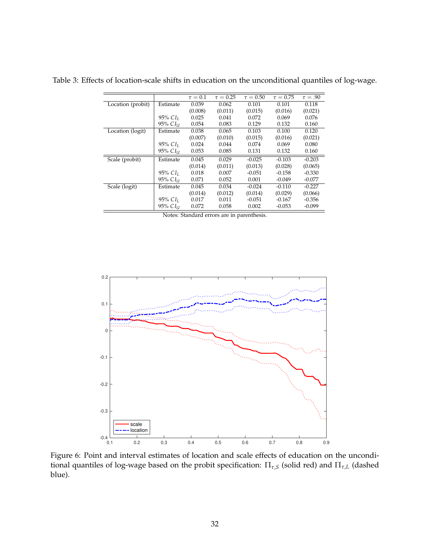<span id="page-31-0"></span>Table 3: Effects of location-scale shifts in education on the unconditional quantiles of log-wage.

|                   |                        | $\tau = 0.1$ | $\tau = 0.25$ | $\tau = 0.50$ | $\tau = 0.75$ | $\tau = .90$ |
|-------------------|------------------------|--------------|---------------|---------------|---------------|--------------|
| Location (probit) | Estimate               | 0.039        | 0.062         | 0.101         | 0.101         | 0.118        |
|                   |                        | (0.008)      | (0.011)       | (0.015)       | (0.016)       | (0.021)      |
|                   | 95% $CIL$              | 0.025        | 0.041         | 0.072         | 0.069         | 0.076        |
|                   | 95% CI <sub>II</sub>   | 0.054        | 0.083         | 0.129         | 0.132         | 0.160        |
| Location (logit)  | Estimate               | 0.038        | 0.065         | 0.103         | 0.100         | 0.120        |
|                   |                        | (0.007)      | (0.010)       | (0.015)       | (0.016)       | (0.021)      |
|                   | $95\%$ CI <sub>I</sub> | 0.024        | 0.044         | 0.074         | 0.069         | 0.080        |
|                   | 95% CI <sub>II</sub>   | 0.053        | 0.085         | 0.131         | 0.132         | 0.160        |
| Scale (probit)    | Estimate               | 0.045        | 0.029         | $-0.025$      | $-0.103$      | $-0.203$     |
|                   |                        | (0.014)      | (0.011)       | (0.013)       | (0.028)       | (0.065)      |
|                   | $95\%$ CI <sub>I</sub> | 0.018        | 0.007         | $-0.051$      | $-0.158$      | $-0.330$     |
|                   | 95% CI <sub>II</sub>   | 0.071        | 0.052         | 0.001         | $-0.049$      | $-0.077$     |
| Scale (logit)     | Estimate               | 0.045        | 0.034         | $-0.024$      | $-0.110$      | $-0.227$     |
|                   |                        | (0.014)      | (0.012)       | (0.014)       | (0.029)       | (0.066)      |
|                   | $95\%$ CI <sub>I</sub> | 0.017        | 0.011         | $-0.051$      | $-0.167$      | $-0.356$     |
|                   | 95% CI <sub>II</sub>   | 0.072        | 0.058         | 0.002         | $-0.053$      | $-0.099$     |

Notes: Standard errors are in parenthesis.

<span id="page-31-1"></span>

Figure 6: Point and interval estimates of location and scale effects of education on the unconditional quantiles of log-wage based on the probit specification:  $\Pi_{\tau,S}$  (solid red) and  $\Pi_{\tau,L}$  (dashed blue).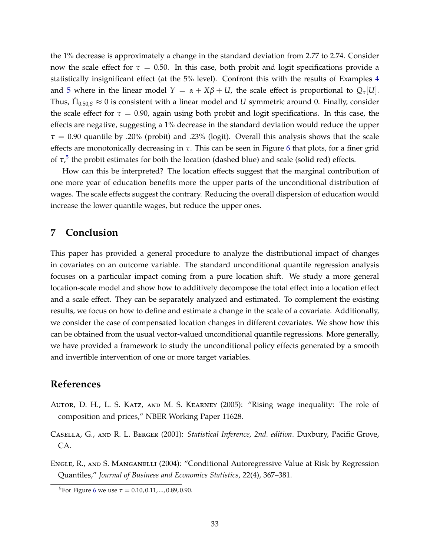the 1% decrease is approximately a change in the standard deviation from 2.77 to 2.74. Consider now the scale effect for  $\tau = 0.50$ . In this case, both probit and logit specifications provide a statistically insignificant effect (at the 5% level). Confront this with the results of Examples [4](#page-10-1) and [5](#page-11-0) where in the linear model  $Y = \alpha + X\beta + U$ , the scale effect is proportional to  $Q_{\tau}[U]$ . Thus,  $\hat{\Pi}_{0.50,S} \approx 0$  is consistent with a linear model and  $U$  symmetric around 0. Finally, consider the scale effect for  $\tau = 0.90$ , again using both probit and logit specifications. In this case, the effects are negative, suggesting a 1% decrease in the standard deviation would reduce the upper  $\tau = 0.90$  quantile by .20% (probit) and .23% (logit). Overall this analysis shows that the scale effects are monotonically decreasing in *τ*. This can be seen in Figure [6](#page-31-1) that plots, for a finer grid of  $\tau$ ,<sup>[5](#page-32-4)</sup> the probit estimates for both the location (dashed blue) and scale (solid red) effects.

How can this be interpreted? The location effects suggest that the marginal contribution of one more year of education benefits more the upper parts of the unconditional distribution of wages. The scale effects suggest the contrary. Reducing the overall dispersion of education would increase the lower quantile wages, but reduce the upper ones.

### <span id="page-32-2"></span>**7 Conclusion**

This paper has provided a general procedure to analyze the distributional impact of changes in covariates on an outcome variable. The standard unconditional quantile regression analysis focuses on a particular impact coming from a pure location shift. We study a more general location-scale model and show how to additively decompose the total effect into a location effect and a scale effect. They can be separately analyzed and estimated. To complement the existing results, we focus on how to define and estimate a change in the scale of a covariate. Additionally, we consider the case of compensated location changes in different covariates. We show how this can be obtained from the usual vector-valued unconditional quantile regressions. More generally, we have provided a framework to study the unconditional policy effects generated by a smooth and invertible intervention of one or more target variables.

### **References**

- <span id="page-32-0"></span>Autor, D. H., L. S. Katz, and M. S. Kearney (2005): "Rising wage inequality: The role of composition and prices," NBER Working Paper 11628.
- <span id="page-32-3"></span>Casella, G., and R. L. Berger (2001): *Statistical Inference, 2nd. edition*. Duxbury, Pacific Grove, CA.
- <span id="page-32-1"></span>Engle, R., and S. Manganelli (2004): "Conditional Autoregressive Value at Risk by Regression Quantiles," *Journal of Business and Economics Statistics*, 22(4), 367–381.

<span id="page-32-4"></span><sup>&</sup>lt;sup>5</sup>For Figure [6](#page-31-1) we use  $\tau = 0.10, 0.11, ..., 0.89, 0.90$ .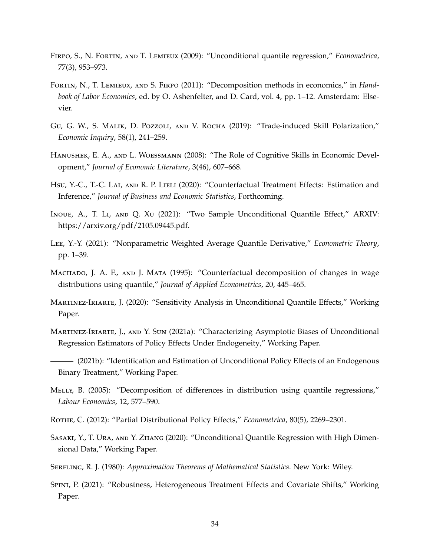- <span id="page-33-3"></span>Firpo, S., N. Fortin, and T. Lemieux (2009): "Unconditional quantile regression," *Econometrica*, 77(3), 953–973.
- <span id="page-33-2"></span>Fortin, N., T. Lemieux, and S. Firpo (2011): "Decomposition methods in economics," in *Handbook of Labor Economics*, ed. by O. Ashenfelter, and D. Card, vol. 4, pp. 1–12. Amsterdam: Elsevier.
- <span id="page-33-9"></span>Gu, G. W., S. Malik, D. Pozzoli, and V. Rocha (2019): "Trade-induced Skill Polarization," *Economic Inquiry*, 58(1), 241–259.
- <span id="page-33-10"></span>Hanushek, E. A., and L. Woessmann (2008): "The Role of Cognitive Skills in Economic Development," *Journal of Economic Literature*, 3(46), 607–668.
- <span id="page-33-12"></span>Hsu, Y.-C., T.-C. Lai, AND R. P. Lieli (2020): "Counterfactual Treatment Effects: Estimation and Inference," *Journal of Business and Economic Statistics*, Forthcoming.
- <span id="page-33-5"></span>Inoue, A., T. Li, and Q. Xu (2021): "Two Sample Unconditional Quantile Effect," ARXIV: https://arxiv.org/pdf/2105.09445.pdf.
- <span id="page-33-14"></span>Lee, Y.-Y. (2021): "Nonparametric Weighted Average Quantile Derivative," *Econometric Theory*, pp. 1–39.
- <span id="page-33-0"></span>MACHADO, J. A. F., AND J. MATA (1995): "Counterfactual decomposition of changes in wage distributions using quantile," *Journal of Applied Econometrics*, 20, 445–465.
- <span id="page-33-7"></span>Martinez-Iriarte, J. (2020): "Sensitivity Analysis in Unconditional Quantile Effects," Working Paper.
- <span id="page-33-11"></span>Martinez-Iriarte, J., and Y. Sun (2021a): "Characterizing Asymptotic Biases of Unconditional Regression Estimators of Policy Effects Under Endogeneity," Working Paper.
- <span id="page-33-8"></span>(2021b): "Identification and Estimation of Unconditional Policy Effects of an Endogenous Binary Treatment," Working Paper.
- <span id="page-33-1"></span>Melly, B. (2005): "Decomposition of differences in distribution using quantile regressions," *Labour Economics*, 12, 577–590.
- <span id="page-33-6"></span>Rothe, C. (2012): "Partial Distributional Policy Effects," *Econometrica*, 80(5), 2269–2301.
- <span id="page-33-4"></span>Sasaki, Y., T. Ura, and Y. Zhang (2020): "Unconditional Quantile Regression with High Dimensional Data," Working Paper.
- <span id="page-33-15"></span>Serfling, R. J. (1980): *Approximation Theorems of Mathematical Statistics*. New York: Wiley.
- <span id="page-33-13"></span>Spini, P. (2021): "Robustness, Heterogeneous Treatment Effects and Covariate Shifts," Working Paper.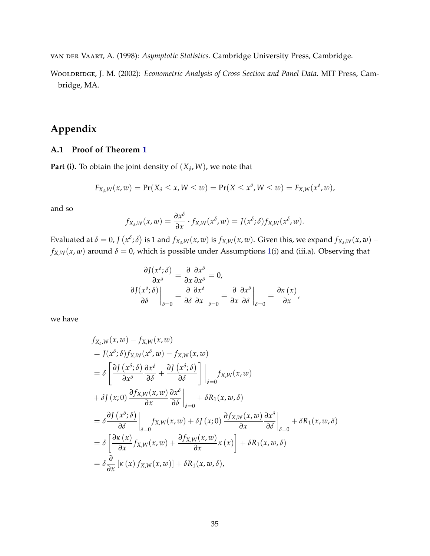<span id="page-34-1"></span>van der Vaart, A. (1998): *Asymptotic Statistics*. Cambridge University Press, Cambridge.

<span id="page-34-0"></span>Wooldridge, J. M. (2002): *Econometric Analysis of Cross Section and Panel Data*. MIT Press, Cambridge, MA.

# **Appendix**

### **A.1 Proof of Theorem [1](#page-6-0)**

**Part (i).** To obtain the joint density of  $(X_{\delta}, W)$ , we note that

$$
F_{X_{\delta},W}(x,w) = \Pr(X_{\delta} \leq x, W \leq w) = \Pr(X \leq x^{\delta}, W \leq w) = F_{X,W}(x^{\delta}, w),
$$

and so

$$
f_{X_\delta,W}(x,w)=\frac{\partial x^\delta}{\partial x}\cdot f_{X,W}(x^\delta,w)=J(x^\delta;\delta)f_{X,W}(x^\delta,w).
$$

Evaluated at  $\delta=0$ , J  $(x^{\delta};\delta)$  is 1 and  $f_{X_\delta,W}(x,w)$  is  $f_{X,W}(x,w)$ . Given this, we expand  $f_{X_\delta,W}(x,w)$  –  $f_{X,W}(x, w)$  around  $\delta = 0$ , which is possible under Assumptions [1\(](#page-5-2)i) and (iii.a). Observing that

$$
\frac{\partial J(x^{\delta}; \delta)}{\partial x^{\delta}} = \frac{\partial}{\partial x} \frac{\partial x^{\delta}}{\partial x^{\delta}} = 0,
$$
  

$$
\frac{\partial J(x^{\delta}; \delta)}{\partial \delta} \bigg|_{\delta=0} = \frac{\partial}{\partial \delta} \frac{\partial x^{\delta}}{\partial x} \bigg|_{\delta=0} = \frac{\partial}{\partial x} \frac{\partial x^{\delta}}{\partial \delta} \bigg|_{\delta=0} = \frac{\partial \kappa(x)}{\partial x},
$$

we have

$$
f_{X_{\delta},W}(x,w) - f_{X,W}(x,w)
$$
  
\n
$$
= J(x^{\delta}; \delta) f_{X,W}(x^{\delta}, w) - f_{X,W}(x, w)
$$
  
\n
$$
= \delta \left[ \frac{\partial J(x^{\delta}; \delta)}{\partial x^{\delta}} \frac{\partial x^{\delta}}{\partial \delta} + \frac{\partial J(x^{\delta}; \delta)}{\partial \delta} \right] \Big|_{\delta=0} f_{X,W}(x, w)
$$
  
\n
$$
+ \delta J(x; 0) \frac{\partial f_{X,W}(x, w)}{\partial x} \frac{\partial x^{\delta}}{\partial \delta} \Big|_{\delta=0} + \delta R_{1}(x, w, \delta)
$$
  
\n
$$
= \delta \frac{\partial J(x^{\delta}; \delta)}{\partial \delta} \Big|_{\delta=0} f_{X,W}(x, w) + \delta J(x; 0) \frac{\partial f_{X,W}(x, w)}{\partial x} \frac{\partial x^{\delta}}{\partial \delta} \Big|_{\delta=0} + \delta R_{1}(x, w, \delta)
$$
  
\n
$$
= \delta \left[ \frac{\partial \kappa(x)}{\partial x} f_{X,W}(x, w) + \frac{\partial f_{X,W}(x, w)}{\partial x} \kappa(x) \right] + \delta R_{1}(x, w, \delta)
$$
  
\n
$$
= \delta \frac{\partial}{\partial x} [\kappa(x) f_{X,W}(x, w)] + \delta R_{1}(x, w, \delta),
$$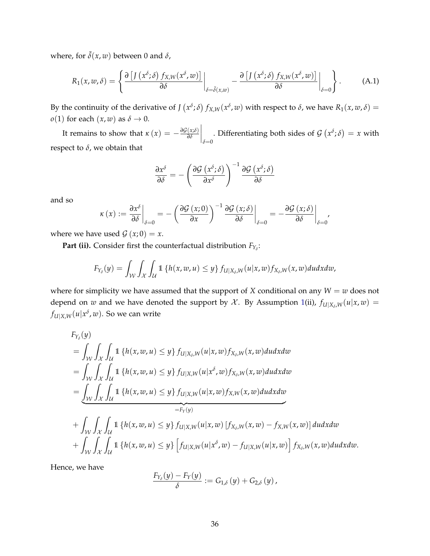where, for  $\tilde{\delta}(x, w)$  between 0 and  $\delta$ ,

$$
R_1(x, w, \delta) = \left\{ \frac{\partial \left[ J\left(x^{\delta}; \delta\right) f_{X,W}(x^{\delta}, w)\right]}{\partial \delta} \bigg|_{\delta = \tilde{\delta}(x, w)} - \frac{\partial \left[ J\left(x^{\delta}; \delta\right) f_{X,W}(x^{\delta}, w)\right]}{\partial \delta} \bigg|_{\delta = 0} \right\}.
$$
 (A.1)

By the continuity of the derivative of  $J(x^{\delta}; \delta) f_{X,W}(x^{\delta}, w)$  with respect to  $\delta$ , we have  $R_1(x, w, \delta) =$ *o*(1) for each  $(x, w)$  as  $\delta \rightarrow 0$ .

It remains to show that  $\kappa(x) = -\frac{\partial \mathcal{G}(x;\delta)}{\partial \delta}$ *∂δ*  $\Big|_{\delta=0}$ . Differentiating both sides of  $\mathcal{G}(x^{\delta};\delta) = x$  with respect to  $\delta$ , we obtain that

$$
\frac{\partial x^{\delta}}{\partial \delta} = -\left(\frac{\partial \mathcal{G} \left(x^{\delta}; \delta\right)}{\partial x^{\delta}}\right)^{-1} \frac{\partial \mathcal{G} \left(x^{\delta}; \delta\right)}{\partial \delta}
$$

and so

$$
\kappa(x) := \frac{\partial x^{\delta}}{\partial \delta}\bigg|_{\delta=0} = -\left(\frac{\partial \mathcal{G}(x;0)}{\partial x}\right)^{-1} \frac{\partial \mathcal{G}(x;\delta)}{\partial \delta}\bigg|_{\delta=0} = -\frac{\partial \mathcal{G}(x;\delta)}{\partial \delta}\bigg|_{\delta=0'}
$$

where we have used  $\mathcal{G}(x;0) = x$ .

**Part (ii).** Consider first the counterfactual distribution  $F_{Y_\delta}$ :

$$
F_{Y_{\delta}}(y) = \int_{\mathcal{W}} \int_{\mathcal{X}} \int_{\mathcal{U}} 1 \left\{ h(x, w, u) \leq y \right\} f_{U|X_{\delta}, W}(u|x, w) f_{X_{\delta}, W}(x, w) du dx dw,
$$

where for simplicity we have assumed that the support of *X* conditional on any  $W = w$  does not depend on *w* and we have denoted the support by  $\mathcal{X}$ . By Assumption [1\(](#page-5-2)ii),  $f_{U|X_\delta,W}(u|x,w) =$  $f_{U|X,W}(u|x^{\delta},w).$  So we can write

$$
F_{Y_{\delta}}(y) = \int_{\mathcal{W}} \int_{\mathcal{X}} \int_{\mathcal{U}} 1 \{ h(x, w, u) \leq y \} f_{U|X_{\delta}, W}(u|x, w) f_{X_{\delta}, W}(x, w) du dx dw = \int_{\mathcal{W}} \int_{\mathcal{X}} \int_{\mathcal{U}} 1 \{ h(x, w, u) \leq y \} f_{U|X, W}(u|x^{\delta}, w) f_{X_{\delta}, W}(x, w) du dx dw = \underbrace{\int_{\mathcal{W}} \int_{\mathcal{X}} \int_{\mathcal{U}} 1 \{ h(x, w, u) \leq y \} f_{U|X, W}(u|x, w) f_{X, W}(x, w) du dx dw}_{=F_{Y}(y)} + \int_{\mathcal{W}} \int_{\mathcal{X}} \int_{\mathcal{U}} 1 \{ h(x, w, u) \leq y \} f_{U|X, W}(u|x, w) [f_{X_{\delta}, W}(x, w) - f_{X, W}(x, w)] du dx dw + \int_{\mathcal{W}} \int_{\mathcal{X}} \int_{\mathcal{U}} 1 \{ h(x, w, u) \leq y \} [f_{U|X, W}(u|x^{\delta}, w) - f_{U|X, W}(u|x, w)] f_{X_{\delta}, W}(x, w) du dx dw.
$$

Hence, we have

$$
\frac{F_{Y_{\delta}}(y)-F_Y(y)}{\delta}:=G_{1,\delta}(y)+G_{2,\delta}(y),
$$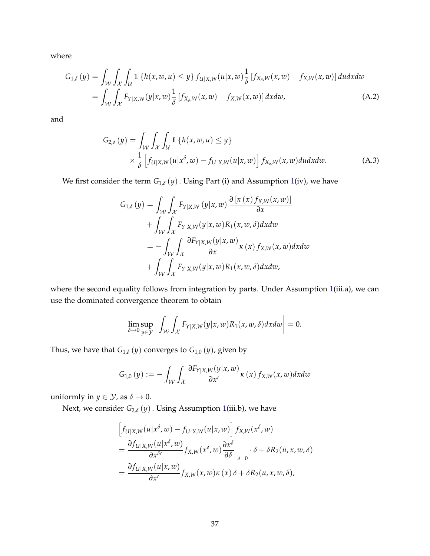where

$$
G_{1,\delta}(y) = \int_{\mathcal{W}} \int_{\mathcal{X}} \int_{\mathcal{U}} 1 \left\{ h(x, w, u) \leq y \right\} f_{U|X, W}(u|x, w) \frac{1}{\delta} \left[ f_{X_{\delta}, W}(x, w) - f_{X, W}(x, w) \right] du dx dw
$$
  
= 
$$
\int_{\mathcal{W}} \int_{\mathcal{X}} F_{Y|X, W}(y|x, w) \frac{1}{\delta} \left[ f_{X_{\delta}, W}(x, w) - f_{X, W}(x, w) \right] dx dw, \tag{A.2}
$$

and

$$
G_{2,\delta}(y) = \int_{\mathcal{W}} \int_{\mathcal{X}} \int_{\mathcal{U}} 1 \left\{ h(x, w, u) \le y \right\}
$$
  
 
$$
\times \frac{1}{\delta} \left[ f_{U|X,W}(u|x^{\delta}, w) - f_{U|X,W}(u|x, w) \right] f_{X_{\delta},W}(x, w) du dx dw.
$$
 (A.3)

We first consider the term  $G_{1,\delta}(y)$ . Using Part (i) and Assumption [1\(](#page-5-2)iv), we have

$$
G_{1,\delta}(y) = \int_{\mathcal{W}} \int_{\mathcal{X}} F_{Y|X,W}(y|x,w) \frac{\partial [k(x) f_{X,W}(x,w)]}{\partial x}
$$
  
+ 
$$
\int_{\mathcal{W}} \int_{\mathcal{X}} F_{Y|X,W}(y|x,w) R_1(x,w,\delta) dx dw
$$
  
= 
$$
- \int_{\mathcal{W}} \int_{\mathcal{X}} \frac{\partial F_{Y|X,W}(y|x,w)}{\partial x} \kappa(x) f_{X,W}(x,w) dx dw
$$
  
+ 
$$
\int_{\mathcal{W}} \int_{\mathcal{X}} F_{Y|X,W}(y|x,w) R_1(x,w,\delta) dx dw,
$$

where the second equality follows from integration by parts. Under Assumption [1\(](#page-5-2)iii.a), we can use the dominated convergence theorem to obtain

$$
\lim_{\delta \to 0} \sup_{y \in \mathcal{Y}} \left| \int_{\mathcal{W}} \int_{\mathcal{X}} F_{Y|X,W}(y|x,w) R_1(x,w,\delta) dx dw \right| = 0.
$$

Thus, we have that  $G_{1,\delta}(y)$  converges to  $G_{1,0}(y)$ , given by

$$
G_{1,0}(y) := -\int_{\mathcal{W}} \int_{\mathcal{X}} \frac{\partial F_{Y|X,W}(y|x,w)}{\partial x'} \kappa(x) f_{X,W}(x,w) dx dw
$$

uniformly in  $y \in \mathcal{Y}$ , as  $\delta \to 0$ .

Next, we consider *G*2,*<sup>δ</sup>* (*y*). Using Assumption [1\(](#page-5-2)iii.b), we have

$$
\begin{aligned}\n\left[f_{U|X,W}(u|x^{\delta},w) - f_{U|X,W}(u|x,w)\right] f_{X,W}(x^{\delta},w) \\
= \frac{\partial f_{U|X,W}(u|x^{\delta},w)}{\partial x^{\delta'}} f_{X,W}(x^{\delta},w) \frac{\partial x^{\delta}}{\partial \delta}\Big|_{\delta=0} \cdot \delta + \delta R_2(u,x,w,\delta) \\
= \frac{\partial f_{U|X,W}(u|x,w)}{\partial x'} f_{X,W}(x,w)\kappa(x)\delta + \delta R_2(u,x,w,\delta),\n\end{aligned}
$$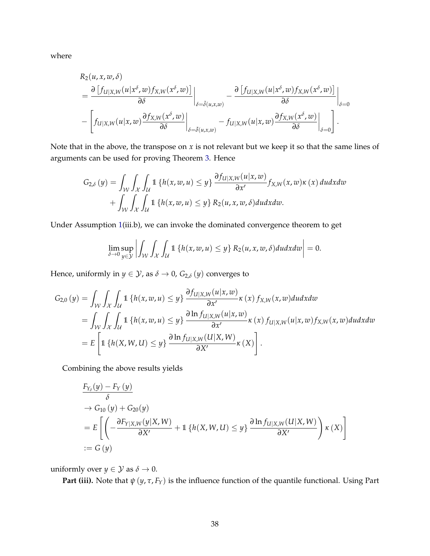where

$$
R_2(u, x, w, \delta)
$$
\n
$$
= \frac{\partial [f_{U|X,W}(u|x^{\delta}, w) f_{X,W}(x^{\delta}, w)]}{\partial \delta} \Big|_{\delta = \tilde{\delta}(u, x, w)} - \frac{\partial [f_{U|X,W}(u|x^{\delta}, w) f_{X,W}(x^{\delta}, w)]}{\partial \delta} \Big|_{\delta = 0}
$$
\n
$$
- \left[ f_{U|X,W}(u|x, w) \frac{\partial f_{X,W}(x^{\delta}, w)}{\partial \delta} \Big|_{\delta = \tilde{\delta}(u, x, w)} - f_{U|X,W}(u|x, w) \frac{\partial f_{X,W}(x^{\delta}, w)}{\partial \delta} \Big|_{\delta = 0} \right].
$$

Note that in the above, the transpose on *x* is not relevant but we keep it so that the same lines of arguments can be used for proving Theorem [3.](#page-17-2) Hence

$$
G_{2,\delta}(y) = \int_{\mathcal{W}} \int_{\mathcal{X}} \int_{\mathcal{U}} 1 \left\{ h(x, w, u) \leq y \right\} \frac{\partial f_{U|X, W}(u|x, w)}{\partial x'} f_{X, W}(x, w) \kappa(x) du dx dw + \int_{\mathcal{W}} \int_{\mathcal{X}} \int_{\mathcal{U}} 1 \left\{ h(x, w, u) \leq y \right\} R_{2}(u, x, w, \delta) du dx dw.
$$

Under Assumption [1\(](#page-5-2)iii.b), we can invoke the dominated convergence theorem to get

$$
\lim_{\delta \to 0} \sup_{y \in \mathcal{Y}} \left| \int_{\mathcal{W}} \int_{\mathcal{X}} \int_{\mathcal{U}} \mathbb{1} \left\{ h(x, w, u) \leq y \right\} R_2(u, x, w, \delta) du dx dw \right| = 0.
$$

Hence, uniformly in  $y \in \mathcal{Y}$ , as  $\delta \to 0$ ,  $G_{2,\delta}(y)$  converges to

$$
G_{2,0}(y) = \int_{\mathcal{W}} \int_{\mathcal{X}} \int_{\mathcal{U}} 1 \left\{ h(x, w, u) \leq y \right\} \frac{\partial f_{U|X, W}(u|x, w)}{\partial x'} \kappa(x) f_{X, W}(x, w) du dx dw
$$
  
= 
$$
\int_{\mathcal{W}} \int_{\mathcal{X}} \int_{\mathcal{U}} 1 \left\{ h(x, w, u) \leq y \right\} \frac{\partial \ln f_{U|X, W}(u|x, w)}{\partial x'} \kappa(x) f_{U|X, W}(u|x, w) f_{X, W}(x, w) du dx dw
$$
  
= 
$$
E \left[ 1 \left\{ h(X, W, U) \leq y \right\} \frac{\partial \ln f_{U|X, W}(U|X, W)}{\partial X'} \kappa(X) \right].
$$

Combining the above results yields

$$
\frac{F_{Y_{\delta}}(y) - F_{Y}(y)}{\delta}
$$
\n
$$
\rightarrow G_{10}(y) + G_{20}(y)
$$
\n
$$
= E\left[\left(-\frac{\partial F_{Y|X,W}(y|X,W)}{\partial X'} + 1\left\{h(X,W,U) \le y\right\} \frac{\partial \ln f_{U|X,W}(U|X,W)}{\partial X'}\right) \kappa(X)\right]
$$
\n
$$
:= G(y)
$$

uniformly over *y*  $\in$  *Y* as *δ*  $\rightarrow$  0.

**Part (iii).** Note that  $\psi(y, \tau, F_Y)$  is the influence function of the quantile functional. Using Part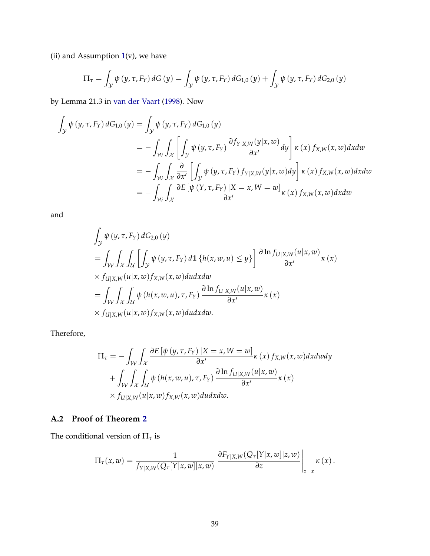(ii) and Assumption  $1(v)$  $1(v)$ , we have

$$
\Pi_{\tau} = \int_{\mathcal{Y}} \psi(y, \tau, F_{Y}) dG(y) = \int_{\mathcal{Y}} \psi(y, \tau, F_{Y}) dG_{1,0}(y) + \int_{\mathcal{Y}} \psi(y, \tau, F_{Y}) dG_{2,0}(y)
$$

by Lemma 21.3 in [van der Vaart](#page-34-1) [\(1998\)](#page-34-1). Now

$$
\int_{\mathcal{Y}} \psi(y, \tau, F_Y) dG_{1,0}(y) = \int_{\mathcal{Y}} \psi(y, \tau, F_Y) dG_{1,0}(y)
$$
\n
$$
= - \int_{\mathcal{W}} \int_{\mathcal{X}} \left[ \int_{\mathcal{Y}} \psi(y, \tau, F_Y) \frac{\partial f_{Y|X,W}(y|x, w)}{\partial x'} dy \right] \kappa(x) f_{X,W}(x, w) dxdw
$$
\n
$$
= - \int_{\mathcal{W}} \int_{\mathcal{X}} \frac{\partial}{\partial x'} \left[ \int_{\mathcal{Y}} \psi(y, \tau, F_Y) f_{Y|X,W}(y|x, w) dy \right] \kappa(x) f_{X,W}(x, w) dxdw
$$
\n
$$
= - \int_{\mathcal{W}} \int_{\mathcal{X}} \frac{\partial E[\psi(Y, \tau, F_Y) | X = x, W = w]}{\partial x'} \kappa(x) f_{X,W}(x, w) dxdw
$$

and

$$
\int_{\mathcal{Y}} \psi(y, \tau, F_Y) dG_{2,0}(y)
$$
\n
$$
= \int_{\mathcal{W}} \int_{\mathcal{X}} \int_{\mathcal{U}} \left[ \int_{\mathcal{Y}} \psi(y, \tau, F_Y) d\mathbb{1} \left\{ h(x, w, u) \leq y \right\} \right] \frac{\partial \ln f_{U|X, W}(u|x, w)}{\partial x'} \kappa(x)
$$
\n
$$
\times f_{U|X, W}(u|x, w) f_{X, W}(x, w) du dx dw
$$
\n
$$
= \int_{\mathcal{W}} \int_{\mathcal{X}} \int_{\mathcal{U}} \psi(h(x, w, u), \tau, F_Y) \frac{\partial \ln f_{U|X, W}(u|x, w)}{\partial x'} \kappa(x)
$$
\n
$$
\times f_{U|X, W}(u|x, w) f_{X, W}(x, w) du dx dw.
$$

Therefore,

$$
\Pi_{\tau} = -\int_{\mathcal{W}} \int_{\mathcal{X}} \frac{\partial E[\psi(y, \tau, F_{Y}) | X = x, W = w]}{\partial x'} \kappa(x) f_{X, W}(x, w) dx dw dy \n+ \int_{\mathcal{W}} \int_{\mathcal{X}} \int_{\mathcal{U}} \psi(h(x, w, u), \tau, F_{Y}) \frac{\partial \ln f_{U|X, W}(u|x, w)}{\partial x'} \kappa(x) \n\times f_{U|X, W}(u|x, w) f_{X, W}(x, w) du dx dw.
$$

## **A.2 Proof of Theorem [2](#page-14-0)**

The conditional version of  $\Pi_{\tau}$  is

$$
\Pi_\tau(x,w)=\frac{1}{f_{Y|X,W}(Q_\tau[Y|x,w]|x,w)}\left.\frac{\partial F_{Y|X,W}(Q_\tau[Y|x,w]|z,w)}{\partial z}\right|_{z=x}\kappa(x)\,.
$$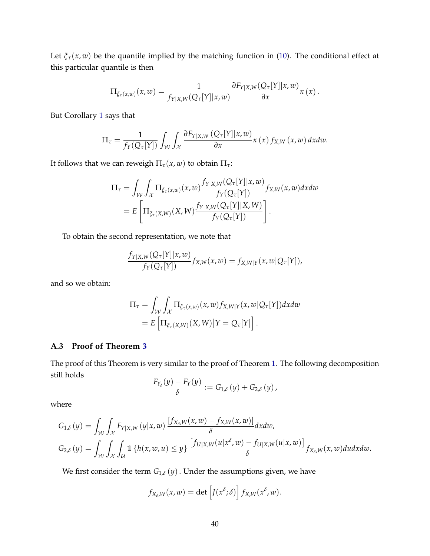Let  $\xi_{\tau}(x, w)$  be the quantile implied by the matching function in [\(10\)](#page-14-1). The conditional effect at this particular quantile is then

$$
\Pi_{\xi_{\tau}(x,w)}(x,w)=\frac{1}{f_{Y|X,W}(Q_{\tau}[Y]|x,w)}\frac{\partial F_{Y|X,W}(Q_{\tau}[Y]|x,w)}{\partial x}\kappa(x).
$$

But Corollary [1](#page-8-1) says that

$$
\Pi_{\tau} = \frac{1}{f_Y(Q_{\tau}[Y])} \int_{\mathcal{W}} \int_{\mathcal{X}} \frac{\partial F_{Y|X,W}(Q_{\tau}[Y]|x,w)}{\partial x} \kappa(x) f_{X,W}(x,w) dx dw.
$$

It follows that we can reweigh  $\Pi_{\tau}(x, w)$  to obtain  $\Pi_{\tau}$ :

$$
\Pi_{\tau} = \int_{\mathcal{W}} \int_{\mathcal{X}} \Pi_{\xi_{\tau}(x,w)}(x,w) \frac{f_{Y|X,W}(Q_{\tau}[Y]|x,w)}{f_{Y}(Q_{\tau}[Y])} f_{X,W}(x,w) dx dw
$$
  
= 
$$
E\left[\Pi_{\xi_{\tau}(X,W)}(X,W) \frac{f_{Y|X,W}(Q_{\tau}[Y]|X,W)}{f_{Y}(Q_{\tau}[Y])}\right].
$$

To obtain the second representation, we note that

$$
\frac{f_{Y|X,W}(Q_{\tau}[Y]|x,w)}{f_Y(Q_{\tau}[Y])}f_{X,W}(x,w)=f_{X,W|Y}(x,w|Q_{\tau}[Y]),
$$

and so we obtain:

$$
\Pi_{\tau} = \int_{\mathcal{W}} \int_{\mathcal{X}} \Pi_{\xi_{\tau}(x,w)}(x,w) f_{X,W|Y}(x,w|Q_{\tau}[Y]) dx dw
$$
  
=  $E \left[ \Pi_{\xi_{\tau}(X,W)}(X,W) | Y = Q_{\tau}[Y] \right].$ 

### **A.3 Proof of Theorem [3](#page-17-2)**

The proof of this Theorem is very similar to the proof of Theorem [1.](#page-6-0) The following decomposition still holds

$$
\frac{F_{Y_{\delta}}(y)-F_Y(y)}{\delta}:=G_{1,\delta}(y)+G_{2,\delta}(y),
$$

where

$$
G_{1,\delta}(y) = \int_{\mathcal{W}} \int_{\mathcal{X}} F_{Y|X,W}(y|x,w) \frac{[f_{X_{\delta},W}(x,w) - f_{X,W}(x,w)]}{\delta} dxdw,
$$
  

$$
G_{2,\delta}(y) = \int_{\mathcal{W}} \int_{\mathcal{X}} \int_{\mathcal{U}} 1 \{h(x,w,u) \leq y\} \frac{[f_{U|X,W}(u|x^{\delta},w) - f_{U|X,W}(u|x,w)]}{\delta} f_{X_{\delta},W}(x,w) dudxdw.
$$

We first consider the term  $G_{1,\delta}(y)$ . Under the assumptions given, we have

$$
f_{X_\delta,W}(x,w) = \det \left[ J(x^\delta;\delta) \right] f_{X,W}(x^\delta,w).
$$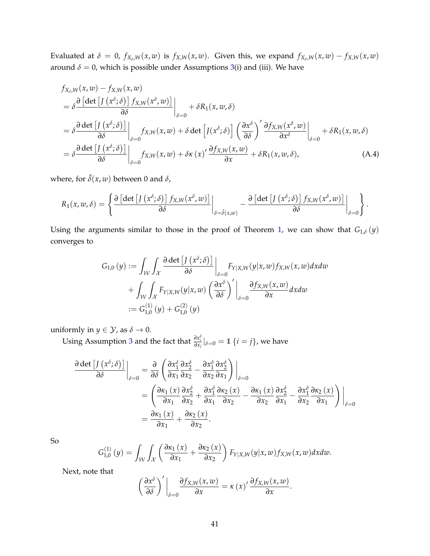Evaluated at  $\delta = 0$ ,  $f_{X_\delta,W}(x,w)$  is  $f_{X,W}(x,w)$ . Given this, we expand  $f_{X_\delta,W}(x,w) - f_{X,W}(x,w)$ around  $\delta = 0$ , which is possible under Assumptions [3\(](#page-17-0)i) and (iii). We have

$$
f_{X_{\delta},W}(x,w) - f_{X,W}(x,w)
$$
\n
$$
= \delta \frac{\partial [\det [J(x^{\delta};\delta)] f_{X,W}(x^{\delta},w)]}{\partial \delta} \Big|_{\delta=0} + \delta R_1(x,w,\delta)
$$
\n
$$
= \delta \frac{\partial \det [J(x^{\delta};\delta)]}{\partial \delta} \Big|_{\delta=0} f_{X,W}(x,w) + \delta \det [J(x^{\delta};\delta)] \left(\frac{\partial x^{\delta}}{\partial \delta}\right)' \frac{\partial f_{X,W}(x^{\delta},w)}{\partial x^{\delta}} \Big|_{\delta=0} + \delta R_1(x,w,\delta)
$$
\n
$$
= \delta \frac{\partial \det [J(x^{\delta};\delta)]}{\partial \delta} \Big|_{\delta=0} f_{X,W}(x,w) + \delta \kappa (x)' \frac{\partial f_{X,W}(x,w)}{\partial x} + \delta R_1(x,w,\delta), \tag{A.4}
$$

where, for  $\tilde{\delta}(x, w)$  between 0 and  $\delta$ ,

$$
R_1(x, w, \delta) = \left\{\frac{\partial \left[\det \left[J\left(x^{\delta}; \delta\right)\right] f_{X, W}(x^{\delta}, w)\right]}{\partial \delta} \bigg|_{\delta = \tilde{\delta}(x, w)} - \frac{\partial \left[\det \left[J\left(x^{\delta}; \delta\right)\right] f_{X, W}(x^{\delta}, w)\right]}{\partial \delta} \bigg|_{\delta = 0}\right\}.
$$

Using the arguments similar to those in the proof of Theorem [1,](#page-6-0) we can show that  $G_{1,\delta}(y)$ converges to

$$
G_{1,0}(y) := \int_{\mathcal{W}} \int_{\mathcal{X}} \frac{\partial \det \left[ J(x^{\delta}; \delta) \right]}{\partial \delta} \Big|_{\delta=0} F_{Y|X,W}(y|x, w) f_{X,W}(x, w) dxdw
$$
  
+ 
$$
\int_{\mathcal{W}} \int_{\mathcal{X}} F_{Y|X,W}(y|x, w) \left( \frac{\partial x^{\delta}}{\partial \delta} \right)' \Big|_{\delta=0} \frac{\partial f_{X,W}(x, w)}{\partial x} dxdw
$$
  
:=  $G_{1,0}^{(1)}(y) + G_{1,0}^{(2)}(y)$ 

uniformly in *y*  $\in$  *Y*, as *δ*  $\rightarrow$  0.

Using Assumption [3](#page-17-0) and the fact that  $\frac{\partial x_i^{\delta}}{\partial x_j}|_{\delta=0} = 1$  {*i* = *j*}, we have

$$
\frac{\partial \det \left[ J\left( x^{\delta} ; \delta \right) \right]}{\partial \delta} \Big|_{\delta=0} = \frac{\partial}{\partial \delta} \left( \frac{\partial x_1^{\delta}}{\partial x_1} \frac{\partial x_2^{\delta}}{\partial x_2} - \frac{\partial x_1^{\delta}}{\partial x_2} \frac{\partial x_2^{\delta}}{\partial x_1} \right) \Big|_{\delta=0}
$$
\n
$$
= \left( \frac{\partial \kappa_1(x)}{\partial x_1} \frac{\partial x_2^{\delta}}{\partial x_2} + \frac{\partial x_1^{\delta}}{\partial x_1} \frac{\partial x_2(x)}{\partial x_2} - \frac{\partial x_1(x)}{\partial x_2} \frac{\partial x_2^{\delta}}{\partial x_1} - \frac{\partial x_1^{\delta}}{\partial x_2} \frac{\partial x_2(x)}{\partial x_1} \right) \Big|_{\delta=0}
$$
\n
$$
= \frac{\partial \kappa_1(x)}{\partial x_1} + \frac{\partial \kappa_2(x)}{\partial x_2}.
$$

So

$$
G_{1,0}^{(1)}(y) = \int_{\mathcal{W}} \int_{\mathcal{X}} \left( \frac{\partial \kappa_1(x)}{\partial x_1} + \frac{\partial \kappa_2(x)}{\partial x_2} \right) F_{Y|X,W}(y|x,w) f_{X,W}(x,w) dx dw.
$$

Next, note that

$$
\left(\frac{\partial x^{\delta}}{\partial \delta}\right)' \bigg|_{\delta=0} \frac{\partial f_{X,W}(x,w)}{\partial x} = \kappa(x)'\frac{\partial f_{X,W}(x,w)}{\partial x}.
$$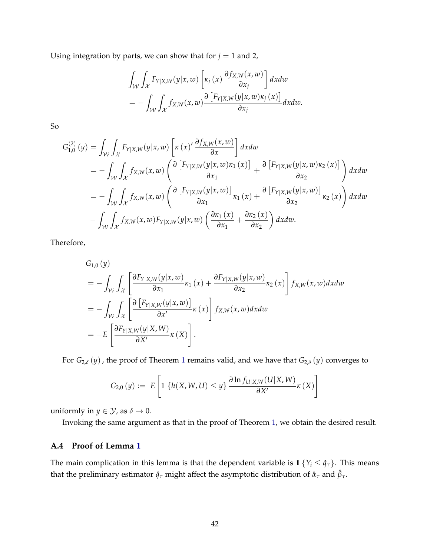Using integration by parts, we can show that for  $j = 1$  and 2,

$$
\int_{\mathcal{W}} \int_{\mathcal{X}} F_{Y|X,W}(y|x,w) \left[ \kappa_j(x) \frac{\partial f_{X,W}(x,w)}{\partial x_j} \right] dx dw
$$
  
= 
$$
- \int_{\mathcal{W}} \int_{\mathcal{X}} f_{X,W}(x,w) \frac{\partial \left[ F_{Y|X,W}(y|x,w) \kappa_j(x) \right]}{\partial x_j} dx dw.
$$

So

$$
G_{1,0}^{(2)}(y) = \int_{\mathcal{W}} \int_{\mathcal{X}} F_{Y|X,W}(y|x,w) \left[\kappa(x)' \frac{\partial f_{X,W}(x,w)}{\partial x}\right] dx dw
$$
  
\n
$$
= - \int_{\mathcal{W}} \int_{\mathcal{X}} f_{X,W}(x,w) \left(\frac{\partial \left[F_{Y|X,W}(y|x,w) \kappa_1(x)\right]}{\partial x_1} + \frac{\partial \left[F_{Y|X,W}(y|x,w) \kappa_2(x)\right]}{\partial x_2}\right) dx dw
$$
  
\n
$$
= - \int_{\mathcal{W}} \int_{\mathcal{X}} f_{X,W}(x,w) \left(\frac{\partial \left[F_{Y|X,W}(y|x,w)\right]}{\partial x_1} \kappa_1(x) + \frac{\partial \left[F_{Y|X,W}(y|x,w)\right]}{\partial x_2} \kappa_2(x)\right) dx dw
$$
  
\n
$$
- \int_{\mathcal{W}} \int_{\mathcal{X}} f_{X,W}(x,w) F_{Y|X,W}(y|x,w) \left(\frac{\partial \kappa_1(x)}{\partial x_1} + \frac{\partial \kappa_2(x)}{\partial x_2}\right) dx dw.
$$

Therefore,

$$
G_{1,0}(y)
$$
\n
$$
= -\int_{\mathcal{W}} \int_{\mathcal{X}} \left[ \frac{\partial F_{Y|X,W}(y|x,w)}{\partial x_1} \kappa_1(x) + \frac{\partial F_{Y|X,W}(y|x,w)}{\partial x_2} \kappa_2(x) \right] f_{X,W}(x,w) dxdw
$$
\n
$$
= -\int_{\mathcal{W}} \int_{\mathcal{X}} \left[ \frac{\partial \left[ F_{Y|X,W}(y|x,w) \right]}{\partial x'} \kappa(x) \right] f_{X,W}(x,w) dxdw
$$
\n
$$
= -E \left[ \frac{\partial F_{Y|X,W}(y|X,W)}{\partial X'} \kappa(X) \right].
$$

For  $G_{2,\delta}(y)$ , the proof of Theorem [1](#page-6-0) remains valid, and we have that  $G_{2,\delta}(y)$  converges to

$$
G_{2,0}(y) := E\left[\mathbb{1}\left\{h(X,W,U) \leq y\right\} \frac{\partial \ln f_{U|X,W}(U|X,W)}{\partial X'}\kappa(X)\right]
$$

uniformly in *y*  $\in$  *Y*, as  $\delta \to 0$ .

Invoking the same argument as that in the proof of Theorem [1,](#page-6-0) we obtain the desired result.

### **A.4 Proof of Lemma [1](#page-21-2)**

The main complication in this lemma is that the dependent variable is  $1 \{Y_i \leq \hat{q}_\tau\}$ . This means that the preliminary estimator  $\hat{q}_\tau$  might affect the asymptotic distribution of  $\hat{\alpha}_\tau$  and  $\hat{\beta}_\tau$ .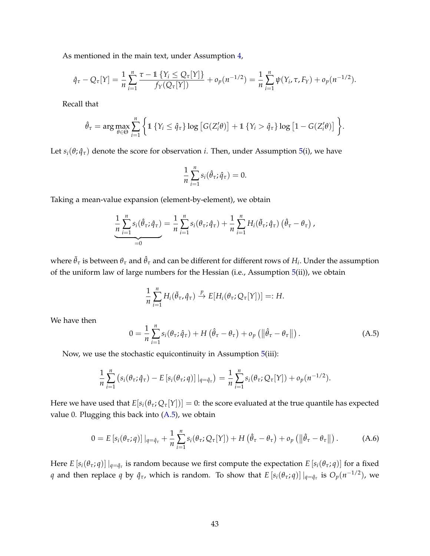As mentioned in the main text, under Assumption [4,](#page-19-0)

$$
\hat{q}_{\tau} - Q_{\tau}[Y] = \frac{1}{n} \sum_{i=1}^{n} \frac{\tau - 1 \{ Y_i \le Q_{\tau}[Y] \}}{f_Y(Q_{\tau}[Y])} + o_p(n^{-1/2}) = \frac{1}{n} \sum_{i=1}^{n} \psi(Y_i, \tau, F_Y) + o_p(n^{-1/2}).
$$

Recall that

$$
\hat{\theta}_{\tau} = \arg \max_{\theta \in \Theta} \sum_{i=1}^{n} \left\{ \mathbb{1} \left\{ Y_i \leq \hat{q}_{\tau} \right\} \log \left[ G(Z_i^{\prime} \theta) \right] + \mathbb{1} \left\{ Y_i > \hat{q}_{\tau} \right\} \log \left[ 1 - G(Z_i^{\prime} \theta) \right] \right\}.
$$

Let  $s_i(\theta; \hat{q}_\tau)$  denote the score for observation *i*. Then, under Assumption [5\(](#page-19-1)i), we have

$$
\frac{1}{n}\sum_{i=1}^n s_i(\hat{\theta}_\tau;\hat{q}_\tau)=0.
$$

Taking a mean-value expansion (element-by-element), we obtain

$$
\frac{1}{n}\sum_{i=1}^n s_i(\hat{\theta}_\tau;\hat{q}_\tau) = \frac{1}{n}\sum_{i=1}^n s_i(\theta_\tau;\hat{q}_\tau) + \frac{1}{n}\sum_{i=1}^n H_i(\tilde{\theta}_\tau;\hat{q}_\tau) (\hat{\theta}_\tau - \theta_\tau),
$$
  
=0

where  $\tilde{\theta}_\tau$  is between  $\theta_\tau$  and  $\hat{\theta}_\tau$  and can be different for different rows of  $H_i$ . Under the assumption of the uniform law of large numbers for the Hessian (i.e., Assumption [5\(](#page-19-1)ii)), we obtain

$$
\frac{1}{n}\sum_{i=1}^n H_i(\tilde{\theta}_{\tau}, \hat{q}_{\tau}) \stackrel{p}{\to} E[H_i(\theta_{\tau}; Q_{\tau}[Y])] =: H.
$$

We have then

<span id="page-42-0"></span>
$$
0 = \frac{1}{n} \sum_{i=1}^{n} s_i(\theta_\tau; \hat{q}_\tau) + H(\hat{\theta}_\tau - \theta_\tau) + o_p(\|\hat{\theta}_\tau - \theta_\tau\|).
$$
 (A.5)

Now, we use the stochastic equicontinuity in Assumption [5\(](#page-19-1)iii):

$$
\frac{1}{n}\sum_{i=1}^n \left(s_i(\theta_\tau;\hat{q}_\tau)-E\left[s_i(\theta_\tau;q)\right]\big|_{q=\hat{q}_\tau}\right)=\frac{1}{n}\sum_{i=1}^n s_i(\theta_\tau;Q_\tau[Y])+o_p(n^{-1/2}).
$$

Here we have used that  $E[s_i(\theta_\tau; Q_\tau|Y])]=0$ : the score evaluated at the true quantile has expected value 0. Plugging this back into [\(A.5\)](#page-42-0), we obtain

<span id="page-42-1"></span>
$$
0 = E\left[s_i(\theta_\tau; q)\right]|_{q=\hat{q}_\tau} + \frac{1}{n}\sum_{i=1}^n s_i(\theta_\tau; Q_\tau[Y]) + H\left(\hat{\theta}_\tau - \theta_\tau\right) + o_p\left(\left\|\hat{\theta}_\tau - \theta_\tau\right\|\right).
$$
 (A.6)

Here  $E [s_i(\theta_\tau; q)]|_{q=\hat{q}_\tau}$  is random because we first compute the expectation  $E [s_i(\theta_\tau; q)]$  for a fixed *q* and then replace *q* by  $\hat{q}_{\tau}$ , which is random. To show that  $E\left[s_i(\theta_\tau; q)\right]|_{q=\hat{q}_\tau}$  is  $O_p(n^{-1/2})$ , we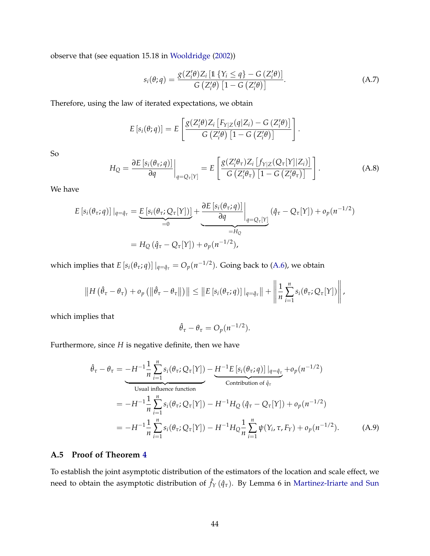observe that (see equation 15.18 in [Wooldridge](#page-34-0) [\(2002\)](#page-34-0))

<span id="page-43-0"></span>
$$
s_i(\theta; q) = \frac{g(Z_i'\theta)Z_i\left[\mathbb{1}\left\{Y_i \leq q\right\} - G\left(Z_i'\theta\right)\right]}{G\left(Z_i'\theta\right)\left[1 - G\left(Z_i'\theta\right)\right]}.
$$
\n(A.7)

.

Therefore, using the law of iterated expectations, we obtain

$$
E\left[s_i(\theta; q)\right] = E\left[\frac{g(Z_i'\theta)Z_i\left[F_{Y|Z}(q|Z_i) - G\left(Z_i'\theta\right)\right]}{G\left(Z_i'\theta\right)\left[1 - G\left(Z_i'\theta\right)\right]}\right]
$$

So

$$
H_Q = \frac{\partial E\left[s_i(\theta_\tau; q)\right]}{\partial q}\bigg|_{q=Q_\tau[Y]} = E\left[\frac{g(Z_i'\theta_\tau)Z_i\left[f_{Y|Z}(Q_\tau[Y]|Z_i)\right]}{G\left(Z_i'\theta_\tau\right)\left[1-G\left(Z_i'\theta_\tau\right)\right]}\right].
$$
\n(A.8)

We have

$$
E\left[s_i(\theta_\tau;q)\right]|_{q=\hat{q}_\tau} = \underbrace{E\left[s_i(\theta_\tau; Q_\tau[Y])\right]}_{=0} + \underbrace{\left.\frac{\partial E\left[s_i(\theta_\tau;q)\right]}{\partial q}\right|}_{=H_Q} \left(\hat{q}_\tau - Q_\tau[Y]\right) + o_p(n^{-1/2})
$$
\n
$$
= H_Q\left(\hat{q}_\tau - Q_\tau[Y]\right) + o_p(n^{-1/2}),
$$

which implies that  $E [s_i(\theta_\tau; q)] |_{q = \hat{q}_\tau} = O_p(n^{-1/2})$ . Going back to [\(A.6\)](#page-42-1), we obtain

$$
\|H(\hat{\theta}_{\tau}-\theta_{\tau})+o_p(\|\hat{\theta}_{\tau}-\theta_{\tau}\|)\| \leq \|E[s_i(\theta_{\tau};q)]\|_{q=\hat{q}_{\tau}}\|+\left\|\frac{1}{n}\sum_{i=1}^n s_i(\theta_{\tau};Q_{\tau}[Y])\right\|,
$$

which implies that

<span id="page-43-1"></span>
$$
\hat{\theta}_{\tau} - \theta_{\tau} = O_p(n^{-1/2}).
$$

Furthermore, since *H* is negative definite, then we have

$$
\hat{\theta}_{\tau} - \theta_{\tau} = -H^{-1} \frac{1}{n} \sum_{i=1}^{n} s_{i}(\theta_{\tau}; Q_{\tau}[Y]) - \underbrace{H^{-1}E \left[ s_{i}(\theta_{\tau}; q) \right] |_{q=\hat{q}_{\tau}}} \text{Continution of } \hat{q}_{\tau}
$$
\n
$$
= -H^{-1} \frac{1}{n} \sum_{i=1}^{n} s_{i}(\theta_{\tau}; Q_{\tau}[Y]) - H^{-1}H_{Q}(\hat{q}_{\tau} - Q_{\tau}[Y]) + o_{p}(n^{-1/2})
$$
\n
$$
= -H^{-1} \frac{1}{n} \sum_{i=1}^{n} s_{i}(\theta_{\tau}; Q_{\tau}[Y]) - H^{-1}H_{Q} \frac{1}{n} \sum_{i=1}^{n} \psi(Y_{i}, \tau, F_{Y}) + o_{p}(n^{-1/2}). \tag{A.9}
$$

### **A.5 Proof of Theorem [4](#page-21-0)**

To establish the joint asymptotic distribution of the estimators of the location and scale effect, we need to obtain the asymptotic distribution of  $\hat{f}_Y(\hat{q}_\tau)$ . By Lemma 6 in [Martinez-Iriarte and Sun](#page-33-8)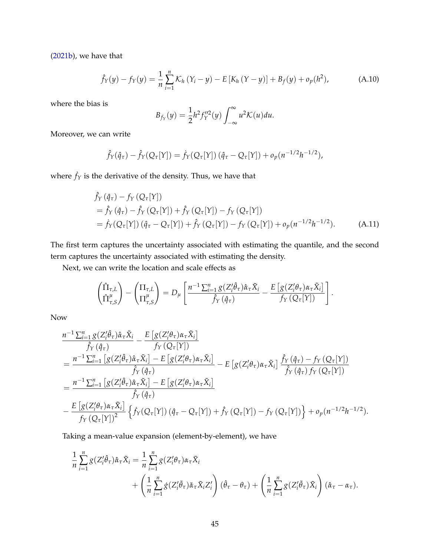[\(2021b\)](#page-33-8), we have that

<span id="page-44-0"></span>
$$
\hat{f}_Y(y) - f_Y(y) = \frac{1}{n} \sum_{i=1}^n \mathcal{K}_h (Y_i - y) - E [K_h (Y - y)] + B_f(y) + o_p(h^2), \tag{A.10}
$$

where the bias is

$$
B_{f_Y}(y) = \frac{1}{2}h^2 f_Y''^2(y) \int_{-\infty}^{\infty} u^2 \mathcal{K}(u) du.
$$

Moreover, we can write

$$
\hat{f}_Y(\hat{q}_\tau) - \hat{f}_Y(Q_\tau[Y]) = \hat{f}_Y(Q_\tau[Y]) (\hat{q}_\tau - Q_\tau[Y]) + o_p(n^{-1/2}h^{-1/2}),
$$

where  $\dot{f}_Y$  is the derivative of the density. Thus, we have that

$$
\hat{f}_{Y}(\hat{q}_{\tau}) - f_{Y}(Q_{\tau}[Y]) \n= \hat{f}_{Y}(\hat{q}_{\tau}) - \hat{f}_{Y}(Q_{\tau}[Y]) + \hat{f}_{Y}(Q_{\tau}[Y]) - f_{Y}(Q_{\tau}[Y]) \n= \hat{f}_{Y}(Q_{\tau}[Y])(\hat{q}_{\tau} - Q_{\tau}[Y]) + \hat{f}_{Y}(Q_{\tau}[Y]) - f_{Y}(Q_{\tau}[Y]) + o_{p}(n^{-1/2}h^{-1/2}).
$$
\n(A.11)

.

The first term captures the uncertainty associated with estimating the quantile, and the second term captures the uncertainty associated with estimating the density.

Next, we can write the location and scale effects as

$$
\begin{pmatrix} \hat{\Pi}_{\tau,L} \\ \hat{\Pi}_{\tau,S}^{\mu} \end{pmatrix} - \begin{pmatrix} \Pi_{\tau,L} \\ \Pi_{\tau,S}^{\mu} \end{pmatrix} = D_{\mu} \left[ \frac{n^{-1} \sum_{i=1}^{n} g(Z_{i}^{\prime} \hat{\theta}_{\tau}) \hat{\alpha}_{\tau} \tilde{X}_{i}}{\hat{f}_{Y} (\hat{q}_{\tau})} - \frac{E \left[ g(Z_{i}^{\prime} \theta_{\tau}) \alpha_{\tau} \tilde{X}_{i} \right]}{f_{Y} (Q_{\tau}[Y])} \right]
$$

Now

$$
\frac{n^{-1}\sum_{i=1}^{n}g(Z_{i}^{\prime}\hat{\theta}_{\tau})\hat{\alpha}_{\tau}\tilde{X}_{i}}{\hat{f}_{Y}(\hat{q}_{\tau})}-\frac{E\left[g(Z_{i}^{\prime}\theta_{\tau})\alpha_{\tau}\tilde{X}_{i}\right]}{f_{Y}(Q_{\tau}[Y])}
$$
\n
$$
=\frac{n^{-1}\sum_{i=1}^{n}\left[g(Z_{i}^{\prime}\hat{\theta}_{\tau})\hat{\alpha}_{\tau}\tilde{X}_{i}\right]-E\left[g(Z_{i}^{\prime}\theta_{\tau})\alpha_{\tau}\tilde{X}_{i}\right]}{\hat{f}_{Y}(\hat{q}_{\tau})}-E\left[g(Z_{i}^{\prime}\theta_{\tau})\alpha_{\tau}\tilde{X}_{i}\right]\frac{\hat{f}_{Y}(\hat{q}_{\tau})-f_{Y}(Q_{\tau}[Y])}{\hat{f}_{Y}(\hat{q}_{\tau})f_{Y}(Q_{\tau}[Y])}
$$
\n
$$
=\frac{n^{-1}\sum_{i=1}^{n}\left[g(Z_{i}^{\prime}\hat{\theta}_{\tau})\hat{\alpha}_{\tau}\tilde{X}_{i}\right]-E\left[g(Z_{i}^{\prime}\theta_{\tau})\alpha_{\tau}\tilde{X}_{i}\right]}{\hat{f}_{Y}(\hat{q}_{\tau})}
$$
\n
$$
-\frac{E\left[g(Z_{i}^{\prime}\theta_{\tau})\alpha_{\tau}\tilde{X}_{i}\right]}{f_{Y}(Q_{\tau}[Y])^{2}}\left\{\hat{f}_{Y}(Q_{\tau}[Y])\left(\hat{q}_{\tau}-Q_{\tau}[Y]\right)+\hat{f}_{Y}(Q_{\tau}[Y])-f_{Y}(Q_{\tau}[Y])\right\}+o_{p}(n^{-1/2}h^{-1/2}).
$$

Taking a mean-value expansion (element-by-element), we have

$$
\frac{1}{n} \sum_{i=1}^{n} g(Z_i' \hat{\theta}_{\tau}) \hat{\alpha}_{\tau} \tilde{X}_i = \frac{1}{n} \sum_{i=1}^{n} g(Z_i' \theta_{\tau}) \alpha_{\tau} \tilde{X}_i \n+ \left( \frac{1}{n} \sum_{i=1}^{n} g(Z_i' \tilde{\theta}_{\tau}) \tilde{\alpha}_{\tau} \tilde{X}_i Z_i' \right) (\hat{\theta}_{\tau} - \theta_{\tau}) + \left( \frac{1}{n} \sum_{i=1}^{n} g(Z_i' \tilde{\theta}_{\tau}) \tilde{X}_i \right) (\hat{\alpha}_{\tau} - \alpha_{\tau}).
$$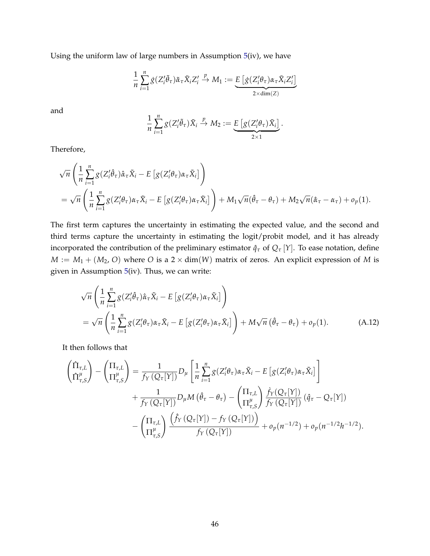Using the uniform law of large numbers in Assumption [5\(](#page-19-1)iv), we have

$$
\frac{1}{n}\sum_{i=1}^n g(Z_i'\tilde{\theta}_\tau)\tilde{\alpha}_\tau \tilde{X}_i Z_i' \stackrel{p}{\to} M_1 := \underbrace{E\left[g(Z_i'\theta_\tau)\alpha_\tau \tilde{X}_i Z_i'\right]}_{2 \times \dim(Z)}
$$

and

$$
\frac{1}{n}\sum_{i=1}^n g(Z_i'\tilde{\theta}_\tau)\tilde{X}_i \stackrel{p}{\to} M_2 := \underbrace{E\left[g(Z_i'\theta_\tau)\tilde{X}_i\right]}_{2\times 1}.
$$

Therefore,

$$
\sqrt{n}\left(\frac{1}{n}\sum_{i=1}^{n}g(Z_{i}^{\prime}\hat{\theta}_{\tau})\hat{\alpha}_{\tau}\tilde{X}_{i}-E\left[g(Z_{i}^{\prime}\theta_{\tau})\alpha_{\tau}\tilde{X}_{i}\right]\right) \n= \sqrt{n}\left(\frac{1}{n}\sum_{i=1}^{n}g(Z_{i}^{\prime}\theta_{\tau})\alpha_{\tau}\tilde{X}_{i}-E\left[g(Z_{i}^{\prime}\theta_{\tau})\alpha_{\tau}\tilde{X}_{i}\right]\right)+M_{1}\sqrt{n}(\hat{\theta}_{\tau}-\theta_{\tau})+M_{2}\sqrt{n}(\hat{\alpha}_{\tau}-\alpha_{\tau})+o_{p}(1).
$$

The first term captures the uncertainty in estimating the expected value, and the second and third terms capture the uncertainty in estimating the logit/probit model, and it has already incorporated the contribution of the preliminary estimator  $\hat{q}_{\tau}$  of  $Q_{\tau}$  [*Y*]. To ease notation, define  $M := M_1 + (M_2, O)$  where *O* is a 2 × dim(*W*) matrix of zeros. An explicit expression of *M* is given in Assumption [5\(](#page-19-1)iv). Thus, we can write:

$$
\sqrt{n}\left(\frac{1}{n}\sum_{i=1}^{n}g(Z_{i}^{\prime}\hat{\theta}_{\tau})\hat{\alpha}_{\tau}\tilde{X}_{i}-E\left[g(Z_{i}^{\prime}\theta_{\tau})\alpha_{\tau}\tilde{X}_{i}\right]\right)
$$
\n
$$
=\sqrt{n}\left(\frac{1}{n}\sum_{i=1}^{n}g(Z_{i}^{\prime}\theta_{\tau})\alpha_{\tau}\tilde{X}_{i}-E\left[g(Z_{i}^{\prime}\theta_{\tau})\alpha_{\tau}\tilde{X}_{i}\right]\right)+M\sqrt{n}\left(\hat{\theta}_{\tau}-\theta_{\tau}\right)+o_{p}(1). \tag{A.12}
$$

It then follows that

$$
\begin{split}\n\left(\hat{\Pi}_{\tau,L}^{L}\right) - \left(\Pi_{\tau,L}^{L}\right) &= \frac{1}{f_{Y}\left(Q_{\tau}[Y]\right)} D_{\mu} \left[\frac{1}{n} \sum_{i=1}^{n} g(Z_{i}^{\prime} \theta_{\tau}) \alpha_{\tau} \tilde{X}_{i} - E\left[g(Z_{i}^{\prime} \theta_{\tau}) \alpha_{\tau} \tilde{X}_{i}\right]\right] \\
&+ \frac{1}{f_{Y}\left(Q_{\tau}[Y]\right)} D_{\mu} M\left(\hat{\theta}_{\tau} - \theta_{\tau}\right) - \left(\Pi_{\tau,L}^{L}\right) \frac{\dot{f}_{Y}\left(Q_{\tau}[Y]\right)}{\dot{f}_{Y}\left(Q_{\tau}[Y]\right)} \left(\hat{q}_{\tau} - Q_{\tau}[Y]\right) \\
&- \left(\Pi_{\tau,L}^{L}\right) \frac{\left(\hat{f}_{Y}\left(Q_{\tau}[Y]\right) - f_{Y}\left(Q_{\tau}[Y]\right)\right)}{\dot{f}_{Y}\left(Q_{\tau}[Y]\right)} + o_{p}(n^{-1/2}) + o_{p}(n^{-1/2}h^{-1/2}).\n\end{split}
$$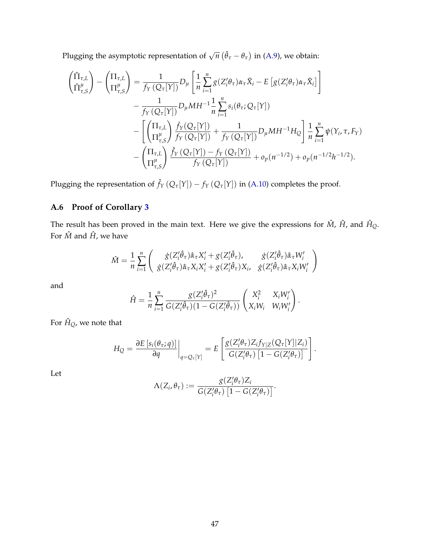Plugging the asymptotic representation of  $\sqrt{n} (\hat{\theta}_{\tau} - \theta_{\tau})$  in [\(A.9\)](#page-43-1), we obtain:

$$
\begin{split}\n\left(\hat{\Pi}_{\tau,L}^{L}\right) - \left(\Pi_{\tau,L}^{L}\right) &= \frac{1}{f_{Y}\left(Q_{\tau}[Y]\right)}D_{\mu}\left[\frac{1}{n}\sum_{i=1}^{n}g(Z_{i}^{\prime}\theta_{\tau})\alpha_{\tau}\tilde{X}_{i} - E\left[g(Z_{i}^{\prime}\theta_{\tau})\alpha_{\tau}\tilde{X}_{i}\right]\right] \\
&- \frac{1}{f_{Y}\left(Q_{\tau}[Y]\right)}D_{\mu}MH^{-1}\frac{1}{n}\sum_{i=1}^{n}s_{i}(\theta_{\tau};Q_{\tau}[Y]) \\
&- \left[\left(\Pi_{\tau,L}^{L}\right)\frac{\dot{f}_{Y}(Q_{\tau}[Y])}{f_{Y}\left(Q_{\tau}[Y]\right)} + \frac{1}{f_{Y}\left(Q_{\tau}[Y]\right)}D_{\mu}MH^{-1}H_{Q}\right]\frac{1}{n}\sum_{i=1}^{n}\psi(Y_{i},\tau,F_{Y}) \\
&- \left(\Pi_{\tau,L}^{L}\right)\frac{\hat{f}_{Y}\left(Q_{\tau}[Y]\right) - f_{Y}\left(Q_{\tau}[Y]\right)}{f_{Y}\left(Q_{\tau}[Y]\right)} + o_{p}(n^{-1/2}) + o_{p}(n^{-1/2}h^{-1/2}).\n\end{split}
$$

Plugging the representation of  $\hat{f}_Y(Q_\tau[Y]) - f_Y(Q_\tau[Y])$  in [\(A.10\)](#page-44-0) completes the proof.

### **A.6 Proof of Corollary [3](#page-23-3)**

The result has been proved in the main text. Here we give the expressions for  $\hat{M}$ ,  $\hat{H}$ , and  $\hat{H}_{Q}$ . For  $\hat{M}$  and  $\hat{H}$  , we have

$$
\hat{M} = \frac{1}{n} \sum_{i=1}^{n} \left( \begin{array}{cc} \dot{g}(Z_{i}'\hat{\theta}_{\tau})\hat{\alpha}_{\tau}X_{i}' + g(Z_{i}'\hat{\theta}_{\tau}), & \dot{g}(Z_{i}'\hat{\theta}_{\tau})\hat{\alpha}_{\tau}W_{i}' \\ \dot{g}(Z_{i}'\hat{\theta}_{\tau})\hat{\alpha}_{\tau}X_{i}X_{i}' + g(Z_{i}'\hat{\theta}_{\tau})X_{i}, & \dot{g}(Z_{i}'\hat{\theta}_{\tau})\hat{\alpha}_{\tau}X_{i}W_{i}' \end{array} \right)
$$

and

$$
\hat{H} = \frac{1}{n} \sum_{i=1}^{n} \frac{g(Z_i'\hat{\theta}_\tau)^2}{G(Z_i'\hat{\theta}_\tau)(1 - G(Z_i'\hat{\theta}_\tau))} \begin{pmatrix} X_i^2 & X_iW_i'\\ X_iW_i & W_iW_i' \end{pmatrix}.
$$

For  $\hat{H}_Q$  , we note that

$$
H_Q = \frac{\partial E\left[s_i(\theta_\tau;q)\right]}{\partial q}\bigg|_{q=Q_\tau[Y]} = E\left[\frac{g(Z_i'\theta_\tau)Z_if_{Y|Z}(Q_\tau[Y]|Z_i)}{G(Z_i'\theta_\tau)\left[1-G(Z_i'\theta_\tau)\right]}\right].
$$

Let

$$
\Lambda(Z_i,\theta_{\tau}) := \frac{g(Z_i'\theta_{\tau})Z_i}{G(Z_i'\theta_{\tau})\left[1 - G(Z_i'\theta_{\tau})\right]}.
$$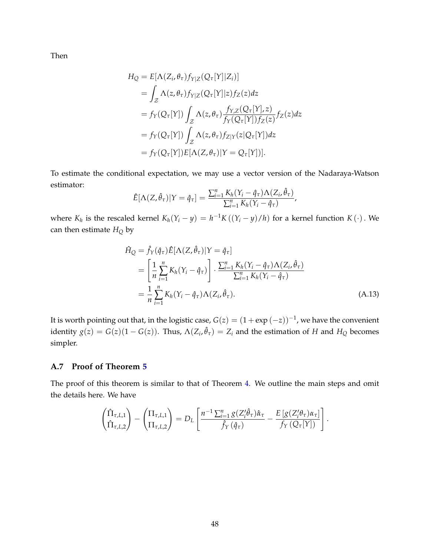Then

$$
H_Q = E[\Lambda(Z_i, \theta_\tau) f_{Y|Z}(Q_\tau[Y]|Z_i)]
$$
  
\n
$$
= \int_Z \Lambda(z, \theta_\tau) f_{Y|Z}(Q_\tau[Y]|z) f_Z(z) dz
$$
  
\n
$$
= f_Y(Q_\tau[Y]) \int_Z \Lambda(z, \theta_\tau) \frac{f_{Y,Z}(Q_\tau[Y], z)}{f_Y(Q_\tau[Y]) f_Z(z)} f_Z(z) dz
$$
  
\n
$$
= f_Y(Q_\tau[Y]) \int_Z \Lambda(z, \theta_\tau) f_{Z|Y}(z|Q_\tau[Y]) dz
$$
  
\n
$$
= f_Y(Q_\tau[Y]) E[\Lambda(Z, \theta_\tau)|Y = Q_\tau[Y])].
$$

To estimate the conditional expectation, we may use a vector version of the Nadaraya-Watson estimator:

$$
\hat{E}[\Lambda(Z,\hat{\theta}_{\tau})|Y=\hat{q}_{\tau}] = \frac{\sum_{i=1}^{n} K_{h}(Y_{i}-\hat{q}_{\tau})\Lambda(Z_{i},\hat{\theta}_{\tau})}{\sum_{i=1}^{n} K_{h}(Y_{i}-\hat{q}_{\tau})},
$$

where  $K_h$  is the rescaled kernel  $K_h(Y_i - y) = h^{-1}K((Y_i - y)/h)$  for a kernel function  $K(\cdot)$ . We can then estimate *H<sup>Q</sup>* by

$$
\hat{H}_{Q} = \hat{f}_{Y}(\hat{q}_{\tau})\hat{E}[\Lambda(Z,\hat{\theta}_{\tau})|Y = \hat{q}_{\tau}]
$$
\n
$$
= \left[\frac{1}{n}\sum_{i=1}^{n}K_{h}(Y_{i}-\hat{q}_{\tau})\right] \cdot \frac{\sum_{i=1}^{n}K_{h}(Y_{i}-\hat{q}_{\tau})\Lambda(Z_{i},\hat{\theta}_{\tau})}{\sum_{i=1}^{n}K_{h}(Y_{i}-\hat{q}_{\tau})}
$$
\n
$$
= \frac{1}{n}\sum_{i=1}^{n}K_{h}(Y_{i}-\hat{q}_{\tau})\Lambda(Z_{i},\hat{\theta}_{\tau}).
$$
\n(A.13)

It is worth pointing out that, in the logistic case,  $G(z) = (1 + \exp(-z))^{-1}$ , we have the convenient identity  $g(z) = G(z)(1 - G(z))$ . Thus,  $\Lambda(Z_i, \hat{\theta}_\tau) = Z_i$  and the estimation of *H* and  $H_Q$  becomes simpler.

#### **A.7 Proof of Theorem [5](#page-24-1)**

The proof of this theorem is similar to that of Theorem [4.](#page-21-0) We outline the main steps and omit the details here. We have

$$
\begin{pmatrix} \hat{\Pi}_{\tau,L,1} \\ \hat{\Pi}_{\tau,L,2} \end{pmatrix} - \begin{pmatrix} \Pi_{\tau,L,1} \\ \Pi_{\tau,L,2} \end{pmatrix} = D_L \begin{bmatrix} n^{-1} \sum_{i=1}^n g(Z_i'\hat{\theta}_{\tau}) \hat{\alpha}_{\tau} \\ \hat{f}_Y(\hat{q}_{\tau}) \end{bmatrix} - \frac{E \left[ g(Z_i'\theta_{\tau}) \alpha_{\tau} \right]}{f_Y(Q_{\tau}[Y])} \end{pmatrix}.
$$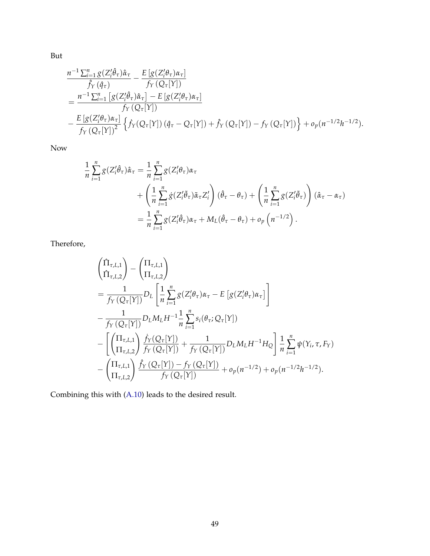But

$$
\frac{n^{-1}\sum_{i=1}^{n}g(Z_{i}^{\prime}\hat{\theta}_{\tau})\hat{\alpha}_{\tau}}{\hat{f}_{Y}(\hat{q}_{\tau})}-\frac{E[g(Z_{i}^{\prime}\theta_{\tau})\alpha_{\tau}]}{f_{Y}(Q_{\tau}[Y])}
$$
\n
$$
=\frac{n^{-1}\sum_{i=1}^{n}\left[g(Z_{i}^{\prime}\hat{\theta}_{\tau})\hat{\alpha}_{\tau}\right]-E[g(Z_{i}^{\prime}\theta_{\tau})\alpha_{\tau}]}{f_{Y}(Q_{\tau}[Y])}
$$
\n
$$
-\frac{E[g(Z_{i}^{\prime}\theta_{\tau})\alpha_{\tau}]}{f_{Y}(Q_{\tau}[Y])^{2}}\left\{\hat{f}_{Y}(Q_{\tau}[Y])\left(\hat{q}_{\tau}-Q_{\tau}[Y]\right)+\hat{f}_{Y}(Q_{\tau}[Y])-f_{Y}(Q_{\tau}[Y])\right\}+o_{p}(n^{-1/2}h^{-1/2}).
$$

Now

$$
\frac{1}{n} \sum_{i=1}^{n} g(Z_i' \hat{\theta}_{\tau}) \hat{\alpha}_{\tau} = \frac{1}{n} \sum_{i=1}^{n} g(Z_i' \theta_{\tau}) \alpha_{\tau} \n+ \left( \frac{1}{n} \sum_{i=1}^{n} \dot{g}(Z_i' \tilde{\theta}_{\tau}) \tilde{\alpha}_{\tau} Z_i' \right) (\hat{\theta}_{\tau} - \theta_{\tau}) + \left( \frac{1}{n} \sum_{i=1}^{n} g(Z_i' \tilde{\theta}_{\tau}) \right) (\hat{\alpha}_{\tau} - \alpha_{\tau}) \n= \frac{1}{n} \sum_{i=1}^{n} g(Z_i' \hat{\theta}_{\tau}) \alpha_{\tau} + M_L (\hat{\theta}_{\tau} - \theta_{\tau}) + o_p (n^{-1/2}).
$$

Therefore,

$$
\left(\begin{aligned}\n\hat{\Pi}_{\tau,L1} \\
\hat{\Pi}_{\tau,L2}\n\end{aligned}\right) - \left(\begin{aligned}\n\Pi_{\tau,L2} \\
\Pi_{\tau,L2}\n\end{aligned}\right) \\
= \frac{1}{f_Y(Q_\tau[Y])} D_L \left[\frac{1}{n} \sum_{i=1}^n g(Z_i'\theta_\tau) \alpha_\tau - E\left[g(Z_i'\theta_\tau) \alpha_\tau\right]\right] \\
- \frac{1}{f_Y(Q_\tau[Y])} D_L M_L H^{-1} \frac{1}{n} \sum_{i=1}^n s_i(\theta_\tau; Q_\tau[Y]) \\
- \left[\left(\begin{aligned}\n\Pi_{\tau,L1} \\
\Pi_{\tau,L2}\n\end{aligned}\right) \frac{\dot{f}_Y(Q_\tau[Y])}{f_Y(Q_\tau[Y])} + \frac{1}{f_Y(Q_\tau[Y])} D_L M_L H^{-1} H_Q\right] \frac{1}{n} \sum_{i=1}^n \psi(Y_i, \tau, F_Y) \\
- \left(\begin{aligned}\n\Pi_{\tau,L1} \\
\Pi_{\tau,L2}\n\end{aligned}\right) \frac{\hat{f}_Y(Q_\tau[Y]) - f_Y(Q_\tau[Y])}{f_Y(Q_\tau[Y])} + o_p(n^{-1/2}) + o_p(n^{-1/2}h^{-1/2}).\n\end{aligned}
$$

Combining this with [\(A.10\)](#page-44-0) leads to the desired result.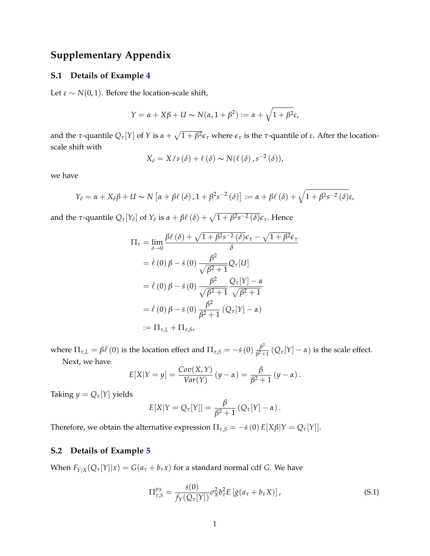# **Supplementary Appendix**

#### <span id="page-49-0"></span>**S.1 Details of Example [4](#page-10-1)**

Let  $\varepsilon \sim N(0, 1)$ . Before the location-scale shift,

$$
Y = \alpha + X\beta + U \sim N(\alpha, 1 + \beta^2) := \alpha + \sqrt{1 + \beta^2} \varepsilon,
$$

and the *τ*-quantile  $Q_{\tau}[Y]$  of *Y* is  $\alpha + \sqrt{1 + \beta^2} \epsilon_{\tau}$  where  $\epsilon_{\tau}$  is the *τ*-quantile of *ε*. After the locationscale shift with

$$
X_{\delta}=X/s(\delta)+\ell(\delta)\sim N(\ell(\delta),s^{-2}(\delta)),
$$

we have

$$
Y_{\delta} = \alpha + X_{\delta}\beta + U \sim N\left[\alpha + \beta\ell\left(\delta\right), 1 + \beta^{2}s^{-2}\left(\delta\right)\right] := \alpha + \beta\ell\left(\delta\right) + \sqrt{1 + \beta^{2}s^{-2}\left(\delta\right)}\varepsilon,
$$

and the *τ*-quantile  $Q_{\tau}[Y_{\delta}]$  of  $Y_{\delta}$  is  $\alpha + \beta \ell(\delta) + \sqrt{1 + \beta^2 s^{-2}(\delta)} \epsilon_{\tau}$ . Hence

$$
\Pi_{\tau} = \lim_{\delta \to 0} \frac{\beta \ell(\delta) + \sqrt{1 + \beta^2 s^{-2}(\delta)} \epsilon_{\tau} - \sqrt{1 + \beta^2} \epsilon_{\tau}}{\delta}
$$
  
\n
$$
= \ell(0) \beta - s(0) \frac{\beta^2}{\sqrt{\beta^2 + 1}} Q_{\tau}[U]
$$
  
\n
$$
= \ell(0) \beta - s(0) \frac{\beta^2}{\sqrt{\beta^2 + 1}} \frac{Q_{\tau}[Y] - \alpha}{\sqrt{\beta^2 + 1}}
$$
  
\n
$$
= \ell(0) \beta - s(0) \frac{\beta^2}{\beta^2 + 1} (Q_{\tau}[Y] - \alpha)
$$
  
\n
$$
:= \Pi_{\tau, L} + \Pi_{\tau, S},
$$

where  $\Pi_{\tau,L} = \beta \dot{\ell} \left(0\right)$  is the location effect and  $\Pi_{\tau,S} = -\dot{s} \left(0\right) \frac{\beta^2}{\beta^2 + 1}$  $\frac{\beta^2}{\beta^2+1}$  ( $Q_\tau[Y] - \alpha$ ) is the scale effect.

Next, we have

$$
E[X|Y = y] = \frac{Cov(X,Y)}{Var(Y)} (y - \alpha) = \frac{\beta}{\beta^2 + 1} (y - \alpha).
$$

Taking  $y = Q_{\tau}[Y]$  yields

$$
E[X|Y = Q_{\tau}[Y]] = \frac{\beta}{\beta^2 + 1} (Q_{\tau}[Y] - \alpha).
$$

Therefore, we obtain the alternative expression  $\Pi_{\tau,S} = -\dot{s}(0) E[X\beta|Y = Q_{\tau}[Y]].$ 

#### <span id="page-49-1"></span>**S.2 Details of Example [5](#page-11-0)**

When  $F_{Y|X}(Q_{\tau}[Y]|x) = G(a_{\tau} + b_{\tau}x)$  for a standard normal cdf *G*. We have

<span id="page-49-2"></span>
$$
\Pi_{\tau,S}^{\mu_X} = \frac{\dot{s}(0)}{f_Y(Q_\tau[Y])} \sigma_X^2 b_\tau^2 E\left[\dot{g}(a_\tau + b_\tau X)\right],\tag{S.1}
$$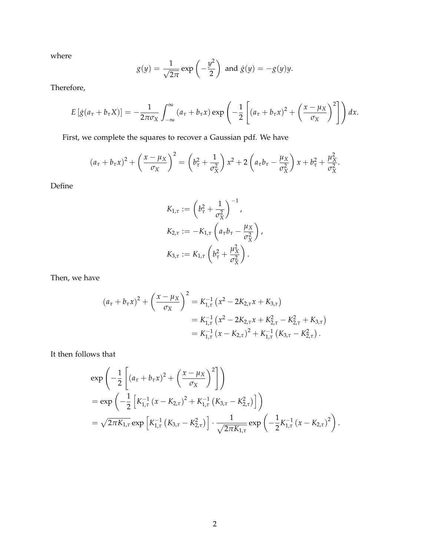where

$$
g(y) = \frac{1}{\sqrt{2\pi}} \exp\left(-\frac{y^2}{2}\right)
$$
 and  $\dot{g}(y) = -g(y)y$ .

Therefore,

$$
E\left[\dot{g}(a_{\tau}+b_{\tau}X)\right]=-\frac{1}{2\pi\sigma_X}\int_{-\infty}^{\infty}\left(a_{\tau}+b_{\tau}x\right)\exp\left(-\frac{1}{2}\left[\left(a_{\tau}+b_{\tau}x\right)^2+\left(\frac{x-\mu_X}{\sigma_X}\right)^2\right]\right)dx.
$$

First, we complete the squares to recover a Gaussian pdf. We have

$$
(a_{\tau}+b_{\tau}x)^2+\left(\frac{x-\mu_X}{\sigma_X}\right)^2=\left(b_{\tau}^2+\frac{1}{\sigma_X^2}\right)x^2+2\left(a_{\tau}b_{\tau}-\frac{\mu_X}{\sigma_X^2}\right)x+b_{\tau}^2+\frac{\mu_X^2}{\sigma_X^2}.
$$

Define

$$
K_{1,\tau} := \left(b_{\tau}^2 + \frac{1}{\sigma_X^2}\right)^{-1},
$$
  
\n
$$
K_{2,\tau} := -K_{1,\tau} \left(a_{\tau} b_{\tau} - \frac{\mu_X}{\sigma_X^2}\right),
$$
  
\n
$$
K_{3,\tau} := K_{1,\tau} \left(b_{\tau}^2 + \frac{\mu_X^2}{\sigma_X^2}\right).
$$

Then, we have

$$
(a_{\tau} + b_{\tau}x)^2 + \left(\frac{x - \mu_X}{\sigma_X}\right)^2 = K_{1,\tau}^{-1} (x^2 - 2K_{2,\tau}x + K_{3,\tau})
$$
  
=  $K_{1,\tau}^{-1} (x^2 - 2K_{2,\tau}x + K_{2,\tau}^2 - K_{2,\tau}^2 + K_{3,\tau})$   
=  $K_{1,\tau}^{-1} (x - K_{2,\tau})^2 + K_{1,\tau}^{-1} (K_{3,\tau} - K_{2,\tau}^2).$ 

It then follows that

$$
\exp\left(-\frac{1}{2}\left[ (a_{\tau} + b_{\tau}x)^2 + \left(\frac{x-\mu_X}{\sigma_X}\right)^2 \right] \right)
$$
  
= 
$$
\exp\left(-\frac{1}{2}\left[K_{1,\tau}^{-1}(x - K_{2,\tau})^2 + K_{1,\tau}^{-1}(K_{3,\tau} - K_{2,\tau}^2)\right]\right)
$$
  
= 
$$
\sqrt{2\pi K_{1,\tau}} \exp\left[K_{1,\tau}^{-1}(K_{3,\tau} - K_{2,\tau}^2)\right] \cdot \frac{1}{\sqrt{2\pi K_{1,\tau}}} \exp\left(-\frac{1}{2}K_{1,\tau}^{-1}(x - K_{2,\tau})^2\right).
$$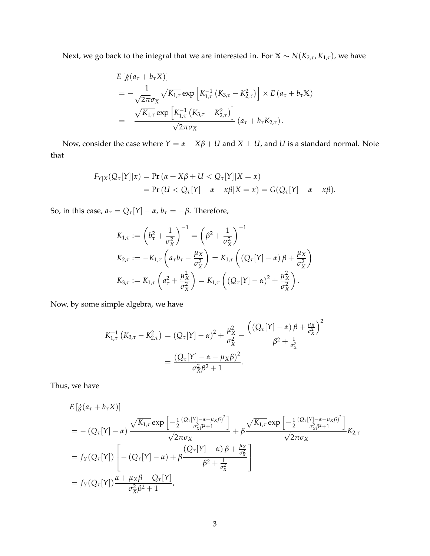Next, we go back to the integral that we are interested in. For  $X \sim N(K_{2,\tau}, K_{1,\tau})$ , we have

$$
E\left[\dot{g}(a_{\tau}+b_{\tau}X)\right]
$$
  
=  $-\frac{1}{\sqrt{2\pi}\sigma_X}\sqrt{K_{1,\tau}}\exp\left[K_{1,\tau}^{-1}\left(K_{3,\tau}-K_{2,\tau}^2\right)\right] \times E\left(a_{\tau}+b_{\tau}X\right)$   
=  $-\frac{\sqrt{K_{1,\tau}}\exp\left[K_{1,\tau}^{-1}\left(K_{3,\tau}-K_{2,\tau}^2\right)\right]}{\sqrt{2\pi}\sigma_X}\left(a_{\tau}+b_{\tau}K_{2,\tau}\right).$ 

Now, consider the case where  $Y = \alpha + X\beta + U$  and  $X \perp U$ , and  $U$  is a standard normal. Note that

$$
F_{Y|X}(Q_{\tau}[Y]|x) = \Pr(\alpha + X\beta + U < Q_{\tau}[Y]|X = x) \\
= \Pr(U < Q_{\tau}[Y] - \alpha - x\beta|X = x) = G(Q_{\tau}[Y] - \alpha - x\beta).
$$

So, in this case,  $a_{\tau} = Q_{\tau}[Y] - \alpha$ ,  $b_{\tau} = -\beta$ . Therefore,

$$
K_{1,\tau} := \left(b_{\tau}^{2} + \frac{1}{\sigma_{X}^{2}}\right)^{-1} = \left(\beta^{2} + \frac{1}{\sigma_{X}^{2}}\right)^{-1}
$$
  
\n
$$
K_{2,\tau} := -K_{1,\tau} \left(a_{\tau} b_{\tau} - \frac{\mu_{X}}{\sigma_{X}^{2}}\right) = K_{1,\tau} \left((Q_{\tau}[Y] - \alpha) \beta + \frac{\mu_{X}}{\sigma_{X}^{2}}\right)
$$
  
\n
$$
K_{3,\tau} := K_{1,\tau} \left(a_{\tau}^{2} + \frac{\mu_{X}^{2}}{\sigma_{X}^{2}}\right) = K_{1,\tau} \left((Q_{\tau}[Y] - \alpha)^{2} + \frac{\mu_{X}^{2}}{\sigma_{X}^{2}}\right).
$$

Now, by some simple algebra, we have

$$
K_{1,\tau}^{-1} (K_{3,\tau} - K_{2,\tau}^2) = (Q_{\tau}[Y] - \alpha)^2 + \frac{\mu_X^2}{\sigma_X^2} - \frac{((Q_{\tau}[Y] - \alpha) \beta + \frac{\mu_X}{\sigma_X^2})^2}{\beta^2 + \frac{1}{\sigma_X^2}}
$$
  
= 
$$
\frac{(Q_{\tau}[Y] - \alpha - \mu_X \beta)^2}{\sigma_X^2 \beta^2 + 1}.
$$

Thus, we have

$$
E\left[\dot{g}(a_{\tau}+b_{\tau}X)\right]
$$
\n
$$
=-(Q_{\tau}[Y]-\alpha)\frac{\sqrt{K_{1,\tau}}\exp\left[-\frac{1}{2}\frac{(Q_{\tau}[Y]-\alpha-\mu_{X}\beta)^{2}}{\sigma_{X}^{2}\beta^{2}+1}\right]}{\sqrt{2\pi}\sigma_{X}}+\beta\frac{\sqrt{K_{1,\tau}}\exp\left[-\frac{1}{2}\frac{(Q_{\tau}[Y]-\alpha-\mu_{X}\beta)^{2}}{\sigma_{X}^{2}\beta^{2}+1}\right]}{\sqrt{2\pi}\sigma_{X}}K_{2,\tau}
$$
\n
$$
=f_{Y}(Q_{\tau}[Y])\left[-(Q_{\tau}[Y]-\alpha)+\beta\frac{(Q_{\tau}[Y]-\alpha)\beta+\frac{\mu_{X}}{\sigma_{X}^{2}}}{\beta^{2}+\frac{1}{\sigma_{X}^{2}}}\right]
$$
\n
$$
=f_{Y}(Q_{\tau}[Y])\frac{\alpha+\mu_{X}\beta-Q_{\tau}[Y]}{\sigma_{X}^{2}\beta^{2}+1},
$$